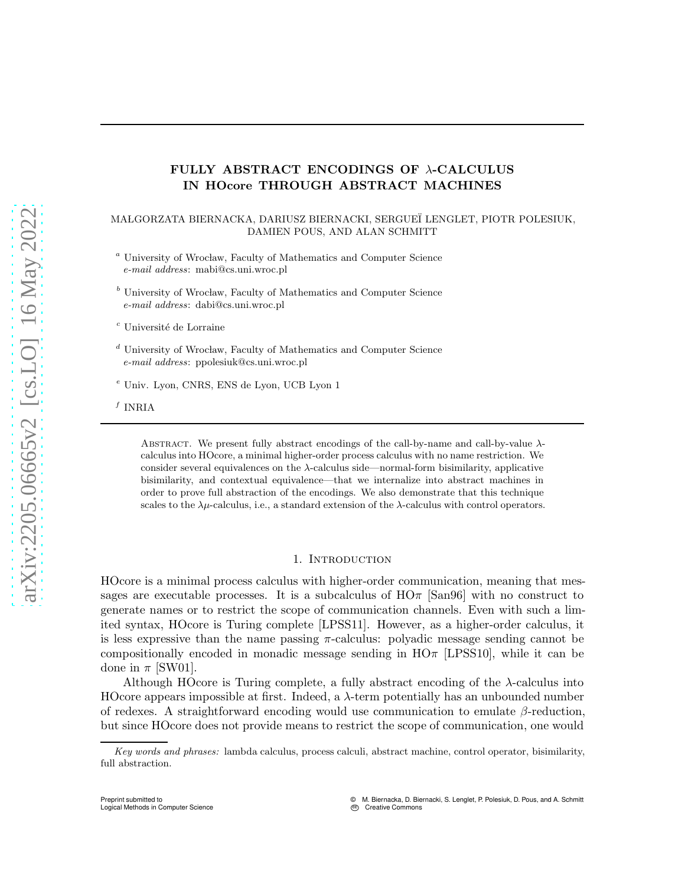## FULLY ABSTRACT ENCODINGS OF λ-CALCULUS IN HOcore THROUGH ABSTRACT MACHINES

### MA LGORZATA BIERNACKA, DARIUSZ BIERNACKI, SERGUE¨I LENGLET, PIOTR POLESIUK, DAMIEN POUS, AND ALAN SCHMITT

- $a$  University of Wrocław, Faculty of Mathematics and Computer Science *e-mail address*: mabi@cs.uni.wroc.pl
- $b$  University of Wrocław, Faculty of Mathematics and Computer Science *e-mail address*: dabi@cs.uni.wroc.pl

 $^c$ Université de Lorraine

- $^d$ University of Wrocław, Faculty of Mathematics and Computer Science *e-mail address*: ppolesiuk@cs.uni.wroc.pl
- <sup>e</sup> Univ. Lyon, CNRS, ENS de Lyon, UCB Lyon 1

 $f$  INRIA

Preprint submitted to

Logical Methods in Computer Science

ABSTRACT. We present fully abstract encodings of the call-by-name and call-by-value  $\lambda$ calculus into HOcore, a minimal higher-order process calculus with no name restriction. We consider several equivalences on the  $\lambda$ -calculus side—normal-form bisimilarity, applicative bisimilarity, and contextual equivalence—that we internalize into abstract machines in order to prove full abstraction of the encodings. We also demonstrate that this technique scales to the  $\lambda \mu$ -calculus, i.e., a standard extension of the  $\lambda$ -calculus with control operators.

### 1. INTRODUCTION

<span id="page-0-0"></span>HOcore is a minimal process calculus with higher-order communication, meaning that messages are executable processes. It is a subcalculus of  $H\Omega$  [\[San96\]](#page-37-0) with no construct to generate names or to restrict the scope of communication channels. Even with such a limited syntax, HOcore is Turing complete [\[LPSS11\]](#page-37-1). However, as a higher-order calculus, it is less expressive than the name passing  $\pi$ -calculus: polyadic message sending cannot be compositionally encoded in monadic message sending in  $HO<sub>\pi</sub>$  [\[LPSS10\]](#page-37-2), while it can be done in  $\pi$  [\[SW01\]](#page-37-3).

Although HOcore is Turing complete, a fully abstract encoding of the  $\lambda$ -calculus into HOcore appears impossible at first. Indeed, a  $\lambda$ -term potentially has an unbounded number of redexes. A straightforward encoding would use communication to emulate  $\beta$ -reduction, but since HOcore does not provide means to restrict the scope of communication, one would

*Key words and phrases:* lambda calculus, process calculi, abstract machine, control operator, bisimilarity, full abstraction.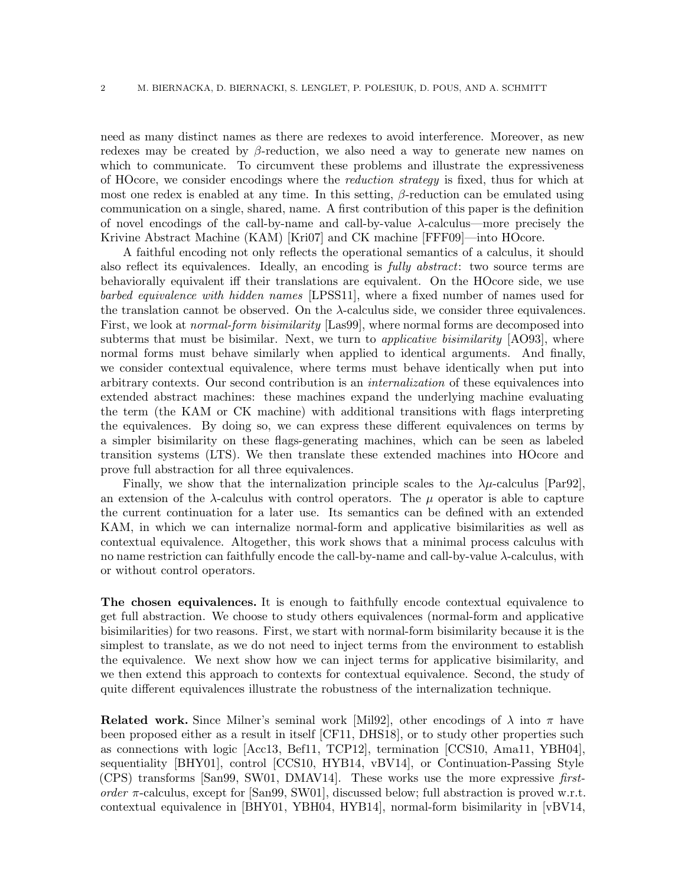need as many distinct names as there are redexes to avoid interference. Moreover, as new redexes may be created by  $\beta$ -reduction, we also need a way to generate new names on which to communicate. To circumvent these problems and illustrate the expressiveness of HOcore, we consider encodings where the reduction strategy is fixed, thus for which at most one redex is enabled at any time. In this setting,  $\beta$ -reduction can be emulated using communication on a single, shared, name. A first contribution of this paper is the definition of novel encodings of the call-by-name and call-by-value λ-calculus—more precisely the Krivine Abstract Machine (KAM) [\[Kri07\]](#page-37-4) and CK machine [\[FFF09\]](#page-37-5)—into HOcore.

A faithful encoding not only reflects the operational semantics of a calculus, it should also reflect its equivalences. Ideally, an encoding is fully abstract: two source terms are behaviorally equivalent iff their translations are equivalent. On the HOcore side, we use barbed equivalence with hidden names [\[LPSS11\]](#page-37-1), where a fixed number of names used for the translation cannot be observed. On the  $\lambda$ -calculus side, we consider three equivalences. First, we look at *normal-form bisimilarity* [\[Las99\]](#page-37-6), where normal forms are decomposed into subterms that must be bisimilar. Next, we turn to *applicative bisimilarity*  $[AO93]$ , where normal forms must behave similarly when applied to identical arguments. And finally, we consider contextual equivalence, where terms must behave identically when put into arbitrary contexts. Our second contribution is an internalization of these equivalences into extended abstract machines: these machines expand the underlying machine evaluating the term (the KAM or CK machine) with additional transitions with flags interpreting the equivalences. By doing so, we can express these different equivalences on terms by a simpler bisimilarity on these flags-generating machines, which can be seen as labeled transition systems (LTS). We then translate these extended machines into HOcore and prove full abstraction for all three equivalences.

Finally, we show that the internalization principle scales to the  $\lambda \mu$ -calculus [\[Par92\]](#page-37-7), an extension of the  $\lambda$ -calculus with control operators. The  $\mu$  operator is able to capture the current continuation for a later use. Its semantics can be defined with an extended KAM, in which we can internalize normal-form and applicative bisimilarities as well as contextual equivalence. Altogether, this work shows that a minimal process calculus with no name restriction can faithfully encode the call-by-name and call-by-value λ-calculus, with or without control operators.

The chosen equivalences. It is enough to faithfully encode contextual equivalence to get full abstraction. We choose to study others equivalences (normal-form and applicative bisimilarities) for two reasons. First, we start with normal-form bisimilarity because it is the simplest to translate, as we do not need to inject terms from the environment to establish the equivalence. We next show how we can inject terms for applicative bisimilarity, and we then extend this approach to contexts for contextual equivalence. Second, the study of quite different equivalences illustrate the robustness of the internalization technique.

**Related work.** Since Milner's seminal work [\[Mil92\]](#page-37-8), other encodings of  $\lambda$  into  $\pi$  have been proposed either as a result in itself [\[CF11,](#page-36-1) [DHS18\]](#page-37-9), or to study other properties such as connections with logic [\[Acc13,](#page-36-2) [Bef11,](#page-36-3) [TCP12\]](#page-37-10), termination [\[CCS10,](#page-36-4) [Ama11,](#page-36-5) [YBH04\]](#page-38-0), sequentiality [\[BHY01\]](#page-36-6), control [\[CCS10,](#page-36-4) [HYB14,](#page-37-11) [vBV14\]](#page-38-1), or Continuation-Passing Style (CPS) transforms [\[San99,](#page-37-12) [SW01,](#page-37-3) [DMAV14\]](#page-37-13). These works use the more expressive firstorder  $\pi$ -calculus, except for [\[San99,](#page-37-12) [SW01\]](#page-37-3), discussed below; full abstraction is proved w.r.t. contextual equivalence in [\[BHY01,](#page-36-6) [YBH04,](#page-38-0) [HYB14\]](#page-37-11), normal-form bisimilarity in [\[vBV14,](#page-38-1)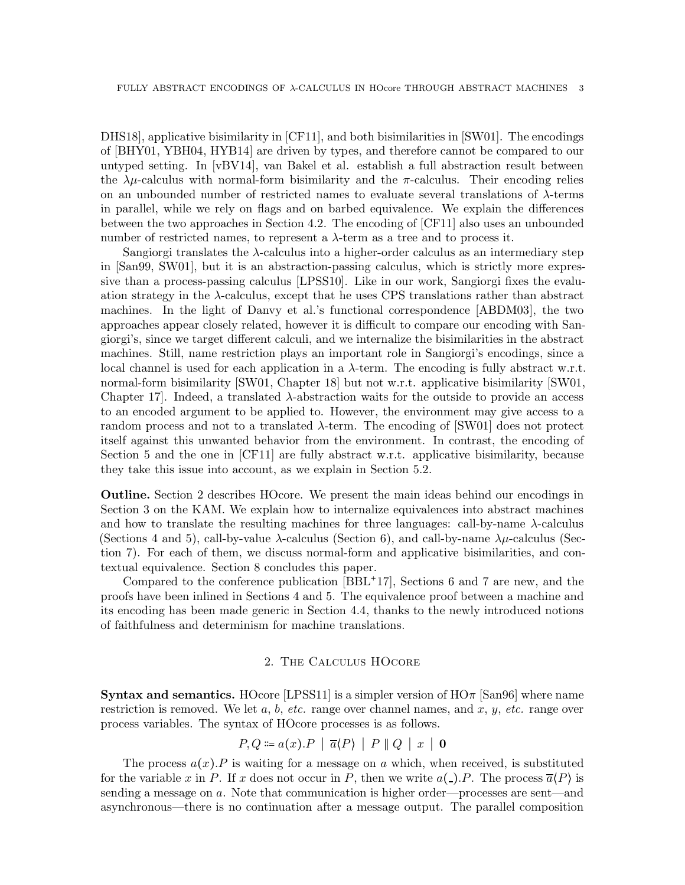[DHS18\]](#page-37-9), applicative bisimilarity in [\[CF11\]](#page-36-1), and both bisimilarities in [\[SW01\]](#page-37-3). The encodings of [\[BHY01,](#page-36-6) [YBH04,](#page-38-0) [HYB14\]](#page-37-11) are driven by types, and therefore cannot be compared to our untyped setting. In [\[vBV14\]](#page-38-1), van Bakel et al. establish a full abstraction result between the  $\lambda \mu$ -calculus with normal-form bisimilarity and the  $\pi$ -calculus. Their encoding relies on an unbounded number of restricted names to evaluate several translations of  $\lambda$ -terms in parallel, while we rely on flags and on barbed equivalence. We explain the differences between the two approaches in Section [4.2.](#page-6-0) The encoding of [\[CF11\]](#page-36-1) also uses an unbounded number of restricted names, to represent a  $\lambda$ -term as a tree and to process it.

Sangiorgi translates the  $\lambda$ -calculus into a higher-order calculus as an intermediary step in [\[San99,](#page-37-12) [SW01\]](#page-37-3), but it is an abstraction-passing calculus, which is strictly more expressive than a process-passing calculus [\[LPSS10\]](#page-37-2). Like in our work, Sangiorgi fixes the evaluation strategy in the  $\lambda$ -calculus, except that he uses CPS translations rather than abstract machines. In the light of Danvy et al.'s functional correspondence [\[ABDM03\]](#page-36-7), the two approaches appear closely related, however it is difficult to compare our encoding with Sangiorgi's, since we target different calculi, and we internalize the bisimilarities in the abstract machines. Still, name restriction plays an important role in Sangiorgi's encodings, since a local channel is used for each application in a  $\lambda$ -term. The encoding is fully abstract w.r.t. normal-form bisimilarity [\[SW01,](#page-37-3) Chapter 18] but not w.r.t. applicative bisimilarity [\[SW01,](#page-37-3) Chapter 17. Indeed, a translated  $\lambda$ -abstraction waits for the outside to provide an access to an encoded argument to be applied to. However, the environment may give access to a random process and not to a translated  $\lambda$ -term. The encoding of [\[SW01\]](#page-37-3) does not protect itself against this unwanted behavior from the environment. In contrast, the encoding of Section [5](#page-14-0) and the one in [\[CF11\]](#page-36-1) are fully abstract w.r.t. applicative bisimilarity, because they take this issue into account, as we explain in Section [5.2.](#page-16-0)

Outline. Section [2](#page-2-0) describes HOcore. We present the main ideas behind our encodings in Section [3](#page-4-0) on the KAM. We explain how to internalize equivalences into abstract machines and how to translate the resulting machines for three languages: call-by-name  $\lambda$ -calculus (Sections [4](#page-6-1) and [5\)](#page-14-0), call-by-value  $\lambda$ -calculus (Section [6\)](#page-24-0), and call-by-name  $\lambda\mu$ -calculus (Section [7\)](#page-28-0). For each of them, we discuss normal-form and applicative bisimilarities, and contextual equivalence. Section [8](#page-35-0) concludes this paper.

Compared to the conference publication [BBL<sup>+</sup>17], Sections [6](#page-24-0) and [7](#page-28-0) are new, and the proofs have been inlined in Sections [4](#page-6-1) and [5.](#page-14-0) The equivalence proof between a machine and its encoding has been made generic in Section [4.4,](#page-11-0) thanks to the newly introduced notions of faithfulness and determinism for machine translations.

## 2. The Calculus HOcore

<span id="page-2-0"></span>**Syntax and semantics.** HOcore [\[LPSS11\]](#page-37-1) is a simpler version of  $H\text{O}\pi$  [\[San96\]](#page-37-0) where name restriction is removed. We let  $a, b, etc.$  range over channel names, and  $x, y, etc.$  range over process variables. The syntax of HOcore processes is as follows.

$$
P,Q \coloneqq a(x).P \mid \overline{a}\langle P \rangle \mid P \parallel Q \mid x \mid \mathbf{0}
$$

The process  $a(x)$ . P is waiting for a message on a which, when received, is substituted for the variable x in P. If x does not occur in P, then we write  $a(\_).P$ . The process  $\overline{a}(P)$  is sending a message on a. Note that communication is higher order—processes are sent—and asynchronous—there is no continuation after a message output. The parallel composition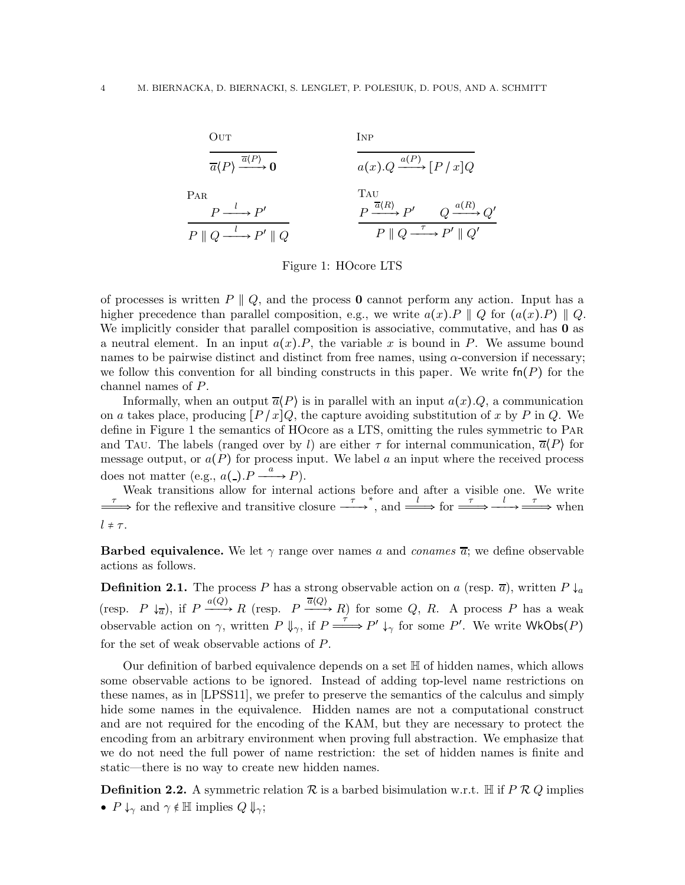

<span id="page-3-0"></span>Figure 1: HOcore LTS

of processes is written  $P \parallel Q$ , and the process **0** cannot perform any action. Input has a higher precedence than parallel composition, e.g., we write  $a(x).P \parallel Q$  for  $(a(x).P) \parallel Q$ . We implicitly consider that parallel composition is associative, commutative, and has **0** as a neutral element. In an input  $a(x)$ . P, the variable x is bound in P. We assume bound names to be pairwise distinct and distinct from free names, using  $\alpha$ -conversion if necessary; we follow this convention for all binding constructs in this paper. We write  $fn(P)$  for the channel names of P.

Informally, when an output  $\overline{a}(P)$  is in parallel with an input  $a(x).Q$ , a communication on a takes place, producing  $[P/x]Q$ , the capture avoiding substitution of x by P in Q. We define in Figure [1](#page-3-0) the semantics of HOcore as a LTS, omitting the rules symmetric to Par and TAU. The labels (ranged over by l) are either  $\tau$  for internal communication,  $\overline{a}(P)$  for message output, or  $a(P)$  for process input. We label a an input where the received process does not matter (e.g.,  $a(\text{-}).P \xrightarrow{a} P$ ).

Weak transitions allow for internal actions before and after a visible one. We write  $\longrightarrow$  for the reflexive and transitive closure  $\longrightarrow^{\tau}$ , and  $\longrightarrow^{\tau}$  for  $\longrightarrow^{\tau}$   $\longrightarrow^{\tau}$  when  $l \neq \tau$ .

**Barbed equivalence.** We let  $\gamma$  range over names a and conames  $\overline{a}$ ; we define observable actions as follows.

**Definition 2.1.** The process P has a strong observable action on a (resp.  $\overline{a}$ ), written P  $\downarrow_a$ (resp.  $P \downarrow_{\overline{a}}$ ), if  $P \xrightarrow{a(Q)} R$  (resp.  $P \xrightarrow{\overline{a}(Q)} R$ ) for some  $Q, R$ . A process P has a weak observable action on  $\gamma$ , written  $P \Downarrow_{\gamma}$ , if  $P \longrightarrow P' \downarrow_{\gamma}$  for some P'. We write WkObs(P) for the set of weak observable actions of P.

Our definition of barbed equivalence depends on a set H of hidden names, which allows some observable actions to be ignored. Instead of adding top-level name restrictions on these names, as in [\[LPSS11\]](#page-37-1), we prefer to preserve the semantics of the calculus and simply hide some names in the equivalence. Hidden names are not a computational construct and are not required for the encoding of the KAM, but they are necessary to protect the encoding from an arbitrary environment when proving full abstraction. We emphasize that we do not need the full power of name restriction: the set of hidden names is finite and static—there is no way to create new hidden names.

**Definition 2.2.** A symmetric relation  $\mathcal{R}$  is a barbed bisimulation w.r.t. H if P R Q implies •  $P \downarrow_{\gamma}$  and  $\gamma \notin \mathbb{H}$  implies  $Q \Downarrow_{\gamma};$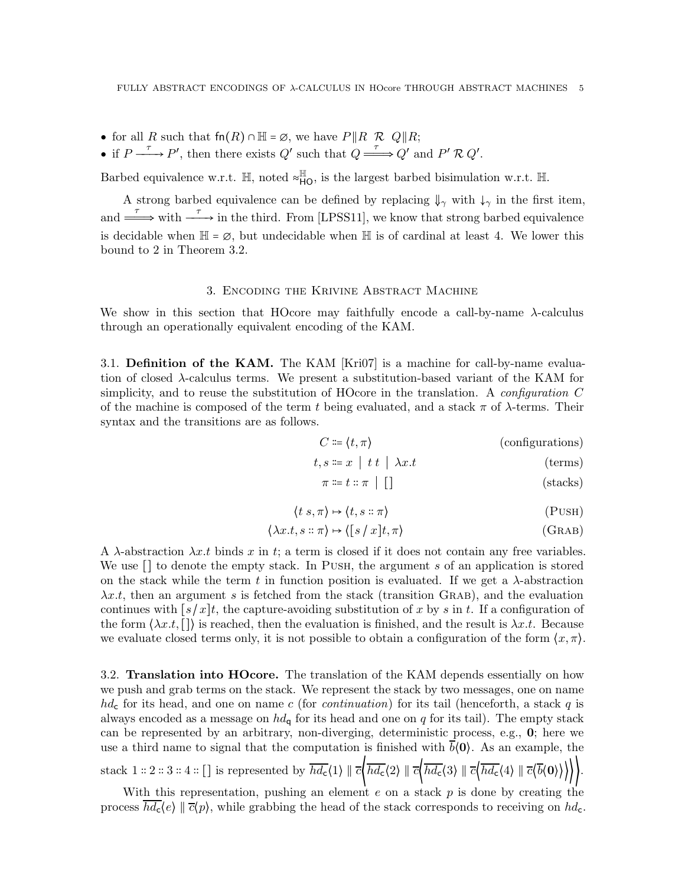- for all R such that  $fn(R) \cap \mathbb{H} = \emptyset$ , we have  $P||R \mathcal{R} Q||R$ ;
- if  $P \xrightarrow{\tau} P'$ , then there exists  $Q'$  such that  $Q \xrightarrow{\tau} Q'$  and  $P' \mathcal{R} Q'$ .

Barbed equivalence w.r.t.  $\mathbb{H}$ , noted  $\approx_{\mathsf{HO}}^{\mathbb{H}}$ , is the largest barbed bisimulation w.r.t.  $\mathbb{H}$ .

A strong barbed equivalence can be defined by replacing  $\downarrow_{\gamma}$  with  $\downarrow_{\gamma}$  in the first item, and  $\stackrel{\tau}{\Longrightarrow}$  with  $\stackrel{\tau}{\longrightarrow}$  in the third. From [\[LPSS11\]](#page-37-1), we know that strong barbed equivalence is decidable when  $\mathbb{H} = \emptyset$ , but undecidable when  $\mathbb{H}$  is of cardinal at least 4. We lower this bound to 2 in Theorem [3.2.](#page-5-0)

#### 3. Encoding the Krivine Abstract Machine

<span id="page-4-0"></span>We show in this section that HOcore may faithfully encode a call-by-name  $\lambda$ -calculus through an operationally equivalent encoding of the KAM.

3.1. Definition of the KAM. The KAM [\[Kri07\]](#page-37-4) is a machine for call-by-name evaluation of closed λ-calculus terms. We present a substitution-based variant of the KAM for simplicity, and to reuse the substitution of HOcore in the translation. A *configuration*  $C$ of the machine is composed of the term t being evaluated, and a stack  $\pi$  of  $\lambda$ -terms. Their syntax and the transitions are as follows.

$$
C \coloneqq \langle t, \pi \rangle \tag{configurations}
$$

$$
t, s \coloneqq x \mid t \mid \lambda x. t \tag{terms}
$$

$$
\pi \coloneqq t :: \pi \mid [] \tag{stacks}
$$

$$
\langle t \, s, \pi \rangle \mapsto \langle t, s :: \pi \rangle \tag{PUSH}
$$

$$
\langle \lambda x.t, s :: \pi \rangle \mapsto \langle [s / x]t, \pi \rangle \tag{GRAB}
$$

A  $\lambda$ -abstraction  $\lambda x.t$  binds x in t; a term is closed if it does not contain any free variables. We use  $\lceil \cdot \rceil$  to denote the empty stack. In PUSH, the argument s of an application is stored on the stack while the term t in function position is evaluated. If we get a  $\lambda$ -abstraction  $\lambda x.t$ , then an argument s is fetched from the stack (transition GRAB), and the evaluation continues with  $[s/x]t$ , the capture-avoiding substitution of x by s in t. If a configuration of the form  $(\lambda x.t. \Box)$  is reached, then the evaluation is finished, and the result is  $\lambda x.t.$  Because we evaluate closed terms only, it is not possible to obtain a configuration of the form  $\langle x, \pi \rangle$ .

3.2. Translation into HOcore. The translation of the KAM depends essentially on how we push and grab terms on the stack. We represent the stack by two messages, one on name  $hd<sub>c</sub>$  for its head, and one on name c (for continuation) for its tail (henceforth, a stack q is always encoded as a message on  $hd_{q}$  for its head and one on q for its tail). The empty stack can be represented by an arbitrary, non-diverging, deterministic process, e.g., 0; here we use a third name to signal that the computation is finished with  $b(0)$ . As an example, the stack 1 ∷ 2 ∷ 3 ∷ 4 ∴ [] is represented by  $\overline{hd_c} \langle 1 \rangle \parallel \overline{c} \langle \overline{hd_c} \langle 2 \rangle \parallel \overline{c} \langle \overline{hd_c} \langle 3 \rangle \parallel \overline{c} \langle \overline{hd_c} \langle 4 \rangle \parallel \overline{c} \langle \overline{b} \langle 0 \rangle \rangle \rangle \rangle$ .

With this representation, pushing an element  $e$  on a stack  $p$  is done by creating the process  $hd_c\langle e \rangle \parallel \overline{c}\langle p \rangle$ , while grabbing the head of the stack corresponds to receiving on  $hd_c$ .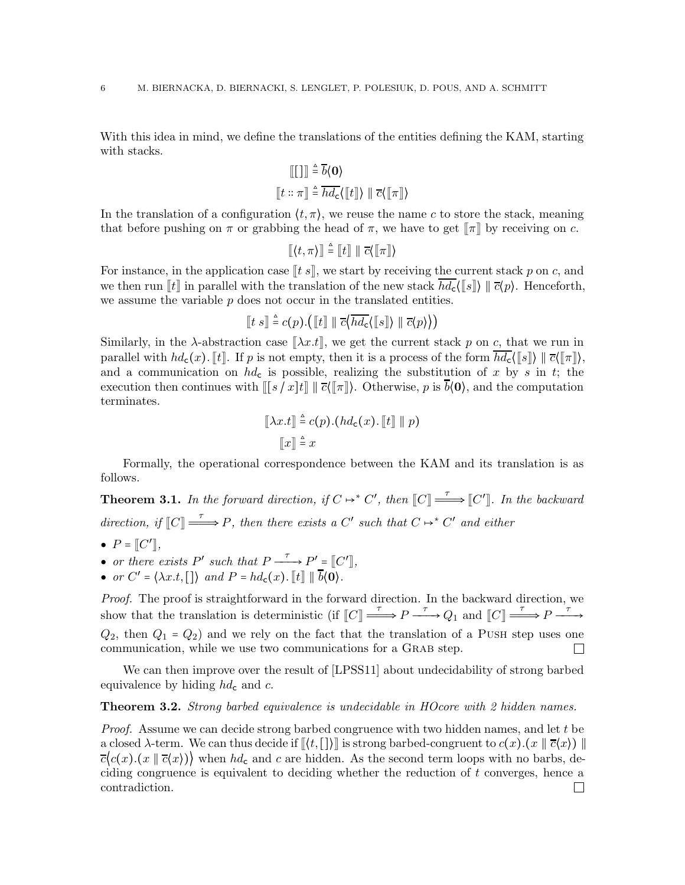With this idea in mind, we define the translations of the entities defining the KAM, starting with stacks.

$$
\begin{aligned} \mathbb{E}[\mathbf{u}] &\stackrel{\Delta}{=} \overline{b} \langle \mathbf{0} \rangle \\ \mathbb{E}[\mathbf{t} \ :: \ \pi] \stackrel{\Delta}{=} \overline{hd_{\mathbf{c}}} \langle \mathbb{E}[\![\mathbf{t}]\!] \rangle \ \mathbb{E}[\![\pi]\!] \rangle \end{aligned}
$$

In the translation of a configuration  $\langle t, \pi \rangle$ , we reuse the name c to store the stack, meaning that before pushing on  $\pi$  or grabbing the head of  $\pi$ , we have to get  $\llbracket \pi \rrbracket$  by receiving on c.

$$
[\![\langle t,\pi\rangle]\!] \stackrel{\scriptscriptstyle\Delta}{=} [\![t]\!] \parallel \overline{c}\langle [\![\pi]\!] \rangle
$$

For instance, in the application case  $[[t s]],$  we start by receiving the current stack p on c, and we then run  $\llbracket t \rrbracket$  in parallel with the translation of the new stack  $hd_c$ ( $\llbracket s \rrbracket$ )  $\llbracket \bar{c}(p)$ . Henceforth, we assume the variable  $p$  does not occur in the translated entities.

$$
[\![t s]\!] \stackrel{\scriptscriptstyle\triangle}{=} c(p).([\![t]\!] \parallel \overline{c}\langle \overline{hd_{\mathsf{c}}} \langle [\![s]\!] \rangle \parallel \overline{c} \langle p \rangle \rangle)
$$

Similarly, in the  $\lambda$ -abstraction case  $\|\lambda x.t\|$ , we get the current stack p on c, that we run in parallel with  $hd_c(x)$ . It p is not empty, then it is a process of the form  $\overline{hd_c}(\llbracket s \rrbracket) \parallel \overline{c}(\llbracket \pi \rrbracket)$ , and a communication on  $hd<sub>c</sub>$  is possible, realizing the substitution of x by s in t; the execution then continues with  $\llbracket [s / x]t \rrbracket \parallel \overline{c}(\llbracket \pi \rrbracket)$ . Otherwise, p is  $\overline{b}(\mathbf{0})$ , and the computation terminates.

$$
[\![\lambda x.t]\!] \stackrel{\scriptscriptstyle\triangle}{=} c(p) . (hd_c(x) . [\![t]\!] \parallel p)
$$
  

$$
[\![x]\!] \stackrel{\scriptscriptstyle\triangle}{=} x
$$

Formally, the operational correspondence between the KAM and its translation is as follows.

<span id="page-5-1"></span>**Theorem 3.1.** In the forward direction, if  $C \mapsto C'$ , then  $\llbracket C \rrbracket \stackrel{\tau}{\longrightarrow} \llbracket C' \rrbracket$ . In the backward direction, if  $\llbracket C \rrbracket \stackrel{\tau}{\longrightarrow} P$ , then there exists a C' such that  $C \mapsto^* C'$  and either

- $\bullet$   $P = [C']$ ,
- or there exists  $P'$  such that  $P \xrightarrow{\tau} P' = [C']$ ,
- or  $C' = \langle \lambda x.t, [\ ] \rangle$  and  $P = hd_{c}(x)$ .  $[ \tildot] \parallel \overline{b} \langle 0 \rangle$ .

Proof. The proof is straightforward in the forward direction. In the backward direction, we show that the translation is deterministic (if  $\llbracket C \rrbracket \stackrel{\tau}{\longrightarrow} P \stackrel{\tau}{\longrightarrow} Q_1$  and  $\llbracket C \rrbracket \stackrel{\tau}{\longrightarrow} P \stackrel{\tau}{\longrightarrow}$  $Q_2$ , then  $Q_1 = Q_2$  and we rely on the fact that the translation of a PUSH step uses one communication, while we use two communications for a GRAB step.  $\mathbf{I}$ 

We can then improve over the result of [\[LPSS11\]](#page-37-1) about undecidability of strong barbed equivalence by hiding  $hd<sub>c</sub>$  and c.

#### <span id="page-5-0"></span>**Theorem 3.2.** Strong barbed equivalence is undecidable in HOcore with 2 hidden names.

Proof. Assume we can decide strong barbed congruence with two hidden names, and let t be a closed  $\lambda$ -term. We can thus decide if  $\langle\langle t, [\cdot]\rangle\rangle$  is strong barbed-congruent to  $c(x)$ . $(x \parallel \overline{c}(x))$  $\overline{c}(c(x).((x \mid \overline{c}(x)))$  when hd<sub>c</sub> and c are hidden. As the second term loops with no barbs, deciding congruence is equivalent to deciding whether the reduction of t converges, hence a contradiction. $\Box$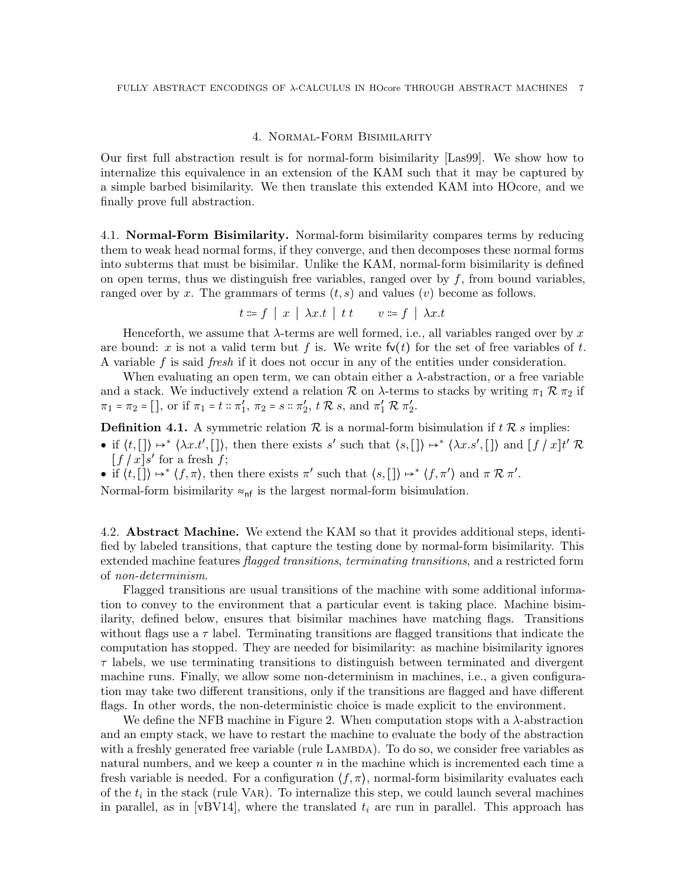## 4. Normal-Form Bisimilarity

<span id="page-6-1"></span>Our first full abstraction result is for normal-form bisimilarity [\[Las99\]](#page-37-6). We show how to internalize this equivalence in an extension of the KAM such that it may be captured by a simple barbed bisimilarity. We then translate this extended KAM into HOcore, and we finally prove full abstraction.

4.1. Normal-Form Bisimilarity. Normal-form bisimilarity compares terms by reducing them to weak head normal forms, if they converge, and then decomposes these normal forms into subterms that must be bisimilar. Unlike the KAM, normal-form bisimilarity is defined on open terms, thus we distinguish free variables, ranged over by  $f$ , from bound variables, ranged over by x. The grammars of terms  $(t, s)$  and values  $(v)$  become as follows.

$$
t \coloneqq f \mid x \mid \lambda x.t \mid t \cdot t \qquad v \coloneqq f \mid \lambda x.t
$$

Henceforth, we assume that  $\lambda$ -terms are well formed, i.e., all variables ranged over by x are bound: x is not a valid term but f is. We write  $f(v(t))$  for the set of free variables of t. A variable f is said fresh if it does not occur in any of the entities under consideration.

When evaluating an open term, we can obtain either a  $\lambda$ -abstraction, or a free variable and a stack. We inductively extend a relation  $\mathcal R$  on  $\lambda$ -terms to stacks by writing  $\pi_1 \mathcal R \pi_2$  if  $\pi_1 = \pi_2 = []$ , or if  $\pi_1 = t :: \pi'_1$ ,  $\pi_2 = s :: \pi'_2$ ,  $t \mathcal{R} s$ , and  $\pi'_1 \mathcal{R} \pi'_2$ .

<span id="page-6-2"></span>**Definition 4.1.** A symmetric relation  $\mathcal{R}$  is a normal-form bisimulation if  $t \mathcal{R} s$  implies:

- if  $\langle t, [\,\cdot]\rangle \mapsto^* \langle \lambda x. t', [\,\cdot]\rangle$ , then there exists s' such that  $\langle s, [\,\cdot]\rangle \mapsto^* \langle \lambda x. s', [\,\cdot]\rangle$  and  $[f / x] t' \mathcal{R}$  $[f/x]s'$  for a fresh  $f$ ;
- if  $\langle t, [\,\cdot] \rangle \mapsto \langle f, \pi \rangle$ , then there exists  $\pi'$  such that  $\langle s, [\,\cdot] \rangle \mapsto \langle f, \pi' \rangle$  and  $\pi \mathcal{R} \pi'$ .

Normal-form bisimilarity  $\approx_{\text{nf}}$  is the largest normal-form bisimulation.

<span id="page-6-0"></span>4.2. **Abstract Machine.** We extend the KAM so that it provides additional steps, identified by labeled transitions, that capture the testing done by normal-form bisimilarity. This extended machine features *flagged transitions, terminating transitions*, and a restricted form of non-determinism.

Flagged transitions are usual transitions of the machine with some additional information to convey to the environment that a particular event is taking place. Machine bisimilarity, defined below, ensures that bisimilar machines have matching flags. Transitions without flags use a  $\tau$  label. Terminating transitions are flagged transitions that indicate the computation has stopped. They are needed for bisimilarity: as machine bisimilarity ignores  $\tau$  labels, we use terminating transitions to distinguish between terminated and divergent machine runs. Finally, we allow some non-determinism in machines, i.e., a given configuration may take two different transitions, only if the transitions are flagged and have different flags. In other words, the non-deterministic choice is made explicit to the environment.

We define the NFB machine in Figure [2.](#page-7-0) When computation stops with a λ-abstraction and an empty stack, we have to restart the machine to evaluate the body of the abstraction with a freshly generated free variable (rule LAMBDA). To do so, we consider free variables as natural numbers, and we keep a counter  $n$  in the machine which is incremented each time a fresh variable is needed. For a configuration  $\langle f, \pi \rangle$ , normal-form bisimilarity evaluates each of the  $t_i$  in the stack (rule VAR). To internalize this step, we could launch several machines in parallel, as in [\[vBV14\]](#page-38-1), where the translated  $t_i$  are run in parallel. This approach has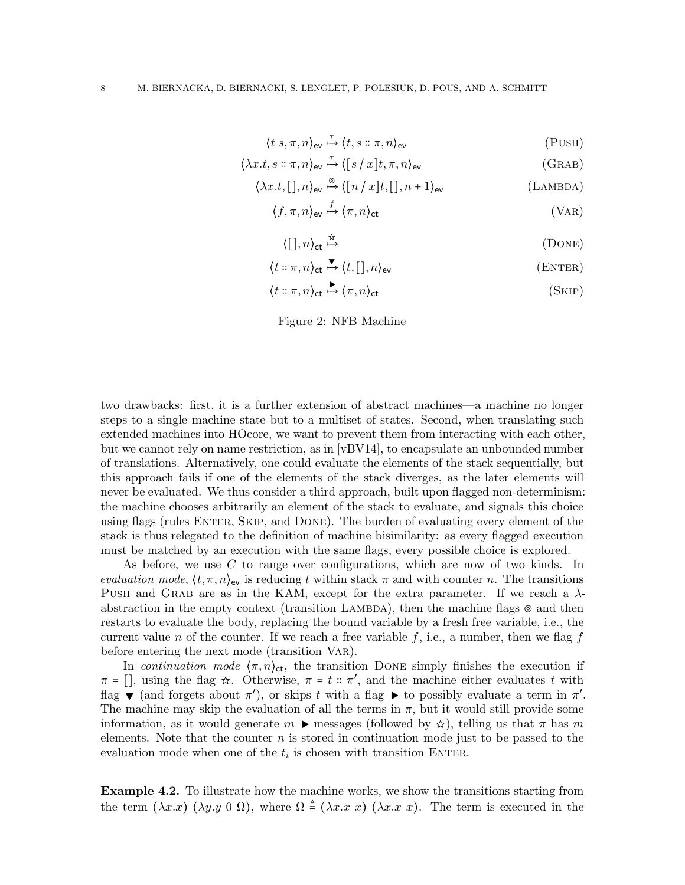$$
\langle t \ s, \pi, n \rangle_{\text{ev}} \stackrel{\tau}{\mapsto} \langle t, s \ :: \pi, n \rangle_{\text{ev}} \tag{PUSH}
$$

$$
\langle \lambda x.t, s :: \pi, n \rangle_{\text{ev}} \stackrel{\tau}{\mapsto} \langle [s / x]t, \pi, n \rangle_{\text{ev}} \tag{GRAB}
$$

$$
\langle \lambda x.t, [] , n \rangle_{\text{ev}} \stackrel{\circ}{\mapsto} \langle [n/x]t, [] , n+1 \rangle_{\text{ev}} \tag{Lambda}
$$

 $\langle f, \pi, n \rangle_{\text{ev}} \stackrel{f}{\mapsto} \langle \pi, n \rangle_{\text{ct}}$  (VAR)

$$
\langle [ \, ] , n \rangle_{\text{ct}} \stackrel{\text{d}}{\mapsto} \tag{DONE}
$$

$$
\langle t::\pi, n\rangle_{\text{ct}} \stackrel{\blacktriangledown}{\longrightarrow} \langle t, [\cdot], n\rangle_{\text{ev}} \tag{ENTER}
$$

$$
\langle t :: \pi, n \rangle_{\text{ct}} \stackrel{\blacktriangleright}{\longrightarrow} \langle \pi, n \rangle_{\text{ct}} \tag{SkIP}
$$

<span id="page-7-0"></span>Figure 2: NFB Machine

two drawbacks: first, it is a further extension of abstract machines—a machine no longer steps to a single machine state but to a multiset of states. Second, when translating such extended machines into HOcore, we want to prevent them from interacting with each other, but we cannot rely on name restriction, as in [\[vBV14\]](#page-38-1), to encapsulate an unbounded number of translations. Alternatively, one could evaluate the elements of the stack sequentially, but this approach fails if one of the elements of the stack diverges, as the later elements will never be evaluated. We thus consider a third approach, built upon flagged non-determinism: the machine chooses arbitrarily an element of the stack to evaluate, and signals this choice using flags (rules Enter, Skip, and Done). The burden of evaluating every element of the stack is thus relegated to the definition of machine bisimilarity: as every flagged execution must be matched by an execution with the same flags, every possible choice is explored.

As before, we use C to range over configurations, which are now of two kinds. In evaluation mode,  $\langle t, \pi, n \rangle_{\text{ev}}$  is reducing t within stack  $\pi$  and with counter n. The transitions PUSH and GRAB are as in the KAM, except for the extra parameter. If we reach a  $\lambda$ abstraction in the empty context (transition LAMBDA), then the machine flags ⊚ and then restarts to evaluate the body, replacing the bound variable by a fresh free variable, i.e., the current value n of the counter. If we reach a free variable f, i.e., a number, then we flag f before entering the next mode (transition Var).

In continuation mode  $\langle \pi, n \rangle_{\text{ct}}$ , the transition DONE simply finishes the execution if  $\pi = []$ , using the flag  $\hat{\kappa}$ . Otherwise,  $\pi = t :: \pi'$ , and the machine either evaluates t with flag  $\blacktriangledown$  (and forgets about  $\pi'$ ), or skips t with a flag  $\blacktriangleright$  to possibly evaluate a term in  $\pi'$ . The machine may skip the evaluation of all the terms in  $\pi$ , but it would still provide some information, as it would generate  $m \triangleright$  messages (followed by  $\star$ ), telling us that  $\pi$  has m elements. Note that the counter  $n$  is stored in continuation mode just to be passed to the evaluation mode when one of the  $t_i$  is chosen with transition ENTER.

Example 4.2. To illustrate how the machine works, we show the transitions starting from the term  $(\lambda x.x) (\lambda y.y 0 \Omega)$ , where  $\Omega \triangleq (\lambda x.x x) (\lambda x.x x)$ . The term is executed in the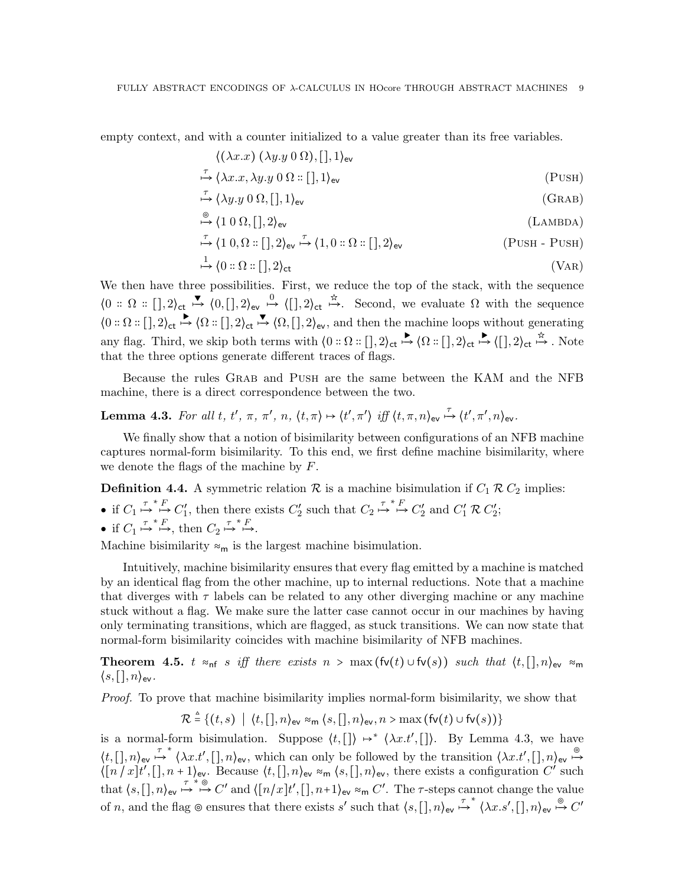empty context, and with a counter initialized to a value greater than its free variables.

$$
\langle (\lambda x.x) (\lambda y.y 0 \Omega), [] , 1 \rangle_{\text{ev}}
$$
  

$$
\stackrel{\tau}{\mapsto} \langle \lambda x.x, \lambda y.y 0 \Omega : [[], 1 \rangle_{\text{ev}} \qquad (\text{PUSH})
$$

$$
\stackrel{\tau}{\mapsto} \langle \lambda y. y \ 0 \ \Omega, [] , 1 \rangle_{\text{ev}} \tag{GRAB}
$$

$$
\stackrel{\circ}{\mapsto} \langle 1 \ 0 \ \Omega, [], 2 \rangle_{\text{ev}} \tag{Lambda}
$$

$$
\stackrel{\tau}{\mapsto} \langle 1 \ 0, \Omega : [[], 2 \rangle_{\text{ev}} \stackrel{\tau}{\mapsto} \langle 1, 0 : \Omega : [[], 2 \rangle_{\text{ev}} \qquad (\text{PUSH - PUSH})
$$

$$
\stackrel{1}{\mapsto} \langle 0 :: \Omega :: [] , 2 \rangle_{\text{ct}} \tag{VAR}
$$

We then have three possibilities. First, we reduce the top of the stack, with the sequence  $\langle 0: \Omega: [], 2 \rangle_{\text{ct}} \stackrel{\blacktriangledown}{\mapsto} \langle 0, [], 2 \rangle_{\text{ev}} \stackrel{0}{\mapsto} \langle [], 2 \rangle_{\text{ct}} \stackrel{\hat{\pi}}{\mapsto}$ . Second, we evaluate  $\Omega$  with the sequence  $\langle 0: \Omega: [], 2 \rangle_{\text{ct}} \stackrel{\blacktriangleright}{\mapsto} \langle \Omega: [], 2 \rangle_{\text{ct}} \stackrel{\blacktriangleright}{\mapsto} \langle \Omega, [], 2 \rangle_{\text{ev}},$  and then the machine loops without generating any flag. Third, we skip both terms with  $\{0 : \Omega : [], 2\}_{\text{ct}} \stackrel{\blacktriangleright}{\mapsto} \{\Omega : [], 2\}_{\text{ct}} \stackrel{\blacktriangleright}{\mapsto} \{[], 2\}_{\text{ct}} \stackrel{\star}{\mapsto}$ . Note that the three options generate different traces of flags.

Because the rules Grab and Push are the same between the KAM and the NFB machine, there is a direct correspondence between the two.

<span id="page-8-0"></span>Lemma 4.3. For all t, t',  $\pi$ ,  $\pi'$ ,  $n$ ,  $\langle t, \pi \rangle \mapsto \langle t', \pi' \rangle$  iff  $\langle t, \pi, n \rangle_{\text{ev}} \stackrel{\tau}{\mapsto} \langle t', \pi', n \rangle_{\text{ev}}$ .

We finally show that a notion of bisimilarity between configurations of an NFB machine captures normal-form bisimilarity. To this end, we first define machine bisimilarity, where we denote the flags of the machine by F.

**Definition 4.4.** A symmetric relation  $\mathcal{R}$  is a machine bisimulation if  $C_1 \mathcal{R} C_2$  implies:

- if  $C_1 \stackrel{\tau}{\mapsto} \stackrel{\kappa}{\mapsto} C'_1$ , then there exists  $C'_2$  such that  $C_2 \stackrel{\tau}{\mapsto} \stackrel{\kappa}{\mapsto} C'_2$  and  $C'_1 \mathcal{R} C'_2$ ;
- if  $C_1 \stackrel{\tau^* F}{\mapsto}$ , then  $C_2 \stackrel{\tau^* F}{\mapsto}$ .

Machine bisimilarity  $\approx_m$  is the largest machine bisimulation.

Intuitively, machine bisimilarity ensures that every flag emitted by a machine is matched by an identical flag from the other machine, up to internal reductions. Note that a machine that diverges with  $\tau$  labels can be related to any other diverging machine or any machine stuck without a flag. We make sure the latter case cannot occur in our machines by having only terminating transitions, which are flagged, as stuck transitions. We can now state that normal-form bisimilarity coincides with machine bisimilarity of NFB machines.

<span id="page-8-1"></span>Theorem 4.5. t ≈<sub>nf</sub> s iff there exists  $n > \max(\text{fv}(t) \cup \text{fv}(s))$  such that  $\langle t, [\cdot], n \rangle_{\text{ev}} \approx_{\text{m}}$  $\langle s, [ \, ], n \rangle_{\text{ev}}$ .

Proof. To prove that machine bisimilarity implies normal-form bisimilarity, we show that

$$
\mathcal{R} \stackrel{\scriptscriptstyle\triangle}{=} \{(t,s) \mid \langle t, [\,], n \rangle_{\mathsf{ev}} \approx_{\mathsf{m}} \langle s, [\,], n \rangle_{\mathsf{ev}}, n > \max\left(\mathsf{fv}(t) \cup \mathsf{fv}(s)\right)\}
$$

is a normal-form bisimulation. Suppose  $\langle t, [\,\cdot] \rangle \mapsto^* \langle \lambda x. t', [\,\cdot] \rangle$ . By Lemma [4.3,](#page-8-0) we have  $\langle t, [\cdot], n \rangle_{\text{ev}} \stackrel{\tau}{\mapsto} \langle \lambda x. t', [\cdot], n \rangle_{\text{ev}},$  which can only be followed by the transition  $\langle \lambda x. t', [\cdot], n \rangle_{\text{ev}} \stackrel{\circ}{\mapsto}$  $\langle [n/x]t', [n+1]_e, \text{Because } \langle t, [n] \rangle_e \rangle_{\text{ev}} \approx_{\text{m}} \langle s, [n] \rangle_{\text{ev}}$ , there exists a configuration C' such that  $\langle s, [\cdot], n \rangle_{\text{ev}} \stackrel{\tau^*}{\mapsto} \stackrel{\circ}{\mapsto} C'$  and  $\langle [n/x]t', [], n+1 \rangle_{\text{ev}} \approx_m C'.$  The  $\tau$ -steps cannot change the value of n, and the flag ⊚ ensures that there exists s' such that  $\langle s, [\cdot], n \rangle_{\text{ev}} \stackrel{\tau}{\mapsto} \langle \lambda x. s', [\cdot], n \rangle_{\text{ev}} \stackrel{\circ}{\mapsto} C'$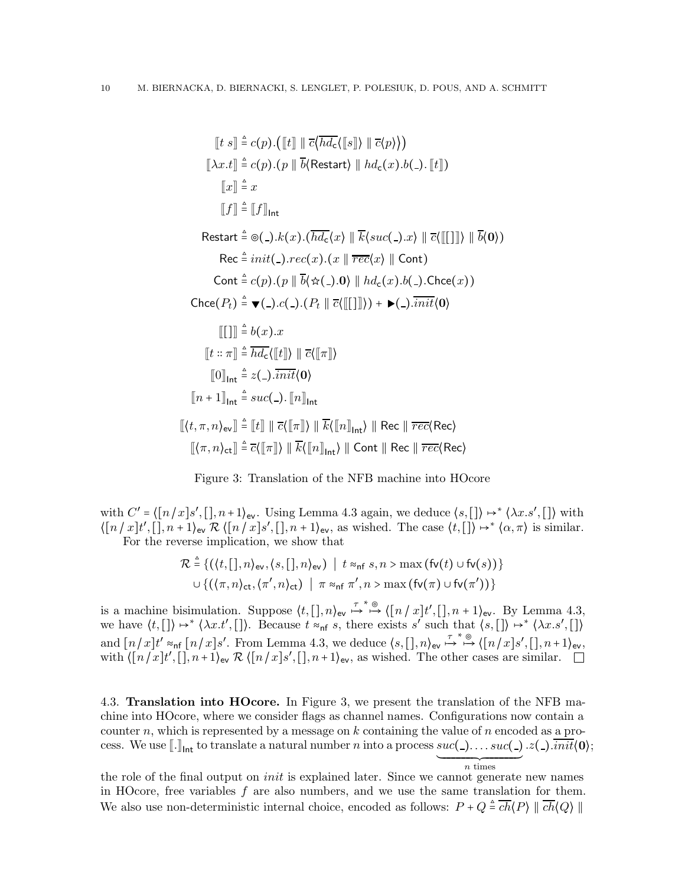$$
[t s] \triangleq c(p).([t] || \overline{c} \langle h \overline{d_c} \langle [s] \rangle || \overline{c} \langle p \rangle))
$$
  
\n
$$
[\lambda x.t] \triangleq c(p).(p || \overline{b} \langle Restart \rangle || hd_c(x).b(.)[[t]])
$$
  
\n
$$
[x] \triangleq x
$$
  
\n
$$
[f] \triangleq [f]_{\text{Int}}
$$
  
\n
$$
\text{Restart} \triangleq \Theta(.).k(x).(\overline{hd_c}\langle x \rangle || \overline{k} \langle suc(.).x \rangle || \overline{c} \langle [[]]]) || \overline{b} \langle 0 \rangle)
$$
  
\n
$$
\text{Rec} \triangleq init(.) .rec(x).(x || \overline{rec}(x) || \text{Cont})
$$
  
\n
$$
\text{Cont} \triangleq c(p).(p || \overline{b} \langle \hat{\alpha}(.).0) || hd_c(x).b(.) . \text{Check}(x))
$$
  
\n
$$
\text{Check}(P_t) \triangleq \blacktriangleright (-).c(.) (P_t || \overline{c} \langle [[]]]) ) + \blacktriangleright (-). \overline{init} \langle 0 \rangle
$$
  
\n
$$
[[1]] \triangleq b(x).x
$$
  
\n
$$
[t :: \pi] \triangleq \overline{hd_c} \langle [[t] \rangle || \overline{c} \langle [[\pi]] \rangle)
$$
  
\n
$$
[0]_{\text{Int}} \triangleq z(.) . \overline{init} \langle 0 \rangle
$$
  
\n
$$
[n + 1]_{\text{Int}} \triangleq suc(.) . [n]_{\text{Int}}
$$
  
\n
$$
[(t, \pi, n)_{\text{ev}}] \triangleq [t] || \overline{c} \langle [[\pi] \rangle || \overline{k} \langle [n]_{\text{Int}} \rangle || \text{Rec} || \overline{rec} \langle \text{Rec} \rangle
$$
  
\n
$$
[(\pi, n)_{\text{ct}}] \triangleq \overline{c} \langle [[\pi] \rangle || \overline{k} \langle [n]_{\text{Int}} \rangle || \text{Cont} || \text{Rec} || \overline{rec} \langle \text{Rec} \rangle
$$

<span id="page-9-0"></span>

with  $C' = \langle [n/x]s', [n+1]_{\text{ev}}$ . Using Lemma [4.3](#page-8-0) again, we deduce  $\langle s, [\cdot] \rangle \mapsto^* \langle \lambda x. s', [\cdot] \rangle$  with  $\langle [n/x]t', [n+1]_e, \mathcal{R} \langle [n/x]s', [n+1]_e, \text{ as wished. The case } \langle t, [n] \rangle \mapsto \langle \alpha, \pi \rangle \text{ is similar.}$ For the reverse implication, we show that

$$
\mathcal{R} \triangleq \{ (\langle t, [\cdot], n \rangle_{\text{ev}}, \langle s, [\cdot], n \rangle_{\text{ev}}) \mid t \approx_{\text{nf}} s, n > \max (\text{fv}(t) \cup \text{fv}(s)) \}
$$
  

$$
\cup \{ (\langle \pi, n \rangle_{\text{ct}}, \langle \pi', n \rangle_{\text{ct}}) \mid \pi \approx_{\text{nf}} \pi', n > \max (\text{fv}(\pi) \cup \text{fv}(\pi')) \}
$$

is a machine bisimulation. Suppose  $\langle t, [\cdot], n \rangle_{\text{ev}} \stackrel{\tau^*}{\mapsto} \stackrel{\otimes}{\mapsto} \langle [n/x] t', [\cdot], n+1 \rangle_{\text{ev}}$ . By Lemma [4.3,](#page-8-0) we have  $\langle t, [\,\cdot]\rangle \mapsto^* \langle \lambda x. t', [\,\cdot]\rangle$ . Because  $t \approx_{\text{nf}} s$ , there exists s' such that  $\langle s, [\,\cdot]\rangle \mapsto^* \langle \lambda x. s', [\,\cdot]\rangle$ and  $[n/x]t' \approx_{\text{nf}} [n/x]s'$ . From Lemma [4.3,](#page-8-0) we deduce  $\langle s, [\cdot], n \rangle_{\text{ev}} \stackrel{\tau^*}{\mapsto} \stackrel{\otimes}{\longrightarrow} \langle [n/x]s', [\cdot], n+1 \rangle_{\text{ev}}$ , with  $\langle [n/x]t', [n+1]_e \times \mathcal{R} \langle [n/x]s', [n+1]_e \rangle$ , as wished. The other cases are similar.

<span id="page-9-1"></span>4.3. Translation into HOcore. In Figure [3,](#page-9-0) we present the translation of the NFB machine into HOcore, where we consider flags as channel names. Configurations now contain a counter n, which is represented by a message on  $k$  containing the value of  $n$  encoded as a process. We use  $\llbracket \cdot \rrbracket_{\mathsf{Int}}$  to translate a natural number n into a process  $suc(\_).\dots suc(\_)$  $.z($ <sub>-</sub> $).\overline{init(0)}$ ;

the role of the final output on *init* is explained later. Since we cannot generate new names in HOcore, free variables 
$$
f
$$
 are also numbers, and we use the same translation for them. We also use non-deterministic internal choice, encoded as follows:  $P + Q \triangleq \overline{ch}(P) \parallel \overline{ch}(Q) \parallel$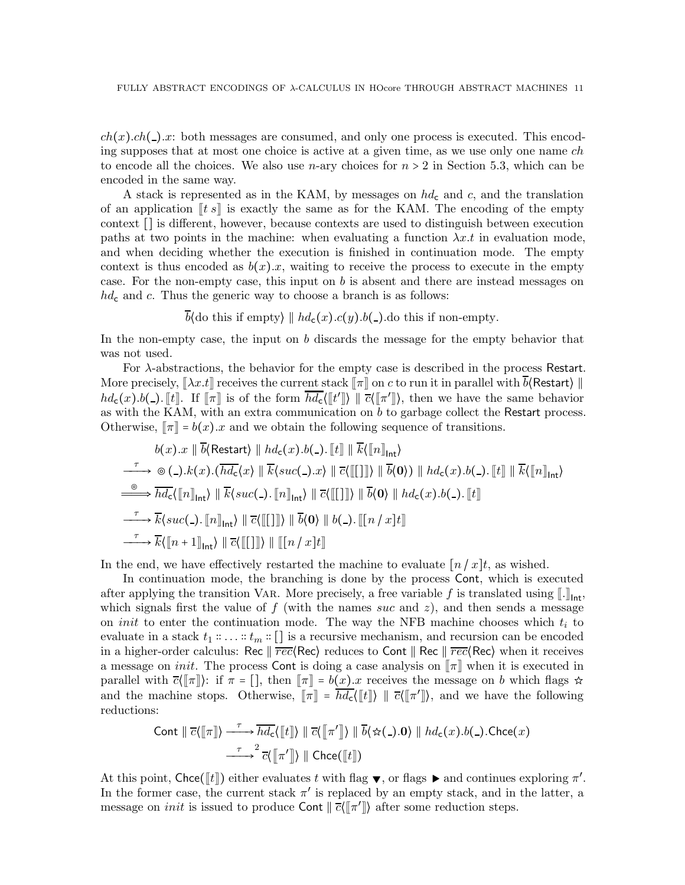$ch(x).ch( ) . x:$  both messages are consumed, and only one process is executed. This encoding supposes that at most one choice is active at a given time, as we use only one name ch to encode all the choices. We also use *n*-ary choices for  $n > 2$  in Section [5.3,](#page-20-0) which can be encoded in the same way.

A stack is represented as in the KAM, by messages on  $hd<sub>c</sub>$  and c, and the translation of an application  $\|ts\|$  is exactly the same as for the KAM. The encoding of the empty context [] is different, however, because contexts are used to distinguish between execution paths at two points in the machine: when evaluating a function  $\lambda x.t$  in evaluation mode, and when deciding whether the execution is finished in continuation mode. The empty context is thus encoded as  $b(x).x$ , waiting to receive the process to execute in the empty case. For the non-empty case, this input on  $b$  is absent and there are instead messages on  $hd<sub>c</sub>$  and c. Thus the generic way to choose a branch is as follows:

 $\overline{b}$ (do this if empty)  $\| hd_{c}(x).c(y).b(.)$ .do this if non-empty.

In the non-empty case, the input on b discards the message for the empty behavior that was not used.

For  $\lambda$ -abstractions, the behavior for the empty case is described in the process Restart. More precisely,  $\left[\lambda x.t\right]$  receives the current stack  $\left[\pi\right]$  on c to run it in parallel with  $\overline{b}$ (Restart)  $\parallel$  $hd_c(x) \cdot b(.)$  [t]. If  $\llbracket \pi \rrbracket$  is of the form  $\overline{hd_c}(\llbracket t \rrbracket) \parallel \overline{c}(\llbracket \pi' \rrbracket)$ , then we have the same behavior as with the KAM, with an extra communication on b to garbage collect the Restart process. Otherwise,  $\lceil \pi \rceil = b(x).x$  and we obtain the following sequence of transitions.

$$
b(x).x \parallel b(\text{Restart}) \parallel hd_{c}(x).b(.)\cdot [t] \parallel k([n]_{\text{int}})
$$
  
\n
$$
\xrightarrow{\tau} \circledcirc(.).k(x).(\overline{hd_{c}}\langle x\rangle \parallel \overline{k}\langle suc(.).x\rangle \parallel \overline{c}\langle [[\cdot]]\rangle \parallel \overline{b}\langle 0\rangle) \parallel hd_{c}(x).b(.)\cdot [t] \parallel \overline{k}\langle [\![n]\!]_{\text{int}}\rangle
$$
  
\n
$$
\xrightarrow{\circledcirc} \overline{hd_{c}}\langle [\![n]\!]_{\text{int}}\rangle \parallel \overline{k}\langle suc(.).\![n]\!]_{\text{int}}\rangle \parallel \overline{c}\langle [[\cdot]]\rangle \parallel \overline{b}\langle 0\rangle \parallel hd_{c}(x).b(.)\cdot [t]
$$
  
\n
$$
\xrightarrow{\tau} \overline{k}\langle suc(.).\![n]\!]_{\text{int}}\rangle \parallel \overline{c}\langle [[\cdot]]\rangle \parallel \overline{b}\langle 0\rangle \parallel b(.)\cdot [[\![n/x]t]\!]
$$
  
\n
$$
\xrightarrow{\tau} \overline{k}\langle [\![n+1]\!]_{\text{int}}\rangle \parallel \overline{c}\langle [[\cdot]]\rangle \parallel [[\![n/x]t]\!]
$$

In the end, we have effectively restarted the machine to evaluate  $\lceil n / x \rceil t$ , as wished.

In continuation mode, the branching is done by the process Cont, which is executed after applying the transition VAR. More precisely, a free variable f is translated using  $\llbracket \cdot \rrbracket_{\text{int}}$ , which signals first the value of  $f$  (with the names suc and  $z$ ), and then sends a message on *init* to enter the continuation mode. The way the NFB machine chooses which  $t_i$  to evaluate in a stack  $t_1 :: \ldots :: t_m :: []$  is a recursive mechanism, and recursion can be encoded in a higher-order calculus: Rec  $\|\vec{rec}(\text{Rec})\|$  reduces to Cont  $\|\text{Rec}\|\vec{rec}(\text{Rec})\|$  when it receives a message on *init*. The process Cont is doing a case analysis on  $\lbrack \lbrack \pi \rbrack$  when it is executed in parallel with  $\overline{c}(\overline{\mathbb{R}})$ : if  $\pi = []$ , then  $\overline{\mathbb{R}} = b(x).x$  receives the message on b which flags  $\star$ and the machine stops. Otherwise,  $\llbracket \pi \rrbracket = \overline{hd}_{\mathsf{c}}(\llbracket t \rrbracket) \parallel \overline{c}(\llbracket \pi' \rrbracket)$ , and we have the following reductions:

$$
\text{Cont } \|\overline{c}\langle[\![\pi]\!]\rangle \xrightarrow{\tau} \overline{hd_c}\langle[\![t]\!]\rangle \|\overline{c}\langle[\![\pi']\!]\rangle \|\overline{b}\langle \hat{\star}(\_).0\rangle \|\, hd_c(x).b(\_). \text{Check}(x)
$$
\n
$$
\xrightarrow{\tau}^2 \overline{c}\langle[\![\pi']\!]\rangle \|\text{Check}([t]\!])
$$

At this point, Chce( $[[t]]$ ) either evaluates t with flag  $\blacktriangledown$ , or flags  $\blacktriangleright$  and continues exploring  $\pi'$ . In the former case, the current stack  $\pi'$  is replaced by an empty stack, and in the latter, a message on *init* is issued to produce Cont  $\|\bar{c}(\llbracket \pi' \rrbracket)$  after some reduction steps.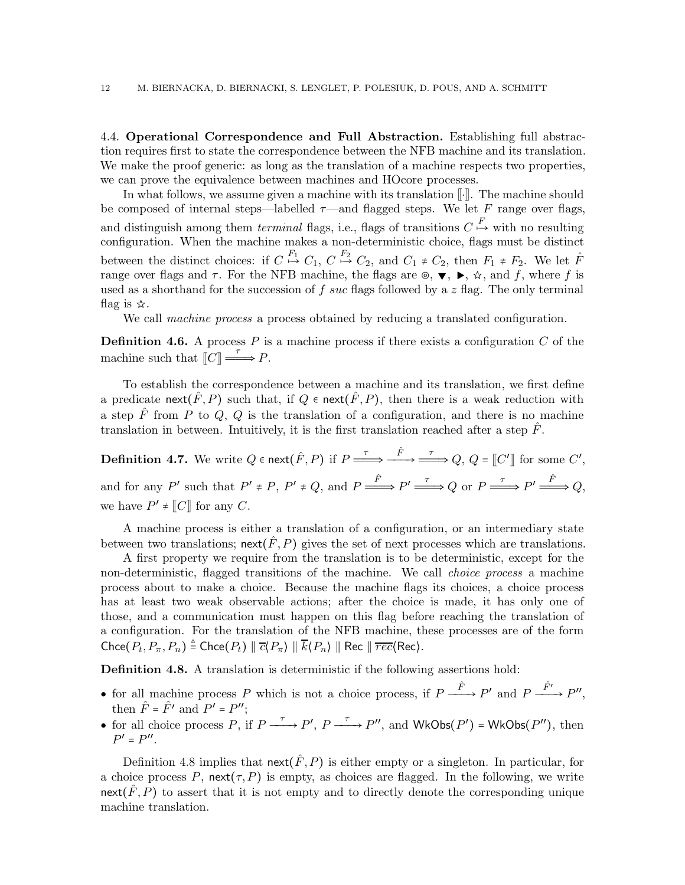<span id="page-11-0"></span>4.4. Operational Correspondence and Full Abstraction. Establishing full abstraction requires first to state the correspondence between the NFB machine and its translation. We make the proof generic: as long as the translation of a machine respects two properties, we can prove the equivalence between machines and HOcore processes.

In what follows, we assume given a machine with its translation  $\lVert \cdot \rVert$ . The machine should be composed of internal steps—labelled  $\tau$ —and flagged steps. We let F range over flags, and distinguish among them *terminal* flags, i.e., flags of transitions  $C \stackrel{F}{\mapsto}$  with no resulting configuration. When the machine makes a non-deterministic choice, flags must be distinct between the distinct choices: if  $C \stackrel{F_1}{\mapsto} C_1$ ,  $C \stackrel{F_2}{\mapsto} C_2$ , and  $C_1 \neq C_2$ , then  $F_1 \neq F_2$ . We let  $\hat{F}$ range over flags and  $\tau$ . For the NFB machine, the flags are  $\circ$ ,  $\blacktriangledown$ ,  $\blacktriangleright$ ,  $\star$ , and f, where f is used as a shorthand for the succession of f suc flags followed by a z flag. The only terminal flag is  $\hat{\mathbf{x}}$ .

We call *machine process* a process obtained by reducing a translated configuration.

**Definition 4.6.** A process P is a machine process if there exists a configuration C of the machine such that  $\llbracket C \rrbracket \stackrel{\tau}{\Longrightarrow} P$ .

To establish the correspondence between a machine and its translation, we first define a predicate next( $\hat{F}, P$ ) such that, if  $Q \in \text{next}(\hat{F}, P)$ , then there is a weak reduction with a step  $\hat{F}$  from P to Q, Q is the translation of a configuration, and there is no machine translation in between. Intuitively, it is the first translation reached after a step  $\hat{F}$ .

**Definition 4.7.** We write  $Q \in \text{next}(\hat{F}, P)$  if  $P \xrightarrow{\tau} \xrightarrow{\hat{F}} \xrightarrow{\tau} Q$ ,  $Q = \llbracket C' \rrbracket$  for some  $C',$ and for any P' such that  $P' \neq P$ ,  $P' \neq Q$ , and  $P \xrightarrow{\hat{F}} P' \xrightarrow{\tau} Q$  or  $P \xrightarrow{\tau} P' \xrightarrow{\hat{F}} Q$ , we have  $P' \neq [C]$  for any C.

A machine process is either a translation of a configuration, or an intermediary state between two translations; next( $\hat{F}, P$ ) gives the set of next processes which are translations.

A first property we require from the translation is to be deterministic, except for the non-deterministic, flagged transitions of the machine. We call choice process a machine process about to make a choice. Because the machine flags its choices, a choice process has at least two weak observable actions; after the choice is made, it has only one of those, and a communication must happen on this flag before reaching the translation of a configuration. For the translation of the NFB machine, these processes are of the form  $\mathsf{Check}(P_t, P_\pi, P_n) \triangleq \mathsf{Check}(P_t) \parallel \overline{c}\langle P_\pi \rangle \parallel \overline{k}\langle P_n \rangle \parallel \mathsf{Rec} \parallel \overline{rec} \langle \mathsf{Rec} \rangle.$ 

<span id="page-11-1"></span>Definition 4.8. A translation is deterministic if the following assertions hold:

- for all machine process P which is not a choice process, if  $P \xrightarrow{\hat{F}} P'$  and  $P \xrightarrow{\hat{F}'} P''$ , then  $\hat{F} = \hat{F'}$  and  $P' = P''$ ;
- for all choice process P, if  $P \xrightarrow{\tau} P'$ ,  $P \xrightarrow{\tau} P''$ , and WkObs( $P'$ ) = WkObs( $P''$ ), then  $P' = P''$ .

Definition [4.8](#page-11-1) implies that  $\operatorname{next}(\hat{F}, P)$  is either empty or a singleton. In particular, for a choice process P, next( $\tau$ , P) is empty, as choices are flagged. In the following, we write next( $\hat{F}, P$ ) to assert that it is not empty and to directly denote the corresponding unique machine translation.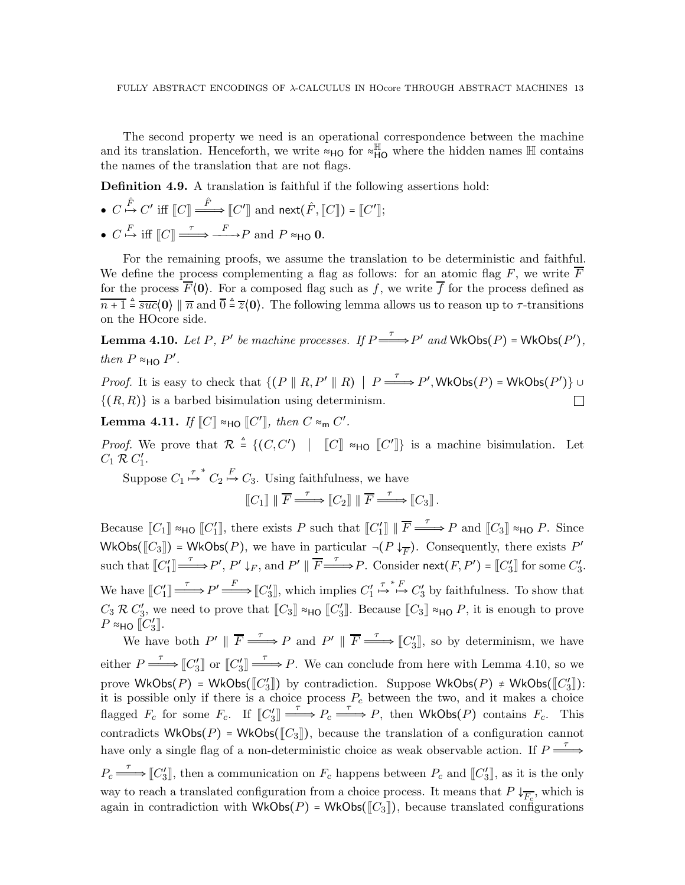The second property we need is an operational correspondence between the machine and its translation. Henceforth, we write  $\approx$ H<sub>O</sub> for  $\approx$ <sup>H</sup><sub>HO</sub> where the hidden names H contains the names of the translation that are not flags.

Definition 4.9. A translation is faithful if the following assertions hold:

\n- \n
$$
C \xrightarrow{\hat{F}} C'
$$
 iff  $[C] \xrightarrow{\hat{F}} [C']$  and  $\text{next}(\hat{F}, [C]) = [C']$ ;\n
\n- \n $C \xrightarrow{F} \text{iff } [C] \xrightarrow{\tau} \xrightarrow{F} P$  and  $P \approx_{\text{HO}} 0$ .\n
\n

For the remaining proofs, we assume the translation to be deterministic and faithful. We define the process complementing a flag as follows: for an atomic flag  $F$ , we write  $F$ for the process  $\overline{F}(0)$ . For a composed flag such as f, we write  $\overline{f}$  for the process defined as  $\overline{n+1} \stackrel{\Delta}{=} \overline{suc}\langle 0 \rangle \parallel \overline{n}$  and  $\overline{0} \stackrel{\Delta}{=} \overline{z}\langle 0 \rangle$ . The following lemma allows us to reason up to  $\tau$ -transitions on the HOcore side.

<span id="page-12-0"></span>**Lemma 4.10.** Let P, P' be machine processes. If  $P \stackrel{\tau}{\Longrightarrow} P'$  and  $WkObs(P)$  =  $WkObs(P'),$ then  $P \approx_{\text{HO}} P'$ .

*Proof.* It is easy to check that  $\{(P \parallel R, P' \parallel R) \mid P \longrightarrow P', \text{WkObs}(P) = \text{WkObs}(P')\}$  $\{(R, R)\}\$ is a barbed bisimulation using determinism.  $\Box$ 

<span id="page-12-1"></span>Lemma 4.11. If  $\llbracket C \rrbracket \approx_{\sf HO} \llbracket C' \rrbracket$ , then  $C \approx_{\sf m} C'.$ 

*Proof.* We prove that  $\mathcal{R} \triangleq \{ (C, C') \mid [C] \approx_{\text{HO}} [C'] \}$  is a machine bisimulation. Let  $C_1 \mathcal{R} C_1'.$ 

Suppose  $C_1 \stackrel{\tau}{\mapsto}^* C_2 \stackrel{F}{\mapsto} C_3$ . Using faithfulness, we have

$$
\llbracket C_1 \rrbracket \parallel \overline{F} \xrightarrow{\tau} \llbracket C_2 \rrbracket \parallel \overline{F} \xrightarrow{\tau} \llbracket C_3 \rrbracket.
$$

Because  $[[C_1]] \approx_{\text{HO}} [[C_1']],$  there exists P such that  $[[C_1']]] || \overline{F} \xrightarrow{\tau} P$  and  $[[C_3]] \approx_{\text{HO}} P$ . Since  $WkObs([\![C_3]\!]) = WkObs(P)$ , we have in particular  $\neg (P \downarrow_{\overline{F}})$ . Consequently, there exists  $P'$ such that  $[[C_1'] \xrightarrow{\tau} P', P' \downarrow_F$ , and  $P' \parallel \overline{F} \xrightarrow{\tau} P$ . Consider  $\text{next}(F, P') = [[C_3']]$  for some  $C_3'$ . We have  $[[C_1'] \xrightarrow{\tau} P' \xrightarrow{F} [C_3']$ , which implies  $C_1'$  $\stackrel{\tau}{\mapsto} \stackrel{\star}{\mapsto} C_3'$  by faithfulness. To show that  $C_3 \mathcal{R} C'_3$ , we need to prove that  $[[C_3]] \approx_{\text{HO}} [C'_3]$ . Because  $[[C_3]] \approx_{\text{HO}} P$ , it is enough to prove  $P$  ≈но  $[[C_3']$ .

We have both  $P' \parallel \overline{F} \stackrel{\tau}{\Longrightarrow} P$  and  $P' \parallel \overline{F} \stackrel{\tau}{\Longrightarrow} [C_3']$ , so by determinism, we have either  $P \stackrel{\tau}{\Longrightarrow} [C_3'] \stackrel{\tau}{\Longrightarrow} P$ . We can conclude from here with Lemma [4.10,](#page-12-0) so we prove  $\mathsf{WkObs}(P) = \mathsf{WkObs}(\llbracket C'_3 \rrbracket)$  by contradiction. Suppose  $\mathsf{WkObs}(P) \neq \mathsf{WkObs}(\llbracket C'_3 \rrbracket)$ : it is possible only if there is a choice process  $P_c$  between the two, and it makes a choice flagged  $F_c$  for some  $F_c$ . If  $[[C_3'] \xrightarrow{\tau} P_c \xrightarrow{\tau} P$ , then WkObs(P) contains  $F_c$ . This contradicts WkObs( $P$ ) = WkObs( $\llbracket C_3 \rrbracket$ ), because the translation of a configuration cannot have only a single flag of a non-deterministic choice as weak observable action. If  $P \stackrel{\tau}{\longrightarrow}$  $P_c \longrightarrow \llbracket C_3' \rrbracket$ , then a communication on  $F_c$  happens between  $P_c$  and  $\llbracket C_3' \rrbracket$ , as it is the only way to reach a translated configuration from a choice process. It means that  $P \downarrow_{\overline{F_c}}$ , which is again in contradiction with  $WkObs(P) = WkObs([\llbracket C_3 \rrbracket))$ , because translated configurations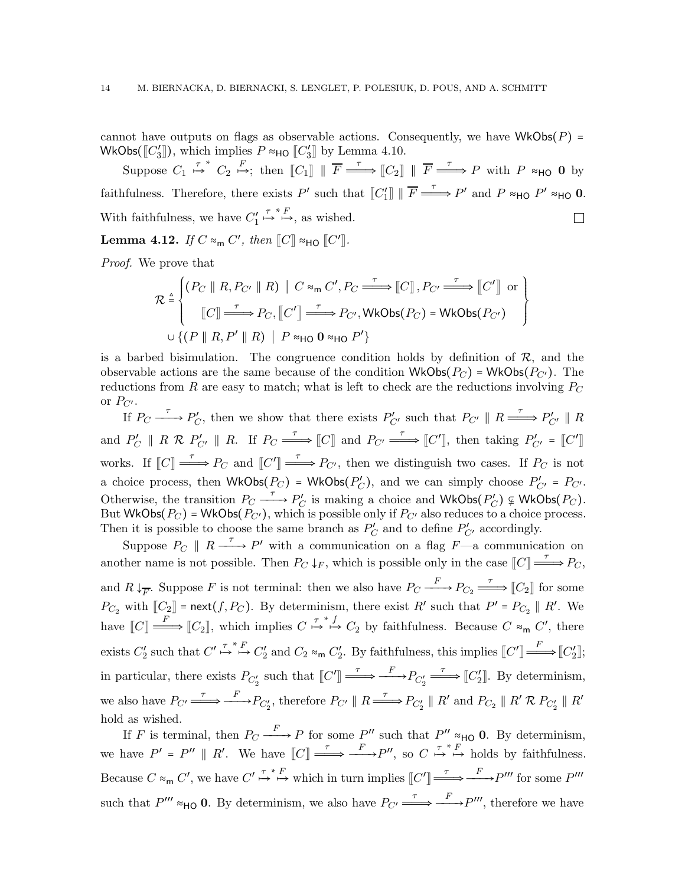cannot have outputs on flags as observable actions. Consequently, we have  $WkObs(P)$  = WkObs( $[[C_3']],$  which implies  $P \approx_{\text{HO}} [C_3']$  by Lemma [4.10.](#page-12-0)

Suppose  $C_1 \stackrel{\tau}{\mapsto}^* C_2 \stackrel{F}{\mapsto}$ ; then  $[[C_1]] || \overline{F} \stackrel{\tau}{\Longrightarrow} [[C_2]] || \overline{F} \stackrel{\tau}{\Longrightarrow} P$  with  $P \approx_{\text{HO}} 0$  by faithfulness. Therefore, there exists P' such that  $[[C_1']] || \overline{F} \stackrel{\tau}{\Longrightarrow} P'$  and P  $\approx_{\text{HO}} P' \approx_{\text{HO}} 0$ .  $\stackrel{\tau}{\mapsto} \stackrel{*}{\mapsto}$ , as wished. With faithfulness, we have  $C_1'$  $\Box$ 

<span id="page-13-0"></span>Lemma 4.12. If  $C \approx_{\sf m} C'$ , then  $\llbracket C \rrbracket \approx_{\sf HO} \llbracket C' \rrbracket$ .

Proof. We prove that

$$
\mathcal{R} \stackrel{\triangle}{=} \left\{ \begin{aligned} & (P_C \parallel R, P_{C'} \parallel R) \mid C \approx_{\mathsf{m}} C', P_C \stackrel{\tau}{\Longrightarrow} [C], P_{C'} \stackrel{\tau}{\Longrightarrow} [C'] \text{ or } \\ & [C] \stackrel{\tau}{\Longrightarrow} P_C, [C'] \stackrel{\tau}{\Longrightarrow} P_{C'}, \mathsf{WkObs}(P_C) = \mathsf{WkObs}(P_{C'}) \\ & \cup \{ (P \parallel R, P' \parallel R) \mid P \approx_{\mathsf{HO}} 0 \approx_{\mathsf{HO}} P' \} \end{aligned} \right\}
$$

is a barbed bisimulation. The congruence condition holds by definition of  $\mathcal{R}$ , and the observable actions are the same because of the condition  $WkObs(P_C)$  = WkObs( $P_{C'}$ ). The reductions from  $R$  are easy to match; what is left to check are the reductions involving  $P_C$ or  $P_{C'}$ .

If  $P_C \xrightarrow{\tau} P'_C$ , then we show that there exists  $P'_{C'}$  such that  $P_{C'} \parallel R \xrightarrow{\tau} P'_{C'} \parallel R$ and  $P'_C \parallel R \mathcal{R} P'_{C'} \parallel R$ . If  $P_C \stackrel{\tau}{\Longrightarrow} [C]$  and  $P_{C'} \stackrel{\tau}{\Longrightarrow} [C']$ , then taking  $P'_{C'} = [C']$ works. If  $\llbracket C \rrbracket \stackrel{\tau}{\longrightarrow} P_C$  and  $\llbracket C' \rrbracket \stackrel{\tau}{\longrightarrow} P_{C'}$ , then we distinguish two cases. If  $P_C$  is not a choice process, then  $WkObs(P_C) = WkObs(P'_C)$ , and we can simply choose  $P'_{C'} = P_{C'}$ . Otherwise, the transition  $P_C \xrightarrow{\tau} P_C'$  is making a choice and WkObs $(P_C') \nsubseteq WkObs(P_C)$ . But WkObs( $P_C$ ) = WkObs( $P_{C'}$ ), which is possible only if  $P_{C'}$  also reduces to a choice process. Then it is possible to choose the same branch as  $P'_C$  and to define  $P'_{C'}$  accordingly.

Suppose  $P_C \parallel R \xrightarrow{\tau} P'$  with a communication on a flag  $F$ —a communication on another name is not possible. Then  $P_C \downarrow_F$ , which is possible only in the case  $\llbracket C \rrbracket \stackrel{\tau}{\longrightarrow} P_C$ , and  $R \downarrow_{\overline{F}}$ . Suppose F is not terminal: then we also have  $P_C \xrightarrow{F} P_{C_2} \xrightarrow{\tau} [C_2]$  for some  $P_{C_2}$  with  $[[C_2]] = \text{next}(f, P_C)$ . By determinism, there exist R' such that  $P' = P_{C_2} \parallel R'$ . We have  $\llbracket C \rrbracket \stackrel{F}{\longrightarrow} \llbracket C_2 \rrbracket$ , which implies  $C \stackrel{\tau^*}{\mapsto} C_2$  by faithfulness. Because  $C \approx_{\sf m} C'$ , there exists  $C'_2$  such that  $C' \stackrel{\tau}{\mapsto} \stackrel{\kappa}{\mapsto} C'_2$  and  $C_2 \approx_{\sf m} C'_2$ . By faithfulness, this implies  $[[C'] \stackrel{F}{\Longrightarrow} [[C'_2]]$ ; in particular, there exists  $P_{C_2'}$  such that  $[[C'] \xrightarrow{\tau} \longrightarrow^F P_{C_2'} \xrightarrow{\tau} [[C_2']]$ . By determinism, we also have  $P_{C'} \stackrel{\tau}{\Longrightarrow} \stackrel{F}{\longrightarrow} P_{C'_2}$ , therefore  $P_{C'} \parallel R \stackrel{\tau}{\Longrightarrow} P_{C'_2} \parallel R'$  and  $P_{C_2} \parallel R' \mathcal{R} P_{C'_2} \parallel R'$ hold as wished.

If F is terminal, then  $P_C \xrightarrow{F} P$  for some P'' such that  $P'' \approx_{\text{HO}} 0$ . By determinism, we have  $P' = P'' \parallel R'$ . We have  $\llbracket C \rrbracket \stackrel{\tau}{\longrightarrow} \frac{F}{\longrightarrow} P''$ , so  $C \stackrel{\tau}{\mapsto} \stackrel{\tau}{\mapsto} F$  holds by faithfulness. Because  $C \approx_{\mathsf{m}} C'$ , we have  $C' \stackrel{\tau^* F}{\mapsto} \mapsto$  which in turn implies  $[[C'] \stackrel{\tau}{\Longrightarrow} \stackrel{F}{\longrightarrow} P'''$  for some  $P'''$ such that  $P''' \approx_{\text{HO}} 0$ . By determinism, we also have  $P_{C'} \xrightarrow{\tau} \xrightarrow{F} P'''$ , therefore we have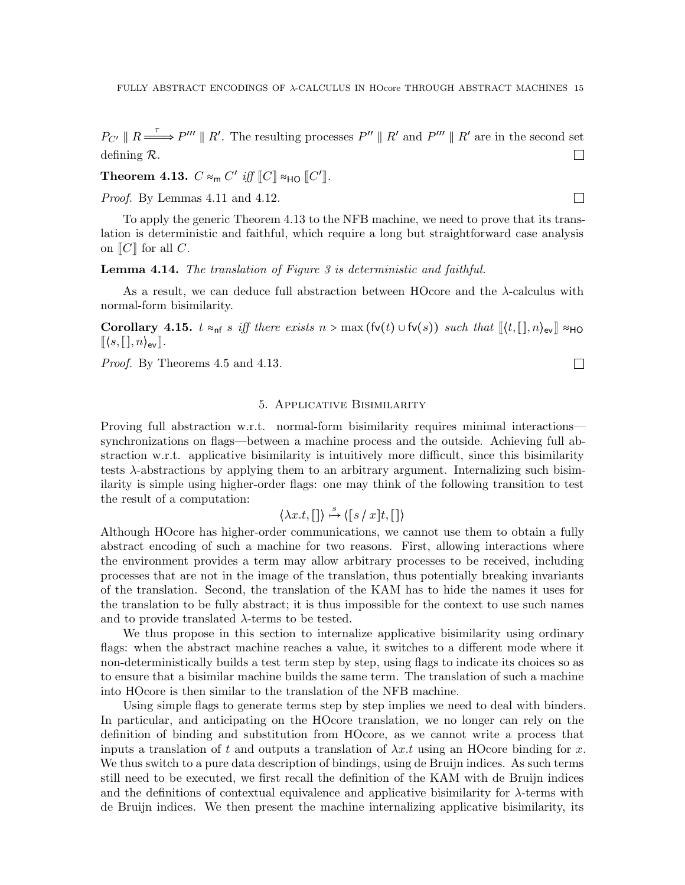$P_{\mathcal{C}'} \parallel R \longrightarrow P''' \parallel R'$ . The resulting processes  $P'' \parallel R'$  and  $P''' \parallel R'$  are in the second set defining R.  $\Box$ 

<span id="page-14-1"></span>Theorem 4.13.  $C \approx_{\sf m} C'$  iff  $\llbracket C \rrbracket \approx_{\sf HO} \llbracket C' \rrbracket$ .

Proof. By Lemmas [4.11](#page-12-1) and [4.12.](#page-13-0)

To apply the generic Theorem [4.13](#page-14-1) to the NFB machine, we need to prove that its translation is deterministic and faithful, which require a long but straightforward case analysis on  $\|C\|$  for all C.

**Lemma 4.14.** The translation of Figure [3](#page-9-0) is deterministic and faithful.

As a result, we can deduce full abstraction between HOcore and the λ-calculus with normal-form bisimilarity.

Corollary 4.15.  $t \approx_{\text{nf}} s$  iff there exists  $n > \max(\text{fv}(t) \cup \text{fv}(s))$  such that  $\langle \text{v}(t), [n]_{\text{ev}} \rangle \approx_{\text{HO}}$  $\langle (s, [], n)_{\text{ev}} \rangle$ .

<span id="page-14-0"></span>Proof. By Theorems [4.5](#page-8-1) and [4.13.](#page-14-1)

## 5. Applicative Bisimilarity

Proving full abstraction w.r.t. normal-form bisimilarity requires minimal interactions synchronizations on flags—between a machine process and the outside. Achieving full abstraction w.r.t. applicative bisimilarity is intuitively more difficult, since this bisimilarity tests  $\lambda$ -abstractions by applying them to an arbitrary argument. Internalizing such bisimilarity is simple using higher-order flags: one may think of the following transition to test the result of a computation:

$$
\langle \lambda x.t, [\,]\rangle \stackrel{s}{\mapsto} \langle [s \,/\, x]t, [\,]\rangle
$$

Although HOcore has higher-order communications, we cannot use them to obtain a fully abstract encoding of such a machine for two reasons. First, allowing interactions where the environment provides a term may allow arbitrary processes to be received, including processes that are not in the image of the translation, thus potentially breaking invariants of the translation. Second, the translation of the KAM has to hide the names it uses for the translation to be fully abstract; it is thus impossible for the context to use such names and to provide translated  $\lambda$ -terms to be tested.

We thus propose in this section to internalize applicative bisimilarity using ordinary flags: when the abstract machine reaches a value, it switches to a different mode where it non-deterministically builds a test term step by step, using flags to indicate its choices so as to ensure that a bisimilar machine builds the same term. The translation of such a machine into HOcore is then similar to the translation of the NFB machine.

Using simple flags to generate terms step by step implies we need to deal with binders. In particular, and anticipating on the HOcore translation, we no longer can rely on the definition of binding and substitution from HOcore, as we cannot write a process that inputs a translation of t and outputs a translation of  $\lambda x.t$  using an HOcore binding for x. We thus switch to a pure data description of bindings, using de Bruijn indices. As such terms still need to be executed, we first recall the definition of the KAM with de Bruijn indices and the definitions of contextual equivalence and applicative bisimilarity for  $\lambda$ -terms with de Bruijn indices. We then present the machine internalizing applicative bisimilarity, its

 $\Box$ 

 $\Box$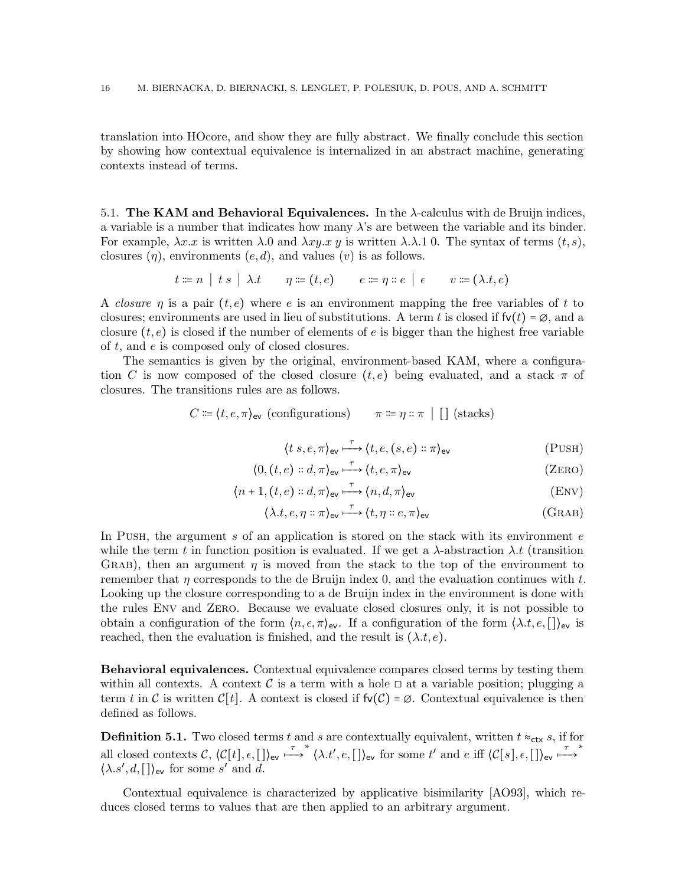translation into HOcore, and show they are fully abstract. We finally conclude this section by showing how contextual equivalence is internalized in an abstract machine, generating contexts instead of terms.

<span id="page-15-0"></span>5.1. The KAM and Behavioral Equivalences. In the  $\lambda$ -calculus with de Bruijn indices, a variable is a number that indicates how many  $\lambda$ 's are between the variable and its binder. For example,  $\lambda x.x$  is written  $\lambda.0$  and  $\lambda xy.x y$  is written  $\lambda.\lambda.1$  0. The syntax of terms  $(t, s)$ , closures  $(\eta)$ , environments  $(e, d)$ , and values  $(v)$  is as follows.

$$
t \coloneqq n \mid t \ s \mid \lambda \ t \qquad \eta \coloneqq (t,e) \qquad e \coloneqq \eta \ :: e \mid \epsilon \qquad v \coloneqq (\lambda \ t,e)
$$

A closure  $\eta$  is a pair  $(t, e)$  where e is an environment mapping the free variables of t to closures; environments are used in lieu of substitutions. A term t is closed if  $f\nu(t) = \emptyset$ , and a closure  $(t, e)$  is closed if the number of elements of e is bigger than the highest free variable of t, and e is composed only of closed closures.

The semantics is given by the original, environment-based KAM, where a configuration C is now composed of the closed closure  $(t, e)$  being evaluated, and a stack  $\pi$  of closures. The transitions rules are as follows.

$$
C \coloneqq \langle t, e, \pi \rangle_{\text{ev}} \text{ (configurations)} \qquad \pi \coloneqq \eta :: \pi \text{ } | \text{ } [\text{ }] \text{ (stacks)}
$$

$$
\langle t \ s, e, \pi \rangle_{\text{ev}} \stackrel{\tau}{\longrightarrow} \langle t, e, (s, e) :: \pi \rangle_{\text{ev}} \tag{PUSH}
$$

$$
\langle 0, (t, e) :: d, \pi \rangle_{\text{ev}} \xrightarrow{\tau} \langle t, e, \pi \rangle_{\text{ev}} \tag{ZERO}
$$

$$
\langle n+1, (t,e) :: d, \pi \rangle_{\text{ev}} \xrightarrow{\tau} \langle n, d, \pi \rangle_{\text{ev}}
$$
 (Env)

$$
\langle \lambda.t, e, \eta : \pi \rangle_{\text{ev}} \xrightarrow{\tau} \langle t, \eta : e, \pi \rangle_{\text{ev}} \tag{GRAB}
$$

In Push, the argument s of an application is stored on the stack with its environment  $e$ while the term t in function position is evaluated. If we get a  $\lambda$ -abstraction  $\lambda$ t (transition GRAB), then an argument  $\eta$  is moved from the stack to the top of the environment to remember that  $\eta$  corresponds to the de Bruijn index 0, and the evaluation continues with t. Looking up the closure corresponding to a de Bruijn index in the environment is done with the rules Env and Zero. Because we evaluate closed closures only, it is not possible to obtain a configuration of the form  $\langle n, \epsilon, \pi \rangle_{\text{ev}}$ . If a configuration of the form  $\langle \lambda.t, e, \mathbf{I} \rangle_{\text{ev}}$  is reached, then the evaluation is finished, and the result is  $(\lambda t, e)$ .

Behavioral equivalences. Contextual equivalence compares closed terms by testing them within all contexts. A context C is a term with a hole  $\Box$  at a variable position; plugging a term t in C is written  $\mathcal{C}[t]$ . A context is closed if  $f\nu(\mathcal{C}) = \emptyset$ . Contextual equivalence is then defined as follows.

**Definition 5.1.** Two closed terms t and s are contextually equivalent, written  $t \approx_{\text{ctx}} s$ , if for all closed contexts  $\mathcal{C}, \langle \mathcal{C}[t], \epsilon, [\cdot] \rangle_{\text{ev}} \stackrel{\tau}{\longrightarrow}^* \langle \lambda. t', e, [\cdot] \rangle_{\text{ev}}$  for some  $t'$  and  $e$  iff  $\langle \mathcal{C}[s], \epsilon, [\cdot] \rangle_{\text{ev}} \stackrel{\tau}{\longrightarrow}^*$  $\langle \lambda.s', d, [\,]\rangle_{\text{ev}}$  for some s' and d.

Contextual equivalence is characterized by applicative bisimilarity [\[AO93\]](#page-36-0), which reduces closed terms to values that are then applied to an arbitrary argument.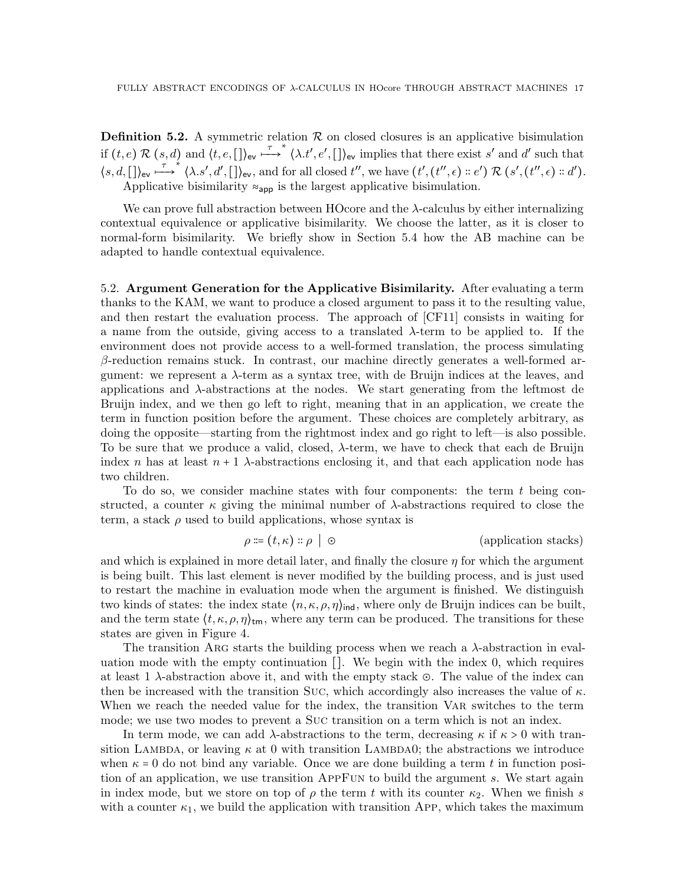**Definition 5.2.** A symmetric relation  $\mathcal{R}$  on closed closures is an applicative bisimulation if  $(t, e) \mathcal{R}(s, d)$  and  $\langle t, e, [\ ]\rangle_{\text{ev}} \stackrel{\tau}{\longrightarrow}^* \langle \lambda. t', e', [\ ]\rangle_{\text{ev}}$  implies that there exist s' and d' such that  $\langle s, d, [\,\] \rangle_{ev} \stackrel{\tau}{\longmapsto}^* \langle \lambda. s', d', [\,\] \rangle_{ev}$ , and for all closed  $t''$ , we have  $(t', (t'', \epsilon) :: e') \mathcal{R} (s', (t'', \epsilon) :: d').$ Applicative bisimilarity  $\approx_{\text{app}}$  is the largest applicative bisimulation.

We can prove full abstraction between HOcore and the λ-calculus by either internalizing contextual equivalence or applicative bisimilarity. We choose the latter, as it is closer to normal-form bisimilarity. We briefly show in Section [5.4](#page-23-0) how the AB machine can be adapted to handle contextual equivalence.

<span id="page-16-0"></span>5.2. Argument Generation for the Applicative Bisimilarity. After evaluating a term thanks to the KAM, we want to produce a closed argument to pass it to the resulting value, and then restart the evaluation process. The approach of [\[CF11\]](#page-36-1) consists in waiting for a name from the outside, giving access to a translated λ-term to be applied to. If the environment does not provide access to a well-formed translation, the process simulating  $\beta$ -reduction remains stuck. In contrast, our machine directly generates a well-formed argument: we represent a  $\lambda$ -term as a syntax tree, with de Bruijn indices at the leaves, and applications and  $\lambda$ -abstractions at the nodes. We start generating from the leftmost de Bruijn index, and we then go left to right, meaning that in an application, we create the term in function position before the argument. These choices are completely arbitrary, as doing the opposite—starting from the rightmost index and go right to left—is also possible. To be sure that we produce a valid, closed, λ-term, we have to check that each de Bruijn index n has at least  $n+1$   $\lambda$ -abstractions enclosing it, and that each application node has two children.

To do so, we consider machine states with four components: the term  $t$  being constructed, a counter  $\kappa$  giving the minimal number of  $\lambda$ -abstractions required to close the term, a stack  $\rho$  used to build applications, whose syntax is

 $\rho \coloneqq (t, \kappa) :: \rho \mid \odot$  (application stacks)

and which is explained in more detail later, and finally the closure  $\eta$  for which the argument is being built. This last element is never modified by the building process, and is just used to restart the machine in evaluation mode when the argument is finished. We distinguish two kinds of states: the index state  $\langle n, \kappa, \rho, \eta \rangle_{\text{ind}}$ , where only de Bruijn indices can be built, and the term state  $\langle t, \kappa, \rho, \eta \rangle_{tm}$ , where any term can be produced. The transitions for these states are given in Figure [4.](#page-17-0)

The transition ARG starts the building process when we reach a  $\lambda$ -abstraction in evaluation mode with the empty continuation []. We begin with the index 0, which requires at least 1 λ-abstraction above it, and with the empty stack ⊙. The value of the index can then be increased with the transition Suc, which accordingly also increases the value of  $\kappa$ . When we reach the needed value for the index, the transition Var switches to the term mode; we use two modes to prevent a Suc transition on a term which is not an index.

In term mode, we can add  $\lambda$ -abstractions to the term, decreasing  $\kappa$  if  $\kappa > 0$  with transition LAMBDA, or leaving  $\kappa$  at 0 with transition LAMBDA0; the abstractions we introduce when  $\kappa = 0$  do not bind any variable. Once we are done building a term t in function position of an application, we use transition AppFun to build the argument s. We start again in index mode, but we store on top of  $\rho$  the term t with its counter  $\kappa_2$ . When we finish s with a counter  $\kappa_1$ , we build the application with transition App, which takes the maximum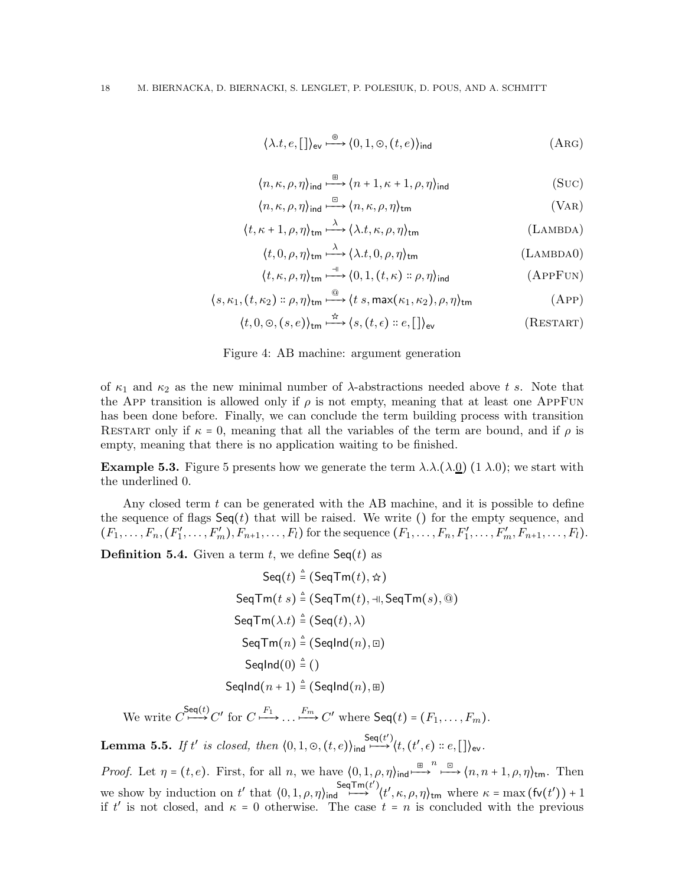$$
\langle \lambda.t, e, [\ ] \rangle_{\text{ev}} \xrightarrow{\circledcirc} \langle 0, 1, \circlearrowleft, (t, e) \rangle_{\text{ind}} \tag{Arg}
$$

$$
\langle n, \kappa, \rho, \eta \rangle_{\text{ind}} \xrightarrow{\boxplus} \langle n+1, \kappa+1, \rho, \eta \rangle_{\text{ind}} \tag{SUC}
$$

$$
\langle n, \kappa, \rho, \eta \rangle_{\text{ind}} \stackrel{\boxdot}{\longmapsto} \langle n, \kappa, \rho, \eta \rangle_{\text{tm}} \tag{VAR}
$$

$$
\langle t, \kappa + 1, \rho, \eta \rangle_{\text{tm}} \stackrel{\lambda}{\longrightarrow} \langle \lambda. t, \kappa, \rho, \eta \rangle_{\text{tm}} \tag{Lambda}
$$

$$
\langle t, 0, \rho, \eta \rangle_{\text{tm}} \stackrel{\lambda}{\longrightarrow} \langle \lambda. t, 0, \rho, \eta \rangle_{\text{tm}}
$$
 (LAMBDA0)

$$
\langle t, \kappa, \rho, \eta \rangle_{\text{tm}} \xrightarrow{\text{d}} \langle 0, 1, (t, \kappa) :: \rho, \eta \rangle_{\text{ind}} \tag{APPFUN}
$$

$$
\langle s, \kappa_1, (t, \kappa_2) :: \rho, \eta \rangle_{\text{tm}} \stackrel{\text{(i)}}{\longrightarrow} \langle t \ s, \max(\kappa_1, \kappa_2), \rho, \eta \rangle_{\text{tm}} \tag{APP}
$$

$$
\langle t, 0, \Theta, (s, e) \rangle_{\text{tm}} \xrightarrow{\hat{\pi}} \langle s, (t, \epsilon) :: e, [] \rangle_{\text{ev}}
$$
 (RESTART)

<span id="page-17-0"></span>Figure 4: AB machine: argument generation

of  $\kappa_1$  and  $\kappa_2$  as the new minimal number of  $\lambda$ -abstractions needed above t s. Note that the App transition is allowed only if  $\rho$  is not empty, meaning that at least one AppFun has been done before. Finally, we can conclude the term building process with transition RESTART only if  $\kappa = 0$ , meaning that all the variables of the term are bound, and if  $\rho$  is empty, meaning that there is no application waiting to be finished.

**Example [5](#page-18-0).3.** Figure 5 presents how we generate the term  $\lambda \lambda . (\lambda \cdot 0)$  (1  $\lambda \cdot 0$ ); we start with the underlined 0.

Any closed term  $t$  can be generated with the AB machine, and it is possible to define the sequence of flags  $\mathsf{Seq}(t)$  that will be raised. We write () for the empty sequence, and  $(F_1, \ldots, F_n, (F'_1, \ldots, F'_m), F_{n+1}, \ldots, F_l)$  for the sequence  $(F_1, \ldots, F_n, F'_1, \ldots, F'_m, F_{n+1}, \ldots, F_l)$ .

**Definition 5.4.** Given a term  $t$ , we define  $\mathsf{Seq}(t)$  as

$$
\mathsf{Seq}(t) \stackrel{\triangle}{=} (\mathsf{SeqTm}(t), \star)
$$
\n
$$
\mathsf{SeqTm}(t \ s) \stackrel{\triangle}{=} (\mathsf{SeqTm}(t), \dashv, \mathsf{SeqTm}(s), \textcircled{1})
$$
\n
$$
\mathsf{SeqTm}(\lambda.t) \stackrel{\triangle}{=} (\mathsf{Seq}(t), \lambda)
$$
\n
$$
\mathsf{SeqTm}(n) \stackrel{\triangle}{=} (\mathsf{SeqInd}(n), \textcircled{1})
$$
\n
$$
\mathsf{SeqInd}(0) \stackrel{\triangle}{=} ()
$$
\n
$$
\mathsf{SeqInd}(n+1) \stackrel{\triangle}{=} (\mathsf{SeqInd}(n), \textcircled{1})
$$

We write  $C \stackrel{\mathsf{Seq}(t)}{\longmapsto} C'$  for  $C \stackrel{F_1}{\longmapsto} \ldots \stackrel{F_m}{\longmapsto} C'$  where  $\mathsf{Seq}(t) = (F_1, \ldots, F_m)$ .

<span id="page-17-1"></span>**Lemma 5.5.** If t' is closed, then  $\langle 0,1,\odot,(t,e) \rangle_{\text{ind}} \stackrel{\mathsf{Seq}(t')}{\longrightarrow} \langle t,(t',\epsilon) :: e, [\,] \rangle_{\text{ev}}$ .

Proof. Let  $\eta = (t, e)$ . First, for all n, we have  $\langle 0, 1, \rho, \eta \rangle_{\text{ind}} \stackrel{\boxplus}{\longrightarrow}^n \stackrel{\boxdot}{\longrightarrow} \langle n, n + 1, \rho, \eta \rangle_{\text{tm}}$ . Then we show by induction on t' that  $(0, 1, \rho, \eta)_{\text{ind}} \stackrel{\mathsf{Seq}\text{-}\mathsf{Tr}(\mathbf{t}')}{\longrightarrow} \langle \mathbf{t}', \kappa, \rho, \eta \rangle_{\text{tm}}$  where  $\kappa = \max (\mathsf{fv}(\mathbf{t}')) + 1$ if t' is not closed, and  $\kappa = 0$  otherwise. The case  $t = n$  is concluded with the previous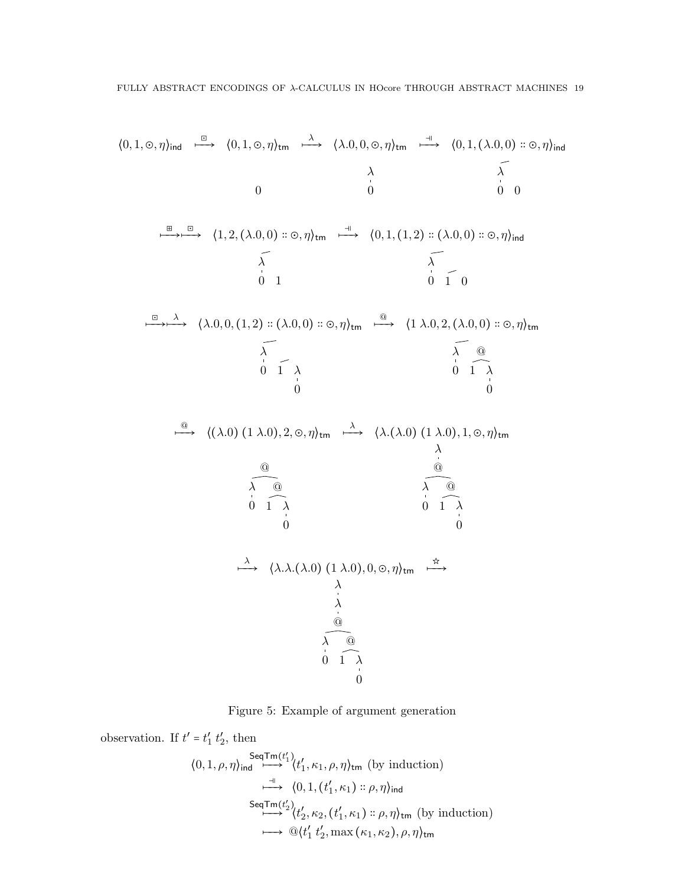$$
\langle 0, 1, \odot, \eta \rangle_{ind} \xrightarrow{\Box} \langle 0, 1, \odot, \eta \rangle_{tm} \xrightarrow{\lambda} \langle \lambda.0, 0, \odot, \eta \rangle_{tm} \xrightarrow{\neg \uparrow} \langle 0, 1, (\lambda.0, 0) : \odot, \eta \rangle_{ind}
$$
\n
$$
\begin{array}{c}\n0 \\
\downarrow \\
0 \\
\downarrow \\
0\n\end{array}
$$
\n
$$
\begin{array}{c}\n\downarrow \\
\downarrow \\
0 \\
\downarrow \\
0\n\end{array}
$$
\n
$$
\begin{array}{c}\n\downarrow \\
\downarrow \\
0 \\
\downarrow \\
0\n\end{array}
$$
\n
$$
\begin{array}{c}\n\downarrow \\
\downarrow \\
0 \\
\downarrow \\
0\n\end{array}
$$
\n
$$
\begin{array}{c}\n\downarrow \\
\downarrow \\
0 \\
\downarrow \\
0\n\end{array}
$$
\n
$$
\begin{array}{c}\n\downarrow \\
\downarrow \\
0 \\
\downarrow \\
0\n\end{array}
$$
\n
$$
\begin{array}{c}\n\downarrow \\
\downarrow \\
0 \\
\downarrow \\
0\n\end{array}
$$
\n
$$
\begin{array}{c}\n\downarrow \\
\downarrow \\
0 \\
\downarrow \\
0\n\end{array}
$$
\n
$$
\begin{array}{c}\n\downarrow \\
\downarrow \\
0 \\
\downarrow \\
0\n\end{array}
$$
\n
$$
\begin{array}{c}\n\downarrow \\
\downarrow \\
0 \\
\downarrow \\
0\n\end{array}
$$
\n
$$
\begin{array}{c}\n\downarrow \\
\downarrow \\
0 \\
\downarrow \\
0\n\end{array}
$$
\n
$$
\begin{array}{c}\n\downarrow \\
\downarrow \\
0 \\
\downarrow \\
0\n\end{array}
$$
\n
$$
\begin{array}{c}\n\downarrow \\
\downarrow \\
0 \\
\downarrow \\
0\n\end{array}
$$
\n
$$
\begin{array}{c}\n\downarrow \\
\downarrow \\
0 \\
\downarrow \\
0\n\end{array}
$$
\n
$$
\begin{array}{c}\n\downarrow \\
\downarrow \\
0 \\
\downarrow \\
0\n\end{array}
$$
\n
$$
\begin{array}{c}\n\downarrow \\
\downarrow \\
0 \\
\downarrow \\
0\n\end{array}
$$
\n
$$
\begin{array}{c}\n\downarrow \\
\downarrow \\
0 \\
\downarrow \\
0\n\end{array}
$$
\n
$$
\begin{array}{c}\n\downarrow \\
\downarrow \\
0
$$

<span id="page-18-0"></span>Figure 5: Example of argument generation

observation. If  $t' = t'_1 t'_2$ , then  $\langle 0, 1, \rho, \eta \rangle_{\text{ind}} \stackrel{\mathsf{Seq}\mathsf{Tm}(t_1')}{\longrightarrow} \langle t_1', \kappa_1, \rho, \eta \rangle_{\text{tm}}$  (by induction)  $\stackrel{\dashv}{\longmapsto}$   $\langle 0,1,(t'_1,\kappa_1):\rho,\eta\rangle_{\mathsf{ind}}$ SeqTm( $t_2'$ )<br>  $\longleftrightarrow$   $\langle t_2', \kappa_2, (t_1', \kappa_1) :: \rho, \eta \rangle_{\text{tm}}$  (by induction)  $\longmapsto \mathbb{Q}\langle t'_1\,t'_2, \max{(\kappa_1,\kappa_2)}, \rho, \eta\rangle_{\sf tm}$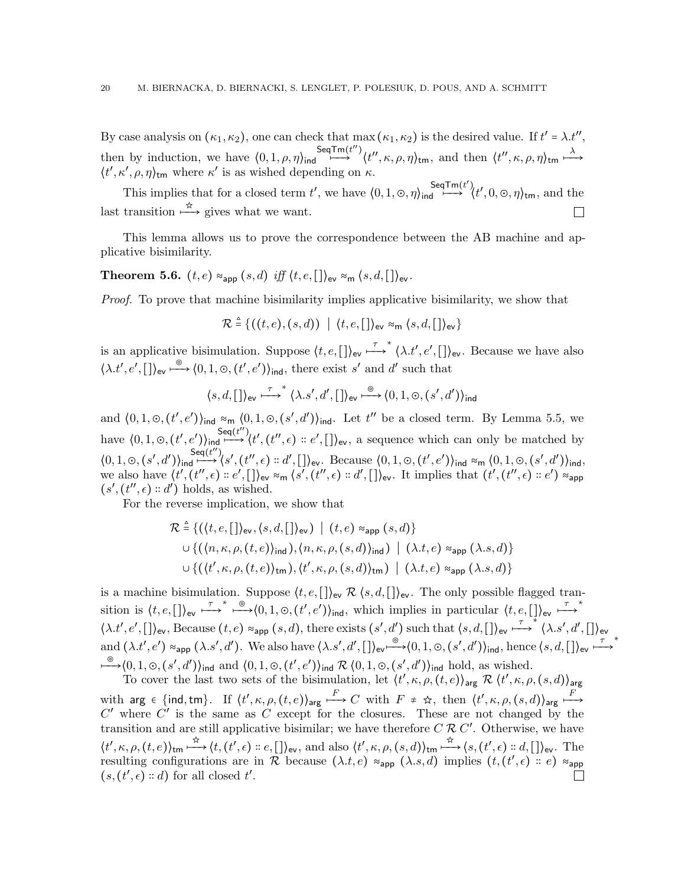By case analysis on  $(\kappa_1, \kappa_2)$ , one can check that max  $(\kappa_1, \kappa_2)$  is the desired value. If  $t' = \lambda \cdot t''$ , then by induction, we have  $\langle 0, 1, \rho, \eta \rangle_{\text{ind}} \stackrel{\text{SeqTm}(t'')}{\longmapsto}$  $\longmapsto^{\text{Trm}(t'')} \langle t'', \kappa, \rho, \eta \rangle_{\text{tm}}, \text{ and then } \langle t'', \kappa, \rho, \eta \rangle_{\text{tm}} \stackrel{\lambda}{\longmapsto}$  $\langle t', \kappa', \rho, \eta \rangle_{\text{tm}}$  where  $\kappa'$  is as wished depending on  $\kappa$ .

This implies that for a closed term t', we have  $\langle 0, 1, \odot, \eta \rangle_{\text{ind}} \stackrel{\text{SeqTm}(t')}{\longrightarrow} \langle t', 0, \odot, \eta \rangle_{\text{tm}}$ , and the last transition  $\stackrel{\star}{\longrightarrow}$  gives what we want.  $\Box$ 

This lemma allows us to prove the correspondence between the AB machine and applicative bisimilarity.

Theorem 5.6.  $(t, e) \approx_{\textsf{app}} (s, d)$  iff  $\langle t, e, [\,]\rangle_{\textsf{ev}} \approx_{\textsf{m}} \langle s, d, [\,]\rangle_{\textsf{ev}}$ .

Proof. To prove that machine bisimilarity implies applicative bisimilarity, we show that

 $\mathcal{R} \triangleq \{((t, e), (s, d)) \mid \langle t, e, [\,]\rangle_{\text{ev}} \approx_{\text{m}} \langle s, d, [\,]\rangle_{\text{ev}}\}$ 

is an applicative bisimulation. Suppose  $\langle t, e, [\,\] \rangle_{\text{ev}} \stackrel{\tau}{\longrightarrow}^* \langle \lambda. t', e', [\,\] \rangle_{\text{ev}}$ . Because we have also  $\langle \lambda. t', e', \lbrack \rbrack \rangle_{\text{ev}} \stackrel{\circ}{\longrightarrow} \langle 0, 1, \circlearrowright, (t', e') \rangle_{\text{ind}}$ , there exist s' and d' such that

$$
\langle s, d, [\,]\rangle_{\text{ev}} \stackrel{\tau}{\longmapsto}^* \langle \lambda . s', d', [\,]\rangle_{\text{ev}} \stackrel{\circledcirc}{\longmapsto} \langle 0, 1, \odot, (s', d')\rangle_{\text{ind}}
$$

and  $(0,1,\infty,(t',e'))$ <sub>ind</sub>  $\approx_{\mathsf{m}} (0,1,\infty,(s',d'))$ <sub>ind</sub>. Let  $t''$  be a closed term. By Lemma [5.5,](#page-17-1) we have  $\langle 0, 1, \odot, (t', e') \rangle_{\text{ind}} \stackrel{\mathsf{Seq}(t'')}{\longrightarrow}$  $\overrightarrow{H}$  (t', (t'', e) :: e', [])<sub>ev</sub>, a sequence which can only be matched by  $(0, 1, \odot, (s', d'))$ ind  $\xrightarrow{\textsf{Seq}(t'')}$  $\stackrel{\mathsf{eq}(t)}{\longmapsto} \langle s', (t'', \epsilon) :: d', [\,]\rangle_{\mathsf{ev}}$ . Because  $\langle 0, 1, \odot, (t', e') \rangle_{\mathsf{ind}} \approx_{\mathsf{m}} \langle 0, 1, \odot, (s', d') \rangle_{\mathsf{ind}}$ we also have  $\langle t', (t'', \epsilon) :: e', \end{bmatrix}$  by  $\approx_{\mathsf{m}} \langle s', (t'', \epsilon) :: d', \end{bmatrix}$  by The implies that  $(t', (t'', \epsilon) :: e') \approx_{\mathsf{app}}$  $(s', (t'', \epsilon) :: d')$  holds, as wished.

For the reverse implication, we show that

$$
\mathcal{R} \triangleq \{ (\langle t, e, [\cdot] \rangle_{\text{ev}}, \langle s, d, [\cdot] \rangle_{\text{ev}}) \mid (t, e) \approx_{\text{app}} (s, d) \}
$$
  

$$
\cup \{ (\langle n, \kappa, \rho, (t, e) \rangle_{\text{ind}}), \langle n, \kappa, \rho, (s, d) \rangle_{\text{ind}}) \mid (\lambda. t, e) \approx_{\text{app}} (\lambda. s, d) \}
$$
  

$$
\cup \{ (\langle t', \kappa, \rho, (t, e) \rangle_{\text{tm}}), \langle t', \kappa, \rho, (s, d) \rangle_{\text{tm}}) \mid (\lambda. t, e) \approx_{\text{app}} (\lambda. s, d) \}
$$

is a machine bisimulation. Suppose  $(t, e, []$ <sub>ev</sub>  $\mathcal{R} \{s, d, []\}$ <sub>ev</sub>. The only possible flagged transition is  $\langle t, e, [\,\] \rangle_{\text{ev}} \stackrel{\tau}{\longrightarrow}^* \stackrel{\circ}{\longrightarrow} \langle 0, 1, \circlearrowright, (t', e') \rangle_{\text{ind}}$ , which implies in particular  $\langle t, e, [\,\] \rangle_{\text{ev}} \stackrel{\tau}{\longrightarrow}^*$  $\langle \lambda. t', e', [\] \rangle_{\text{ev}}$ , Because  $(t, e) \approx_{\text{app}} (s, d)$ , there exists  $(s', d')$  such that  $\langle s, d, [\] \rangle_{\text{ev}} \stackrel{\tau}{\longrightarrow} \langle \lambda. s', d', [\] \rangle_{\text{ev}}$ and  $(\lambda.t', e') \approx_{\mathsf{app}} (\lambda.s', d')$ . We also have  $\langle \lambda.s', d', \lbrack \rbrack \rangle_{\mathsf{ev}} \stackrel{\oplus}{\longrightarrow} \langle 0, 1, \odot, (s', d') \rangle_{\mathsf{ind}}$ , hence  $\langle s, d, \lbrack \rbrack \rangle_{\mathsf{ev}} \stackrel{\tau}{\longrightarrow}$ ∗  $\stackrel{\circ}{\longrightarrow}$  $\langle 0,1,\circledcirc,(s',d') \rangle_{\text{ind}}$  and  $\langle 0,1,\circ,(t',e') \rangle_{\text{ind}} \mathcal{R} \langle 0,1,\circ,(s',d') \rangle_{\text{ind}}$  hold, as wished.

To cover the last two sets of the bisimulation, let  $\langle t', \kappa, \rho, (t, e) \rangle_{\text{arg}} \mathcal{R} \langle t', \kappa, \rho, (s, d) \rangle_{\text{arg}}$ with arg  $\epsilon$  {ind,tm}. If  $\langle t', \kappa, \rho, (t, e) \rangle_{\text{arg}} \stackrel{F}{\longrightarrow} C$  with  $F \neq \hat{\kappa}$ , then  $\langle t', \kappa, \rho, (s, d) \rangle_{\text{arg}} \stackrel{F}{\longmapsto}$  $C'$  where  $C'$  is the same as  $C$  except for the closures. These are not changed by the transition and are still applicative bisimilar; we have therefore  $C \mathcal{R} C'$ . Otherwise, we have  $\langle t',\kappa,\rho,(t,e)\rangle_{\text{tm}}\stackrel{\dot{\pi}}{\longrightarrow}\langle t,(t',\epsilon)\nightharpoonup e,[\ ]\rangle_{\text{ev}},$  and also  $\langle t',\kappa,\rho,(s,d)\rangle_{\text{tm}}\stackrel{\dot{\pi}}{\longmapsto}\langle s,(t',\epsilon)\nightharpoonup d,[\ ]\rangle_{\text{ev}}.$  The resulting configurations are in R because  $(\lambda.t,e) \approx_{\textsf{app}} (\lambda.s,d)$  implies  $(t,(t',\epsilon) :: e) \approx_{\textsf{app}}$  $(s, (t', \epsilon) :: d)$  for all closed  $t'.$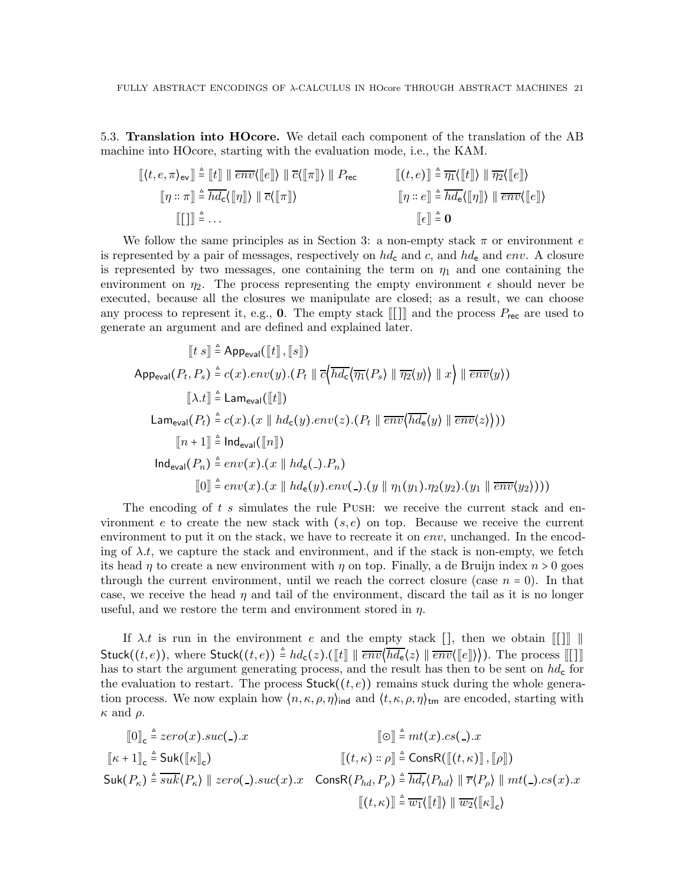<span id="page-20-0"></span>5.3. Translation into HOcore. We detail each component of the translation of the AB machine into HOcore, starting with the evaluation mode, i.e., the KAM.

$$
\llbracket \langle t, e, \pi \rangle_{\text{ev}} \rrbracket \triangleq \llbracket t \rrbracket \parallel \overline{env} \langle \llbracket e \rrbracket \rangle \parallel \overline{c} \langle \llbracket \pi \rrbracket \rangle \parallel P_{\text{rec}} \qquad \llbracket (t, e) \rrbracket \triangleq \overline{\eta_1} \langle \llbracket t \rrbracket \rangle \parallel \overline{\eta_2} \langle \llbracket e \rrbracket \rangle
$$
\n
$$
\llbracket \eta :: \pi \rrbracket \triangleq \overline{hd_c} \langle \llbracket \eta \rrbracket \rangle \parallel \overline{c} \langle \llbracket \pi \rrbracket \rangle \qquad \qquad \llbracket \eta :: e \rrbracket \triangleq \overline{hd_c} \langle \llbracket \eta \rrbracket \rangle \parallel \overline{env} \langle \llbracket e \rrbracket \rangle
$$
\n
$$
\llbracket \eta :: e \rrbracket \triangleq \overline{bd_e} \langle \llbracket \eta \rrbracket \rangle \parallel \overline{env} \langle \llbracket e \rrbracket \rangle
$$

We follow the same principles as in Section [3:](#page-4-0) a non-empty stack  $\pi$  or environment e is represented by a pair of messages, respectively on  $hd_c$  and c, and  $hd_e$  and env. A closure is represented by two messages, one containing the term on  $\eta_1$  and one containing the environment on  $\eta_2$ . The process representing the empty environment  $\epsilon$  should never be executed, because all the closures we manipulate are closed; as a result, we can choose any process to represent it, e.g., **0**. The empty stack  $\llbracket \cdot \rrbracket \rrbracket$  and the process  $P_{\text{rec}}$  are used to generate an argument and are defined and explained later.

$$
[[t s]] \triangleq \text{App}_{\text{eval}}([t], [[s]])
$$
\n
$$
\text{App}_{\text{eval}}(P_t, P_s) \triangleq c(x) . env(y) . (P_t || \overline{c} \langle \overline{hd_c} \langle \overline{\eta_1} \langle P_s \rangle || \overline{\eta_2} \langle y \rangle \rangle || x \rangle || \overline{env} \langle y \rangle)
$$
\n
$$
[[\lambda.t]] \triangleq \text{Lam}_{\text{eval}}([t]])
$$
\n
$$
\text{Lam}_{\text{eval}}(P_t) \triangleq c(x) . (x || hd_c(y) . env(z) . (P_t || \overline{env} \langle \overline{hd_c} \langle y \rangle || \overline{env} \langle z \rangle)))
$$
\n
$$
[[n+1]] \triangleq \text{Ind}_{\text{eval}}([n]])
$$
\n
$$
\text{Ind}_{\text{eval}}(P_n) \triangleq env(x) . (x || hd_e(.) . P_n)
$$
\n
$$
[0] \triangleq env(x) . (x || hd_e(y) . env(.) . (y || \eta_1(y_1) . \eta_2(y_2) . (y_1 || \overline{env} \langle y_2 \rangle)))
$$

The encoding of t s simulates the rule PUSH: we receive the current stack and environment e to create the new stack with  $(s, e)$  on top. Because we receive the current environment to put it on the stack, we have to recreate it on  $env$ , unchanged. In the encoding of  $\lambda.t$ , we capture the stack and environment, and if the stack is non-empty, we fetch its head  $\eta$  to create a new environment with  $\eta$  on top. Finally, a de Bruijn index  $n > 0$  goes through the current environment, until we reach the correct closure (case  $n = 0$ ). In that case, we receive the head  $\eta$  and tail of the environment, discard the tail as it is no longer useful, and we restore the term and environment stored in  $\eta$ .

If  $\lambda.t$  is run in the environment e and the empty stack  $[]$ , then we obtain  $[[\cdot]]$  ∥ Stuck $((t, e))$ , where Stuck $((t, e)) \triangleq hd_{\mathsf{c}}(z)$ .( $[\![t]\!] \parallel \overline{env}\langle \overline{hd_{\mathsf{e}}}(z) \parallel \overline{env}\langle [\![e]\!] \rangle\rangle$ ). The process  $[\![\cdot]\!]$ has to start the argument generating process, and the result has then to be sent on  $hd<sub>c</sub>$  for the evaluation to restart. The process  $Stuck((t, e))$  remains stuck during the whole generation process. We now explain how  $\langle n, \kappa, \rho, \eta \rangle_{\text{ind}}$  and  $\langle t, \kappa, \rho, \eta \rangle_{\text{tm}}$  are encoded, starting with  $\kappa$  and  $\rho$ .

$$
\begin{aligned}\n\llbracket 0 \rrbracket_{\mathsf{c}} & \triangleq zero(x).suc(\mathsf{c}).x & \llbracket \odot \rrbracket_{\mathsf{c}} \triangleq mt(x).cs(\mathsf{c}).x \\
\llbracket \kappa + 1 \rrbracket_{\mathsf{c}} & \triangleq \mathsf{Suk}(\llbracket \kappa \rrbracket_{\mathsf{c}}) & \llbracket (t, \kappa) :: \rho \rrbracket_{\mathsf{c}} \triangleq \mathsf{ConsR}(\llbracket (t, \kappa) \rrbracket, \llbracket \rho \rrbracket) \\
\mathsf{Suk}(P_{\kappa}) & \triangleq \overline{sub}(P_{\kappa}) \parallel zero(\mathsf{c}).suc(x).x & \mathsf{ConsR}(P_{hd}, P_{\rho}) \triangleq \overline{hd_r}(P_{hd}) \parallel \overline{r}(P_{\rho}) \parallel mt(\mathsf{c}).cs(x).x \\
\llbracket (t, \kappa) \rrbracket_{\mathsf{c}} & \llbracket (t, \kappa) \rrbracket_{\mathsf{c}} \triangleq \overline{w_1} \langle \llbracket t \rrbracket \rangle \parallel \overline{w_2} \langle \llbracket \kappa \rrbracket_{\mathsf{c}} \rangle\n\end{aligned}
$$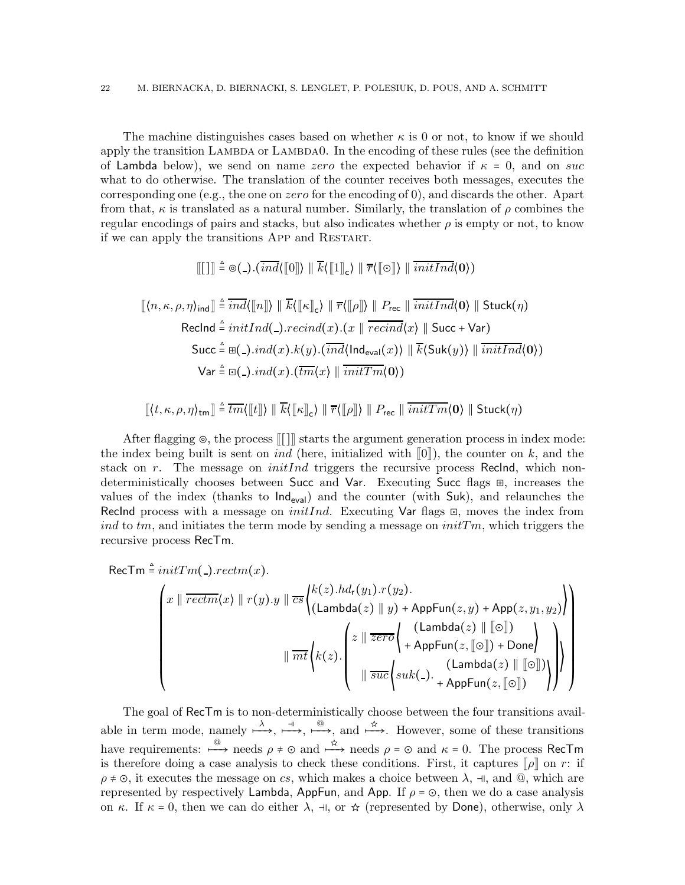The machine distinguishes cases based on whether  $\kappa$  is 0 or not, to know if we should apply the transition LAMBDA or LAMBDA0. In the encoding of these rules (see the definition of Lambda below), we send on name zero the expected behavior if  $\kappa = 0$ , and on suc what to do otherwise. The translation of the counter receives both messages, executes the corresponding one (e.g., the one on *zero* for the encoding of 0), and discards the other. Apart from that,  $\kappa$  is translated as a natural number. Similarly, the translation of  $\rho$  combines the regular encodings of pairs and stacks, but also indicates whether  $\rho$  is empty or not, to know if we can apply the transitions App and Restart.

$$
\llbracket [\ ] \rrbracket \triangleq \circledcirc(-) . (\overline{\operatorname{ind}} \langle [\![0]\!] \rangle \parallel \overline{k} \langle [\![1]\!]_c \rangle \parallel \overline{r} \langle [\![\circ]\!] \rangle \parallel \overline{\operatorname{initInd}} \langle 0 \rangle)
$$

$$
\llbracket \langle n, \kappa, \rho, \eta \rangle_{\text{ind}} \rrbracket \triangleq \overline{ind}(\llbracket n \rrbracket) \parallel \overline{k}(\llbracket \kappa \rrbracket_{\mathsf{c}}) \parallel \overline{r}(\llbracket \rho \rrbracket) \parallel P_{\text{rec}} \parallel \overline{initInd}(\mathbf{0}) \parallel \text{Stuck}(\eta)
$$
\n
$$
\text{RecInd} \triangleq initInd(\_).recall.\n\therefore \text{Recind}(x).\n\llbracket x \parallel \overline{recall}(\mathsf{x}) \parallel \text{Succ} + \text{Var})
$$
\n
$$
\text{Succ} \triangleq \boxplus (\_).ind(x).\n\llbracket k(y).\overline{ind}(\text{Ind}_{\text{eval}}(x)) \parallel \overline{k}(\text{Suk}(y)) \parallel \overline{initInd}(\mathbf{0}))
$$
\n
$$
\text{Var} \triangleq \boxdot(\_).ind(x).\overline{(tm\langle x \rangle \parallel \overline{initTm}(\mathbf{0}))}
$$

$$
\llbracket \langle t,\kappa,\rho,\eta\rangle_{\sf tm} \rrbracket \triangleq \overline{tm}\langle\llbracket t \rrbracket \rangle \parallel \overline{k}\langle\llbracket \kappa \rrbracket_{\sf c} \rangle \parallel \overline{r}\langle\llbracket \rho \rrbracket \rangle \parallel P_{\sf rec} \parallel \overline{initTm}\langle \mathbf{0} \rangle \parallel {\sf Stuck}(\eta)
$$

After flagging  $\circ$ , the process ||| starts the argument generation process in index mode: the index being built is sent on *ind* (here, initialized with  $\llbracket 0 \rrbracket$ ), the counter on k, and the stack on r. The message on *initInd* triggers the recursive process Reclnd, which nondeterministically chooses between Succ and Var. Executing Succ flags ⊞, increases the values of the index (thanks to  $\text{Ind}_{eval}$ ) and the counter (with Suk), and relaunches the RecInd process with a message on *initInd*. Executing Var flags  $\Xi$ , moves the index from ind to  $tm$ , and initiates the term mode by sending a message on  $initTm$ , which triggers the recursive process RecTm.

 $\mathsf{RecTm} \stackrel{\scriptscriptstyle\triangle}{=} initTm(\rule{0pt}{0pt}) . rectm(x).$ 

$$
\begin{pmatrix}\nx \parallel \overline{rectm}(x) \parallel r(y).y \parallel \overline{cs} \begin{pmatrix} k(z).hd_r(y_1).r(y_2).\\ \n(Lambda(z) \parallel y) + AppFun(z, y) + App(z, y_1, y_2) \end{pmatrix} \\
\parallel \overline{mt} \begin{pmatrix} z \parallel \overline{zero} \begin{pmatrix} (\text{Lambda}(z) \parallel [\odot]) \\ + AppFun(z, [\odot]) + Done \end{pmatrix} \\
\parallel \overline{such}(z). \begin{pmatrix} z \parallel \overline{zero} \begin{pmatrix} (\text{Lambda}(z) \parallel [\odot]) \\ + AppFun(z, [\odot]) + Done \end{pmatrix} \end{pmatrix} \end{pmatrix}\n\end{pmatrix}
$$

The goal of RecTm is to non-deterministically choose between the four transitions available in term mode, namely  $\xrightarrow{\lambda}$ ,  $\xrightarrow{\neg}$ ,  $\xrightarrow{\bigcirc}$ , and  $\xrightarrow{\hat{\pi}}$ . However, some of these transitions have requirements:  $\stackrel{@}{\longrightarrow}$  needs  $\rho \neq \infty$  and  $\stackrel{\star}{\longrightarrow}$  needs  $\rho = \infty$  and  $\kappa = 0$ . The process RecTm is therefore doing a case analysis to check these conditions. First, it captures  $[\rho]$  on r: if  $\rho \neq \circlearrowleft$ , it executes the message on cs, which makes a choice between  $\lambda$ ,  $\neg$ , and  $\circledcirc$ , which are represented by respectively Lambda, AppFun, and App. If  $\rho = \odot$ , then we do a case analysis on  $\kappa$ . If  $\kappa = 0$ , then we can do either  $\lambda$ ,  $\exists \lambda$ , or  $\hat{\kappa}$  (represented by Done), otherwise, only  $\lambda$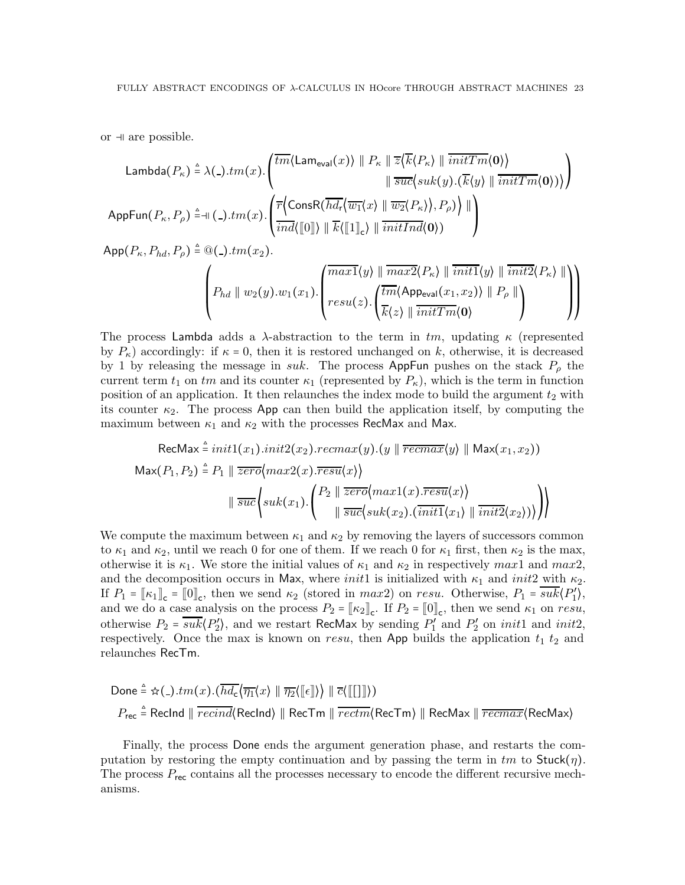or  $\exists$  are possible.

$$
\mathsf{Lambda}(P_{\kappa}) \triangleq \lambda(.)\cdot tm(x).\left(\frac{\overline{tm}\langle\mathsf{Lam}_{\mathsf{eval}}(x)\rangle \parallel P_{\kappa} \parallel \overline{z}\langle \overline{k}\langle P_{\kappa}\rangle \parallel \overline{initTm}\langle \mathbf{0}\rangle \rangle}{\parallel \overline{suc}\langle suk(y).\langle \overline{k}\langle y\rangle \parallel \overline{initTm}\langle \mathbf{0}\rangle \rangle)}\right)
$$
\n
$$
\mathsf{AppFun}(P_{\kappa}, P_{\rho}) \triangleq \mathsf{H}(.)\cdot tm(x).\left(\frac{\overline{r}\langle\mathsf{ConsR}(\overline{hd_{\mathsf{r}}}\langle \overline{w_{\mathsf{1}}}\langle x\rangle \parallel \overline{w_{\mathsf{2}}}\langle P_{\kappa}\rangle), P_{\rho})}{\langle \overline{ind}\langle[0]\rangle \parallel \overline{k}\langle[1]\rangle \rangle \parallel \overline{initInd}\langle\mathbf{0}\rangle \rangle}\right)
$$

 $\mathsf{App}(P_\kappa, P_{hd}, P_\rho) \triangleq @(\rule{0pt}{.5pt})\pm m(x_2).$ 

$$
\left(P_{hd} \parallel w_2(y).w_1(x_1).\begin{pmatrix} \overline{max1}\langle y \rangle \parallel \overline{max2}\langle P_{\kappa} \rangle \parallel \overline{init1}\langle y \rangle \parallel \overline{init2}\langle P_{\kappa} \rangle \parallel \\ \overline{resu}(z). \begin{pmatrix} \overline{tm}\langle \mathsf{Appeval}(x_1,x_2) \rangle \parallel P_{\rho} \parallel \\ \overline{k}\langle z \rangle \parallel \overline{initTm}\langle \mathbf{0} \rangle \end{pmatrix} & 0 \end{pmatrix}\right)
$$

The process Lambda adds a λ-abstraction to the term in  $tm$ , updating  $\kappa$  (represented by  $P_{\kappa}$ ) accordingly: if  $\kappa = 0$ , then it is restored unchanged on k, otherwise, it is decreased by 1 by releasing the message in suk. The process AppFun pushes on the stack  $P_{\rho}$  the current term  $t_1$  on  $tm$  and its counter  $\kappa_1$  (represented by  $P_{\kappa}$ ), which is the term in function position of an application. It then relaunches the index mode to build the argument  $t_2$  with its counter  $\kappa_2$ . The process App can then build the application itself, by computing the maximum between  $\kappa_1$  and  $\kappa_2$  with the processes RecMax and Max.

$$
\text{RecMax} \triangleq init1(x_1).init2(x_2).recmax(y).(y \parallel \overline{recmax}\langle y \rangle \parallel \text{Max}(x_1, x_2))
$$
\n
$$
\text{Max}(P_1, P_2) \triangleq P_1 \parallel \overline{zero}\langle max2(x).resu\langle x \rangle \rangle
$$
\n
$$
\parallel \overline{succ}\langle suk(x_1). \begin{pmatrix} P_2 \parallel \overline{zero}\langle max1(x).resu\langle x \rangle \rangle \\ \parallel \overline{succ}\langle suk(x_2).(\overline{init1}\langle x_1 \rangle \parallel \overline{init2}\langle x_2 \rangle) \rangle \end{pmatrix} \rangle
$$

We compute the maximum between  $\kappa_1$  and  $\kappa_2$  by removing the layers of successors common to  $\kappa_1$  and  $\kappa_2$ , until we reach 0 for one of them. If we reach 0 for  $\kappa_1$  first, then  $\kappa_2$  is the max, otherwise it is  $\kappa_1$ . We store the initial values of  $\kappa_1$  and  $\kappa_2$  in respectively max1 and max2, and the decomposition occurs in Max, where *init*1 is initialized with  $\kappa_1$  and *init2* with  $\kappa_2$ . If  $P_1 = [\kappa_1]_c = [0]_c$ , then we send  $\kappa_2$  (stored in max2) on resu. Otherwise,  $P_1 = \overline{sub}(P'_1)$ , and we do a case analysis on the process  $P_2 = [\kappa_2]_c$ . If  $P_2 = [0]_c$ , then we send  $\kappa_1$  on resu, otherwise  $P_2 = \overline{sub\langle P'_2 \rangle}$ , and we restart RecMax by sending  $P'_1$  and  $P'_2$  on *init1* and *init2*, respectively. Once the max is known on resu, then App builds the application  $t_1$   $t_2$  and relaunches RecTm.

$$
\begin{aligned}\n\text{Done} & \triangleq \frac{\Delta}{2} \left( - \frac{\Delta}{2} \right) \cdot \left( \frac{\overline{h d_c}}{\overline{d_c}} \left( \frac{\overline{h d_c}}{\overline{d_c}} \right) \right) \parallel \overline{\overline{c}} \left( \left[ \begin{bmatrix} 1 \end{bmatrix} \right] \right) \\
P_{\text{rec}} & \triangleq \text{Reclnd} \parallel \overline{recind} \left( \text{Reclnd} \right) \parallel \text{ReCTm} \parallel \overline{rectm} \left( \text{ReCTm} \right) \parallel \text{ReCMax} \parallel \overline{recmax} \left( \text{ReCMax} \right)\n\end{aligned}
$$

Finally, the process Done ends the argument generation phase, and restarts the computation by restoring the empty continuation and by passing the term in  $tm$  to  $Stuck(\eta)$ . The process  $P_{\text{rec}}$  contains all the processes necessary to encode the different recursive mechanisms.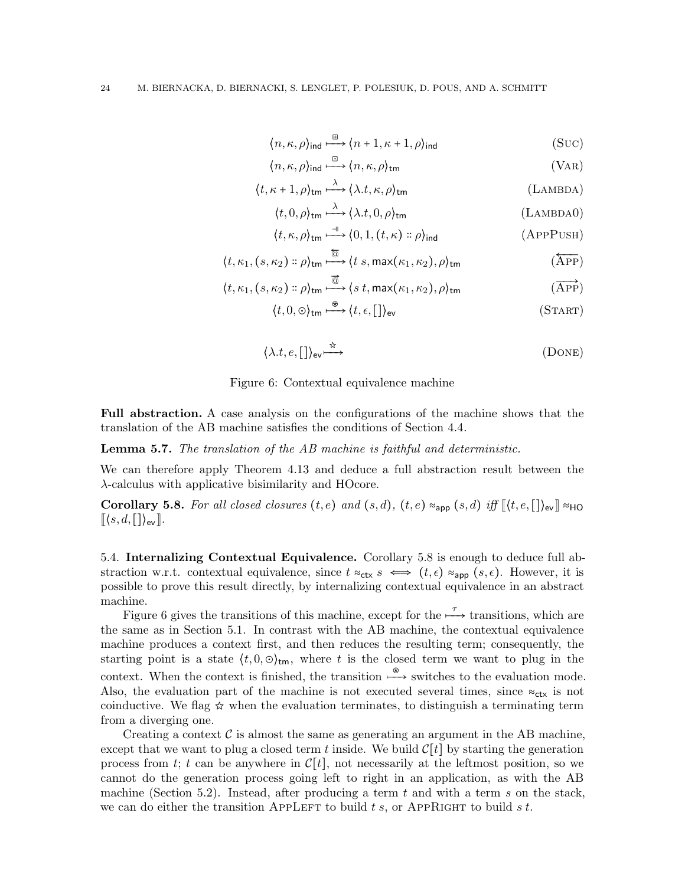$$
\langle n, \kappa, \rho \rangle_{\text{ind}} \xrightarrow{\boxplus} \langle n+1, \kappa+1, \rho \rangle_{\text{ind}} \tag{SUC}
$$

$$
\langle n, \kappa, \rho \rangle_{\text{ind}} \xrightarrow{\Box} \langle n, \kappa, \rho \rangle_{\text{tm}}
$$
 (VAR)

$$
\langle t, \kappa + 1, \rho \rangle_{\text{tm}} \stackrel{\lambda}{\longrightarrow} \langle \lambda. t, \kappa, \rho \rangle_{\text{tm}} \tag{Lambda}
$$

$$
\langle t, 0, \rho \rangle_{\text{tm}} \stackrel{\lambda}{\longrightarrow} \langle \lambda. t, 0, \rho \rangle_{\text{tm}} \tag{Lambpad}
$$

$$
\langle t, \kappa, \rho \rangle_{\text{tm}} \stackrel{\dashv}{\longrightarrow} \langle 0, 1, (t, \kappa) :: \rho \rangle_{\text{ind}} \qquad \qquad \text{(APPPUSH)}
$$

$$
\langle t, \kappa_1, (s, \kappa_2) :: \rho \rangle_{\text{tm}} \xrightarrow{\overline{\text{th}}} \langle t \ s, \max(\kappa_1, \kappa_2), \rho \rangle_{\text{tm}} \tag{APP}
$$

$$
\langle t, \kappa_1, (s, \kappa_2) :: \rho \rangle_{\text{tm}} \stackrel{\overrightarrow{\text{d}}}{\longrightarrow} \langle s \ t, \max(\kappa_1, \kappa_2), \rho \rangle_{\text{tm}} \tag{RPP}
$$

$$
\langle t, 0, \odot \rangle_{\text{tm}} \xrightarrow{\otimes} \langle t, \epsilon, [\,]\rangle_{\text{ev}} \tag{START}
$$

<span id="page-23-2"></span>
$$
\langle \lambda.t, e, [] \rangle_{\text{ev}} \stackrel{\dot{\pi}}{\longrightarrow} \tag{DONE}
$$

Figure 6: Contextual equivalence machine

Full abstraction. A case analysis on the configurations of the machine shows that the translation of the AB machine satisfies the conditions of Section [4.4.](#page-11-0)

Lemma 5.7. The translation of the AB machine is faithful and deterministic.

We can therefore apply Theorem [4.13](#page-14-1) and deduce a full abstraction result between the λ-calculus with applicative bisimilarity and HOcore.

<span id="page-23-1"></span>**Corollary 5.8.** For all closed closures  $(t, e)$  and  $(s, d)$ ,  $(t, e) \approx_{\text{app}} (s, d)$  iff  $\lbrack \{t, e, \lbrack \cdot \rbrack \}_{\text{ev}} \rbrack \approx_{\text{HO}}$  $\langle (s, d, \lceil \cdot \rceil)_{\text{ev}} \rceil$ .

<span id="page-23-0"></span>5.4. Internalizing Contextual Equivalence. Corollary [5.8](#page-23-1) is enough to deduce full abstraction w.r.t. contextual equivalence, since  $t \approx_{\text{ctx}} s \iff (t, \epsilon) \approx_{\text{app}} (s, \epsilon)$ . However, it is possible to prove this result directly, by internalizing contextual equivalence in an abstract machine.

Figure [6](#page-23-2) gives the transitions of this machine, except for the  $\stackrel{\tau}{\longrightarrow}$  transitions, which are the same as in Section [5.1.](#page-15-0) In contrast with the AB machine, the contextual equivalence machine produces a context first, and then reduces the resulting term; consequently, the starting point is a state  $(t, 0, \odot)_{tm}$ , where t is the closed term we want to plug in the context. When the context is finished, the transition  $\stackrel{\circ}{\longrightarrow}$  switches to the evaluation mode. Also, the evaluation part of the machine is not executed several times, since  $\approx_{\text{ctx}}$  is not coinductive. We flag  $\angle$  when the evaluation terminates, to distinguish a terminating term from a diverging one.

Creating a context  $\mathcal C$  is almost the same as generating an argument in the AB machine, except that we want to plug a closed term t inside. We build  $\mathcal{C}[t]$  by starting the generation process from t; t can be anywhere in  $\mathcal{C}[t]$ , not necessarily at the leftmost position, so we cannot do the generation process going left to right in an application, as with the AB machine (Section [5.2\)](#page-16-0). Instead, after producing a term t and with a term s on the stack, we can do either the transition APPLEFT to build t s, or APPRIGHT to build s t.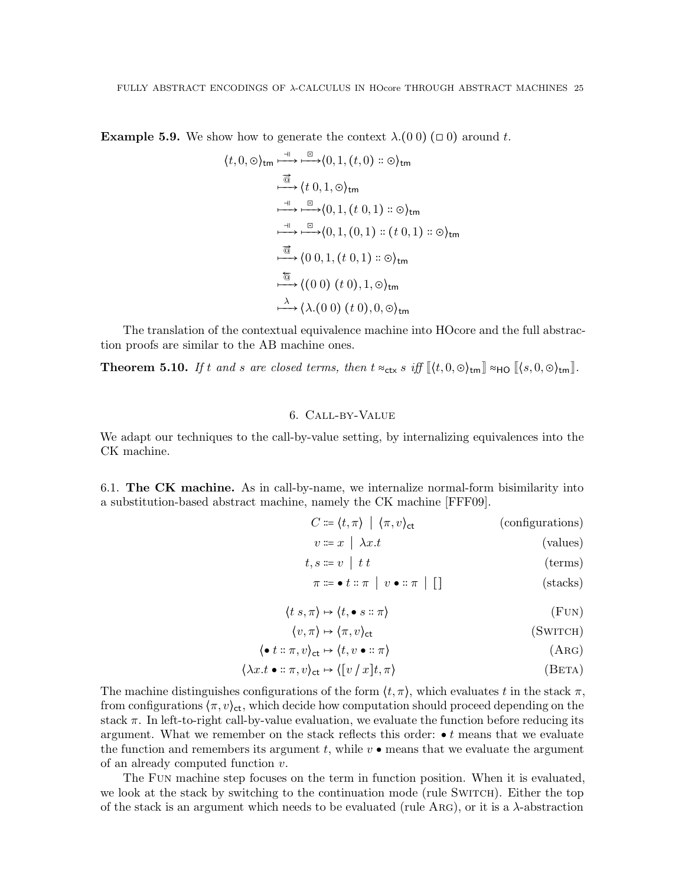**Example 5.9.** We show how to generate the context  $\lambda$ .(0 0) ( $\Box$ 0) around t.

$$
\langle t, 0, \odot \rangle_{\text{tm}} \xrightarrow{\exists} \xrightarrow{\Box} \langle 0, 1, (t, 0) :: \odot \rangle_{\text{tm}}
$$
  
\n
$$
\xrightarrow{\overrightarrow{\text{d}}} \langle t, 0, 1, \odot \rangle_{\text{tm}}
$$
  
\n
$$
\xrightarrow{\exists} \xrightarrow{\Box} \langle 0, 1, (t, 0, 1) :: \odot \rangle_{\text{tm}}
$$
  
\n
$$
\xrightarrow{\exists} \xrightarrow{\Box} \langle 0, 1, (0, 1) :: (t, 0, 1) :: \odot \rangle_{\text{tm}}
$$
  
\n
$$
\xrightarrow{\overrightarrow{\text{d}}} \langle 0, 0, 1, (t, 0, 1) :: \odot \rangle_{\text{tm}}
$$
  
\n
$$
\xrightarrow{\overrightarrow{\text{d}}} \langle (0, 0), (t, 0), 1, \odot \rangle_{\text{tm}}
$$
  
\n
$$
\xrightarrow{\lambda} \langle \lambda. (0, 0), (t, 0), 0, \odot \rangle_{\text{tm}}
$$

The translation of the contextual equivalence machine into HOcore and the full abstraction proofs are similar to the AB machine ones.

<span id="page-24-0"></span>**Theorem 5.10.** If t and s are closed terms, then  $t \approx_{\text{ctx}} s$  iff  $\llbracket \langle t, 0, \odot \rangle_{\text{tm}} \rrbracket \approx_{\text{HO}} \llbracket \langle s, 0, \odot \rangle_{\text{tm}} \rrbracket$ .

# 6. Call-by-Value

We adapt our techniques to the call-by-value setting, by internalizing equivalences into the CK machine.

6.1. The  $CK$  machine. As in call-by-name, we internalize normal-form bisimilarity into a substitution-based abstract machine, namely the CK machine [\[FFF09\]](#page-37-5).

$$
C \coloneqq \langle t, \pi \rangle \mid \langle \pi, v \rangle_{\text{ct}} \tag{configurations}
$$

$$
v \coloneqq x \mid \lambda x. t \tag{values}
$$

 $t, s \coloneqq v \mid t \ t$  (terms)

$$
\pi \coloneqq \bullet t :: \pi \mid v \bullet :: \pi \mid [] \tag{stacks}
$$

$$
\langle t \, s, \pi \rangle \mapsto \langle t, \bullet \, s :: \pi \rangle \tag{FUN}
$$

$$
\langle v, \pi \rangle \mapsto \langle \pi, v \rangle_{\text{ct}} \tag{SWTCH}
$$

$$
\langle \bullet t :: \pi, v \rangle_{\text{ct}} \mapsto \langle t, v \bullet :: \pi \rangle \tag{A} \tag{A} \text{RG}
$$

$$
\langle \lambda x. t \bullet :: \pi, v \rangle_{\text{ct}} \mapsto \langle [v / x]t, \pi \rangle \tag{BETA}
$$

The machine distinguishes configurations of the form  $\langle t, \pi \rangle$ , which evaluates t in the stack  $\pi$ , from configurations  $\langle \pi, v \rangle_{\text{ct}}$ , which decide how computation should proceed depending on the stack  $\pi$ . In left-to-right call-by-value evaluation, we evaluate the function before reducing its argument. What we remember on the stack reflects this order:  $\bullet t$  means that we evaluate the function and remembers its argument t, while  $v \bullet$  means that we evaluate the argument of an already computed function v.

The Fun machine step focuses on the term in function position. When it is evaluated, we look at the stack by switching to the continuation mode (rule SWITCH). Either the top of the stack is an argument which needs to be evaluated (rule Arg), or it is a λ-abstraction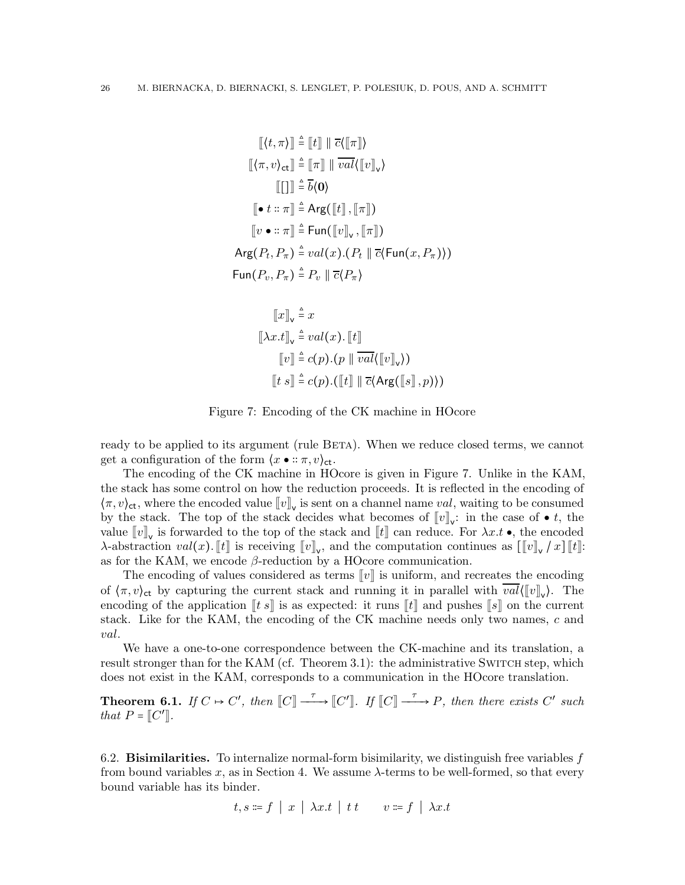$$
[[\langle t,\pi\rangle]] \triangleq [[t]] || \overline{c}([\pi]]\rangle
$$
  
\n
$$
[[\langle \pi, v \rangle_{ct}]] \triangleq [[\pi]] || \overline{val} \langle [[v]]_{v} \rangle
$$
  
\n
$$
[[\cdot]] \triangleq \overline{b} \langle 0 \rangle
$$
  
\n
$$
[\bullet t :: \pi]] \triangleq \text{Arg}([t]], [\pi]]\rangle
$$
  
\n
$$
[[v \bullet :: \pi]] \triangleq \text{Fun}([v]_{v}, [\pi]]\rangle
$$
  
\n
$$
\text{Arg}(P_t, P_{\pi}) \triangleq val(x). (P_t || \overline{c} \langle \text{Fun}(x, P_{\pi}) \rangle)
$$
  
\n
$$
\text{Fun}(P_v, P_{\pi}) \triangleq P_v || \overline{c} \langle P_{\pi} \rangle
$$

$$
\llbracket x \rrbracket_{\mathsf{v}} \triangleq x
$$
  

$$
\llbracket \lambda x. t \rrbracket_{\mathsf{v}} \triangleq val(x). \llbracket t \rrbracket
$$
  

$$
\llbracket v \rrbracket \triangleq c(p). (p \parallel \overline{val} \langle \llbracket v \rrbracket_{\mathsf{v}}))
$$
  

$$
\llbracket t \ s \rrbracket \triangleq c(p). (\llbracket t \rrbracket \parallel \overline{c} \langle \text{Arg} (\llbracket s \rrbracket, p)) )
$$

<span id="page-25-0"></span>Figure 7: Encoding of the CK machine in HOcore

ready to be applied to its argument (rule BETA). When we reduce closed terms, we cannot get a configuration of the form  $\langle x \bullet : \pi, v \rangle_{\text{ct}}$ .

The encoding of the CK machine in HOcore is given in Figure [7.](#page-25-0) Unlike in the KAM, the stack has some control on how the reduction proceeds. It is reflected in the encoding of  $\langle \pi, v \rangle_{\text{ct}}$ , where the encoded value  $\llbracket v \rrbracket_{\text{v}}$  is sent on a channel name val, waiting to be consumed by the stack. The top of the stack decides what becomes of  $[![v]]_{\mathsf{v}}$ : in the case of  $\bullet$  t, the value  $[\![v]\!]_{\mathsf{v}}$  is forwarded to the top of the stack and  $[\![t]\!]$  can reduce. For  $\lambda x.t \bullet$ , the encoded  $\lambda$ -abstraction  $val(x)$ . [[t] is receiving  $[\![v]\!]_{\mathsf{v}}$ , and the computation continues as  $[\![v]\!]_{\mathsf{v}}/x]$  [[t]: as for the KAM, we encode  $\beta$ -reduction by a HOcore communication.

The encoding of values considered as terms  $||v||$  is uniform, and recreates the encoding of  $\langle \pi, v \rangle_{\text{ct}}$  by capturing the current stack and running it in parallel with  $val(\llbracket v \rrbracket_{\text{v}})$ . The encoding of the application  $\llbracket t \rrbracket$  is as expected: it runs  $\llbracket t \rrbracket$  and pushes  $\llbracket s \rrbracket$  on the current stack. Like for the KAM, the encoding of the CK machine needs only two names, c and val.

We have a one-to-one correspondence between the CK-machine and its translation, a result stronger than for the KAM (cf. Theorem [3.1\)](#page-5-1): the administrative SWITCH step, which does not exist in the KAM, corresponds to a communication in the HOcore translation.

**Theorem 6.1.** If  $C \mapsto C'$ , then  $\llbracket C \rrbracket \xrightarrow{\tau} \llbracket C' \rrbracket$ . If  $\llbracket C \rrbracket \xrightarrow{\tau} P$ , then there exists  $C'$  such that  $P = [C']$ .

6.2. **Bisimilarities.** To internalize normal-form bisimilarity, we distinguish free variables  $f$ from bound variables x, as in Section [4.](#page-6-1) We assume  $\lambda$ -terms to be well-formed, so that every bound variable has its binder.

$$
t, s \coloneqq f \mid x \mid \lambda x. t \mid t \cdot t \qquad v \coloneqq f \mid \lambda x. t
$$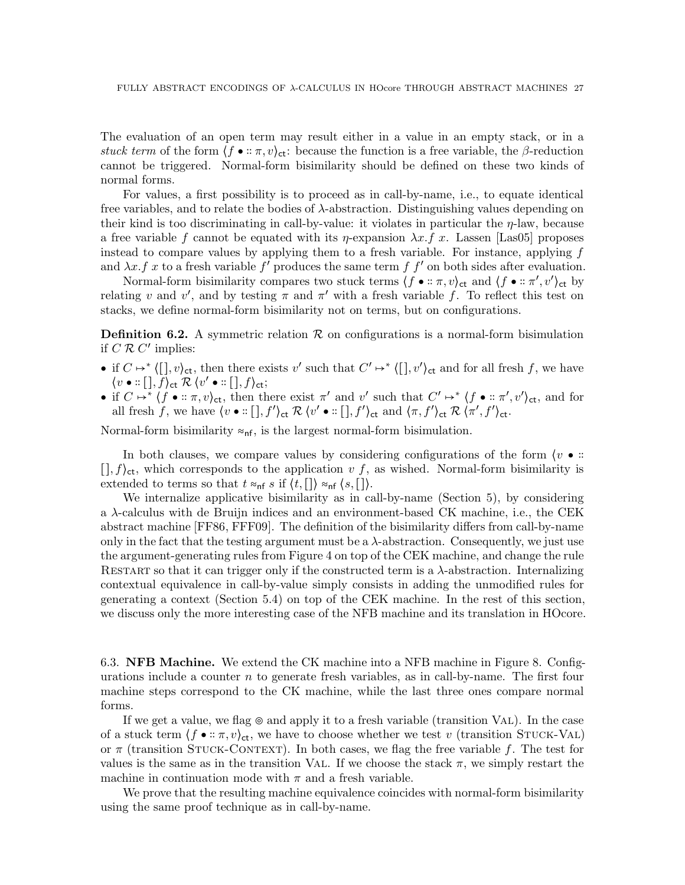The evaluation of an open term may result either in a value in an empty stack, or in a stuck term of the form  $\langle f \bullet : \pi, v \rangle_{\text{ct}}$ : because the function is a free variable, the  $\beta$ -reduction cannot be triggered. Normal-form bisimilarity should be defined on these two kinds of normal forms.

For values, a first possibility is to proceed as in call-by-name, i.e., to equate identical free variables, and to relate the bodies of  $\lambda$ -abstraction. Distinguishing values depending on their kind is too discriminating in call-by-value: it violates in particular the  $\eta$ -law, because a free variable f cannot be equated with its  $\eta$ -expansion  $\lambda x.f x$ . Lassen [\[Las05\]](#page-37-14) proposes instead to compare values by applying them to a fresh variable. For instance, applying  $f$ and  $\lambda x.f x$  to a fresh variable f' produces the same term f f' on both sides after evaluation.

Normal-form bisimilarity compares two stuck terms  $\langle f \bullet : \pi, v \rangle_{\text{ct}}$  and  $\langle f \bullet : \pi', v' \rangle_{\text{ct}}$  by relating v and v', and by testing  $\pi$  and  $\pi'$  with a fresh variable f. To reflect this test on stacks, we define normal-form bisimilarity not on terms, but on configurations.

**Definition 6.2.** A symmetric relation  $\mathcal{R}$  on configurations is a normal-form bisimulation if  $C \mathcal{R} C'$  implies:

- if  $C \mapsto^* \langle [ \cdot], v \rangle_{\text{ct}}$ , then there exists v' such that  $C' \mapsto^* \langle [ \cdot], v' \rangle_{\text{ct}}$  and for all fresh f, we have  $\langle v \bullet : [\,], f \rangle_{\mathsf{ct}} \mathrel{\mathcal{R}} \langle v' \bullet : [\,], f \rangle_{\mathsf{ct}};$
- if  $C \mapsto^* \langle f \bullet :: \pi, v \rangle_{\text{ct}}$ , then there exist  $\pi'$  and  $v'$  such that  $C' \mapsto^* \langle f \bullet :: \pi', v' \rangle_{\text{ct}}$ , and for all fresh f, we have  $\langle v \bullet : [[], f'] \rangle_{\text{ct}} \mathcal{R} \langle v' \bullet : [[], f'] \rangle_{\text{ct}}$  and  $\langle \pi, f' \rangle_{\text{ct}} \mathcal{R} \langle \pi', f' \rangle_{\text{ct}}$ .

Normal-form bisimilarity  $\approx_{\sf nf}$ , is the largest normal-form bisimulation.

In both clauses, we compare values by considering configurations of the form  $\langle v \bullet \cdot : \cdot \rangle$  $[0, f)$ <sub>ct</sub>, which corresponds to the application v f, as wished. Normal-form bisimilarity is extended to terms so that  $t \approx_{\text{nf}} s$  if  $\langle t, [\cdot] \rangle \approx_{\text{nf}} \langle s, [\cdot] \rangle$ .

We internalize applicative bisimilarity as in call-by-name (Section [5\)](#page-14-0), by considering a λ-calculus with de Bruijn indices and an environment-based CK machine, i.e., the CEK abstract machine [\[FF86,](#page-37-15) [FFF09\]](#page-37-5). The definition of the bisimilarity differs from call-by-name only in the fact that the testing argument must be a  $\lambda$ -abstraction. Consequently, we just use the argument-generating rules from Figure [4](#page-17-0) on top of the CEK machine, and change the rule RESTART so that it can trigger only if the constructed term is a  $\lambda$ -abstraction. Internalizing contextual equivalence in call-by-value simply consists in adding the unmodified rules for generating a context (Section [5.4\)](#page-23-0) on top of the CEK machine. In the rest of this section, we discuss only the more interesting case of the NFB machine and its translation in HOcore.

6.3. NFB Machine. We extend the CK machine into a NFB machine in Figure [8.](#page-27-0) Configurations include a counter  $n$  to generate fresh variables, as in call-by-name. The first four machine steps correspond to the CK machine, while the last three ones compare normal forms.

If we get a value, we flag ⊚ and apply it to a fresh variable (transition Val). In the case of a stuck term  $\langle f \bullet :: \pi, v \rangle_{\text{ct}}$ , we have to choose whether we test v (transition STUCK-VAL) or  $\pi$  (transition STUCK-CONTEXT). In both cases, we flag the free variable f. The test for values is the same as in the transition VAL. If we choose the stack  $\pi$ , we simply restart the machine in continuation mode with  $\pi$  and a fresh variable.

We prove that the resulting machine equivalence coincides with normal-form bisimilarity using the same proof technique as in call-by-name.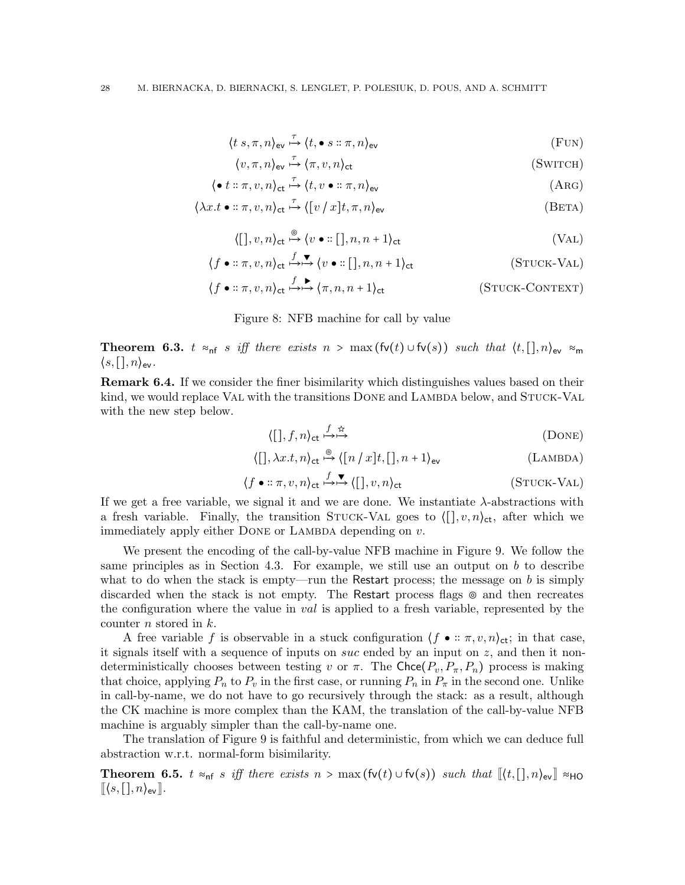$$
\langle t \ s, \pi, n \rangle_{\text{ev}} \xrightarrow{\tau} \langle t, \bullet s :: \pi, n \rangle_{\text{ev}} \tag{FUN}
$$

$$
\langle v, \pi, n \rangle_{\text{ev}} \stackrel{\tau}{\mapsto} \langle \pi, v, n \rangle_{\text{ct}}
$$
 (SWITCH)

$$
\langle \bullet t :: \pi, v, n \rangle_{\text{ct}} \xrightarrow{\tau} \langle t, v \bullet :: \pi, n \rangle_{\text{ev}} \tag{A}(\text{RG})
$$

$$
\langle \lambda x. t \bullet :: \pi, v, n \rangle_{\text{ct}} \xrightarrow{\tau} \langle [v/x]t, \pi, n \rangle_{\text{ev}} \tag{BETA}
$$

$$
\langle [[], v, n \rangle_{\text{ct}} \stackrel{\circ}{\mapsto} \langle v \bullet :: [[], n, n+1 \rangle_{\text{ct}} \qquad (VAL)
$$

$$
\langle f \bullet :: \pi, v, n \rangle_{\text{ct}} \stackrel{f}{\mapsto} \stackrel{\blacktriangledown}{\longleftrightarrow} \langle v \bullet :: [[], n, n+1 \rangle_{\text{ct}} \qquad (\text{STUCK-VAL})
$$

$$
\langle f \bullet :: \pi, v, n \rangle_{\text{ct}} \stackrel{f}{\leftrightarrow} \stackrel{\bullet}{\leftrightarrow} \langle \pi, n, n+1 \rangle_{\text{ct}} \qquad (\text{STuck-CONTEXT})
$$

#### <span id="page-27-0"></span>Figure 8: NFB machine for call by value

Theorem 6.3. t ≈<sub>nf</sub> s iff there exists  $n > \max(\text{fv}(t) \cup \text{fv}(s))$  such that  $\langle t, [\cdot], n \rangle_{\text{ev}} \approx_{\text{m}}$  $\langle s, [\cdot], n \rangle_{\text{ev}}$ .

Remark 6.4. If we consider the finer bisimilarity which distinguishes values based on their kind, we would replace VAL with the transitions DONE and LAMBDA below, and STUCK-VAL with the new step below.

$$
\langle [0, f, n \rangle_{\text{ct}} \stackrel{f \quad \text{tr}}{\rightarrow} \stackrel{\text{tr}}{\rightarrow} \qquad (DONE)
$$

$$
\langle [ \, ] , \lambda x.t, n \rangle_{\text{ct}} \stackrel{\circ}{\mapsto} \langle [ n \, / \, x ] t, [ \, ], n+1 \rangle_{\text{ev}} \tag{Lambda}
$$

$$
\langle f \bullet :: \pi, v, n \rangle_{\text{ct}} \stackrel{f}{\mapsto} \stackrel{\blacktriangledown}{\longleftrightarrow} \langle [ \, ] , v, n \rangle_{\text{ct}} \tag{STuck-VAL}
$$

If we get a free variable, we signal it and we are done. We instantiate  $\lambda$ -abstractions with a fresh variable. Finally, the transition STUCK-VAL goes to  $\langle \cdot | v, n \rangle_{\text{ct}}$ , after which we immediately apply either DONE or LAMBDA depending on  $v$ .

We present the encoding of the call-by-value NFB machine in Figure [9.](#page-28-1) We follow the same principles as in Section [4.3.](#page-9-1) For example, we still use an output on  $b$  to describe what to do when the stack is empty—run the Restart process; the message on b is simply discarded when the stack is not empty. The Restart process flags ⊚ and then recreates the configuration where the value in val is applied to a fresh variable, represented by the counter n stored in k.

A free variable f is observable in a stuck configuration  $\langle f \bullet :: \pi, v, n \rangle_{\text{ct}}$ ; in that case, it signals itself with a sequence of inputs on *suc* ended by an input on  $z$ , and then it nondeterministically chooses between testing v or  $\pi$ . The Chce $(P_v, P_\pi, P_n)$  process is making that choice, applying  $P_n$  to  $P_v$  in the first case, or running  $P_n$  in  $P_\pi$  in the second one. Unlike in call-by-name, we do not have to go recursively through the stack: as a result, although the CK machine is more complex than the KAM, the translation of the call-by-value NFB machine is arguably simpler than the call-by-name one.

The translation of Figure [9](#page-28-1) is faithful and deterministic, from which we can deduce full abstraction w.r.t. normal-form bisimilarity.

**Theorem 6.5.**  $t \approx_{\text{nf}} s$  iff there exists  $n > \max(\text{fv}(t) \cup \text{fv}(s))$  such that  $\langle \lbrack t, [\cdot], n \rangle_{\text{ev}} \rbrack \approx_{\text{HO}}$  $\llbracket \langle s, [\cdot], n \rangle_{\text{ev}} \rrbracket.$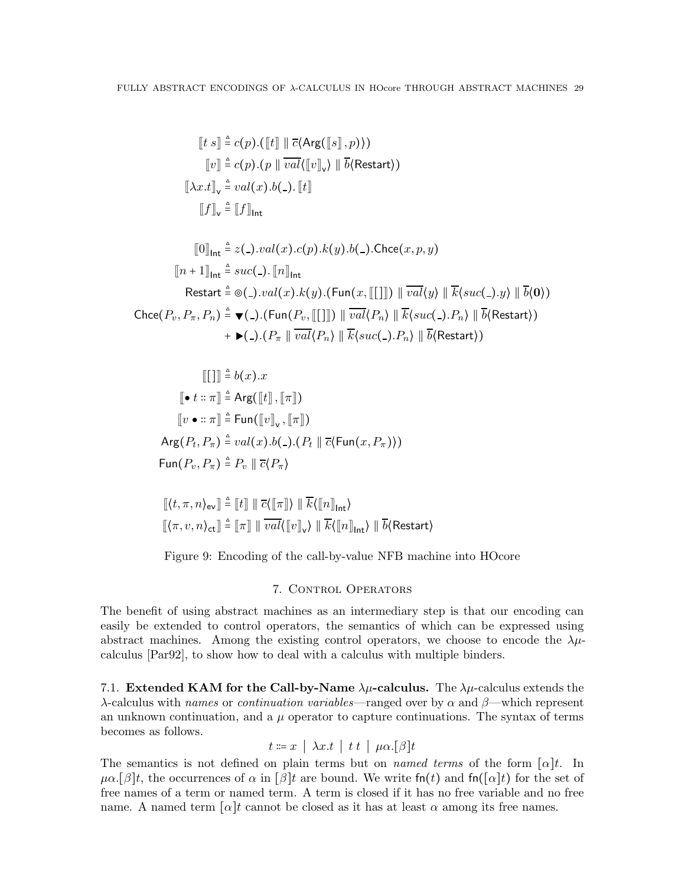$$
[[t s]] \triangleq c(p).([\![t]\!] \parallel \overline{c} \langle \text{Arg}([\![s]\!], p) \rangle)
$$

$$
[[v]] \triangleq c(p).(p \parallel \overline{val} \langle [[v]]_v \rangle \parallel \overline{b} \langle \text{Restart} \rangle)
$$

$$
[[\lambda x. t]]_v \triangleq val(x).b(.) . [[t]]
$$

$$
[[f]]_v \triangleq [[f]]_{int}
$$

$$
\llbracket 0 \rrbracket_{\mathsf{Int}} \triangleq z(\mathsf{-}).val(x)\mathsf{.}c(p)\mathsf{.}k(y)\mathsf{.}b(\mathsf{-}).\mathsf{Check}(x,p,y) \llbracket n+1 \rrbracket_{\mathsf{Int}} \triangleq suc(\mathsf{-}).\llbracket n \rrbracket_{\mathsf{Int}} \text{Restart} \triangleq \otimes(\mathsf{-}).val(x)\mathsf{.}k(y)\mathsf{.}(\mathsf{Fun}(x,\llbracket [\cdot]\rrbracket) \parallel \overline{val}\langle y \rangle \parallel \overline{k}\langle suc(\mathsf{-}).y \rangle \parallel \overline{b}\langle 0 \rangle ) \mathsf{Check}(P_v, P_\pi, P_n) \triangleq \blacktriangledown(\mathsf{-}).(\mathsf{Fun}(P_v, \llbracket [\cdot]\rrbracket) \parallel \overline{val}\langle P_n \rangle \parallel \overline{k}\langle suc(\mathsf{-}).P_n \rangle \parallel \overline{b}\langle \mathsf{Restart}\rangle ) \n+ \blacktriangleright(\mathsf{-}).(P_\pi \parallel \overline{val}\langle P_n \rangle \parallel \overline{k}\langle suc(\mathsf{-}).P_n \rangle \parallel \overline{b}\langle \mathsf{Restart}\rangle )
$$

$$
\llbracket \llbracket \rrbracket \rrbracket \triangleq b(x).x
$$
\n
$$
\llbracket \bullet t :: \pi \rrbracket \triangleq \text{Arg}(\llbracket t \rrbracket, \llbracket \pi \rrbracket)
$$
\n
$$
\llbracket v \bullet :: \pi \rrbracket \triangleq \text{Fun}(\llbracket v \rrbracket_{\vee}, \llbracket \pi \rrbracket)
$$
\n
$$
\text{Arg}(P_t, P_{\pi}) \triangleq val(x).b(\_)(P_t \parallel \overline{c}(\text{Fun}(x, P_{\pi})))
$$
\n
$$
\text{Fun}(P_v, P_{\pi}) \triangleq P_v \parallel \overline{c} \langle P_{\pi} \rangle
$$

$$
\begin{aligned} & \left[ \langle t, \pi, n \rangle_\text{ev} \right] \triangleq \left[ \! \left[ t \right] \right] \parallel \overline{c}(\left[ \! \left[ \pi \right] \! \right] ) \parallel \overline{k}(\left[ \! \left[ n \right] \! \right]_\text{Int}) \\ & \left[ \! \left[ \langle \pi, v, n \rangle_\text{ct} \right] \right] \triangleq \left[ \! \left[ \pi \right] \right] \parallel \overline{val} \langle \left[ \! \left[ v \right] \! \right]_\text{v}) \parallel \overline{k} \langle \left[ \! \left[ n \right] \! \right]_\text{Int} \rangle \parallel \overline{b} \langle \text{Restart} \rangle \end{aligned}
$$

## <span id="page-28-1"></span>Figure 9: Encoding of the call-by-value NFB machine into HOcore

## 7. CONTROL OPERATORS

<span id="page-28-0"></span>The benefit of using abstract machines as an intermediary step is that our encoding can easily be extended to control operators, the semantics of which can be expressed using abstract machines. Among the existing control operators, we choose to encode the  $\lambda \mu$ calculus [\[Par92\]](#page-37-7), to show how to deal with a calculus with multiple binders.

7.1. Extended KAM for the Call-by-Name  $\lambda \mu$ -calculus. The  $\lambda \mu$ -calculus extends the λ-calculus with names or *continuation variables*—ranged over by  $\alpha$  and  $\beta$ —which represent an unknown continuation, and a  $\mu$  operator to capture continuations. The syntax of terms becomes as follows.

$$
t \coloneqq x \mid \lambda x.t \mid t t \mid \mu \alpha. [\beta] t
$$

The semantics is not defined on plain terms but on *named terms* of the form  $[\alpha]t$ . In  $\mu\alpha$ .[β]t, the occurrences of  $\alpha$  in [β]t are bound. We write fn(t) and fn([ $\alpha$ ]t) for the set of free names of a term or named term. A term is closed if it has no free variable and no free name. A named term  $\lceil \alpha \rceil t$  cannot be closed as it has at least  $\alpha$  among its free names.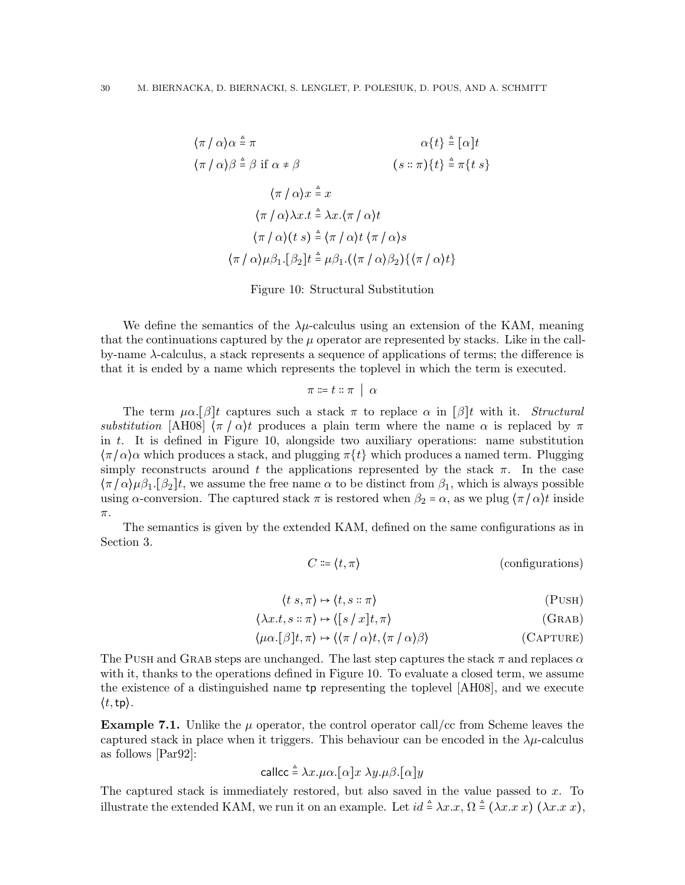$$
\langle \pi / \alpha \rangle \alpha \triangleq \pi \qquad \alpha \{t\} \triangleq [\alpha]t
$$
  

$$
\langle \pi / \alpha \rangle \beta \triangleq \beta \text{ if } \alpha \neq \beta \qquad (s :: \pi) \{t\} \triangleq \pi \{t s\}
$$
  

$$
\langle \pi / \alpha \rangle x \triangleq x
$$
  

$$
\langle \pi / \alpha \rangle \lambda x. t \triangleq \lambda x. \langle \pi / \alpha \rangle t
$$
  

$$
\langle \pi / \alpha \rangle (t s) \triangleq \langle \pi / \alpha \rangle t \langle \pi / \alpha \rangle s
$$
  

$$
\langle \pi / \alpha \rangle \mu \beta_1 . [\beta_2] t \triangleq \mu \beta_1 . (\langle \pi / \alpha \rangle \beta_2) \{ \langle \pi / \alpha \rangle t \}
$$

<span id="page-29-0"></span>Figure 10: Structural Substitution

We define the semantics of the  $\lambda \mu$ -calculus using an extension of the KAM, meaning that the continuations captured by the  $\mu$  operator are represented by stacks. Like in the callby-name  $\lambda$ -calculus, a stack represents a sequence of applications of terms; the difference is that it is ended by a name which represents the toplevel in which the term is executed.

 $\pi \coloneqq t :: \pi \mid \alpha$ 

The term  $\mu \alpha$ .[β]t captures such a stack  $\pi$  to replace  $\alpha$  in [β]t with it. Structural substitution [\[AH08\]](#page-36-8)  $\langle \pi / \alpha \rangle t$  produces a plain term where the name  $\alpha$  is replaced by  $\pi$ in t. It is defined in Figure [10,](#page-29-0) alongside two auxiliary operations: name substitution  $\langle \pi/\alpha \rangle$  which produces a stack, and plugging  $\pi\{t\}$  which produces a named term. Plugging simply reconstructs around t the applications represented by the stack  $\pi$ . In the case  $\langle \pi/\alpha \rangle \mu \beta_1$ . [ $\beta_2$ ]t, we assume the free name  $\alpha$  to be distinct from  $\beta_1$ , which is always possible using  $\alpha$ -conversion. The captured stack  $\pi$  is restored when  $\beta_2 = \alpha$ , as we plug  $\langle \pi / \alpha \rangle t$  inside π.

The semantics is given by the extended KAM, defined on the same configurations as in Section [3.](#page-4-0)

$$
C \coloneqq \langle t, \pi \rangle \tag{configurations}
$$

$$
\langle t \, s, \pi \rangle \mapsto \langle t, s :: \pi \rangle \tag{PUSH}
$$

$$
\langle \lambda x. t, s :: \pi \rangle \mapsto \langle [s / x]t, \pi \rangle \tag{GRAB}
$$

$$
\langle \mu \alpha. [\beta] t, \pi \rangle \mapsto \langle \langle \pi / \alpha \rangle t, \langle \pi / \alpha \rangle \beta \rangle \tag{CAPTURE}
$$

The Push and GRAB steps are unchanged. The last step captures the stack  $\pi$  and replaces  $\alpha$ with it, thanks to the operations defined in Figure [10.](#page-29-0) To evaluate a closed term, we assume the existence of a distinguished name tp representing the toplevel [\[AH08\]](#page-36-8), and we execute  $\langle t, \texttt{tp} \rangle$ .

**Example 7.1.** Unlike the  $\mu$  operator, the control operator call/cc from Scheme leaves the captured stack in place when it triggers. This behaviour can be encoded in the  $\lambda \mu$ -calculus as follows [\[Par92\]](#page-37-7):

$$
\mathsf{callcc} \stackrel{\scriptscriptstyle\triangle}{=} \lambda x.\mu\alpha. [\alpha]x \; \lambda y.\mu\beta. [\alpha]y
$$

The captured stack is immediately restored, but also saved in the value passed to  $x$ . To illustrate the extended KAM, we run it on an example. Let  $id \triangleq \lambda x.x, \Omega \triangleq (\lambda x.x x)(\lambda x.x x)$ ,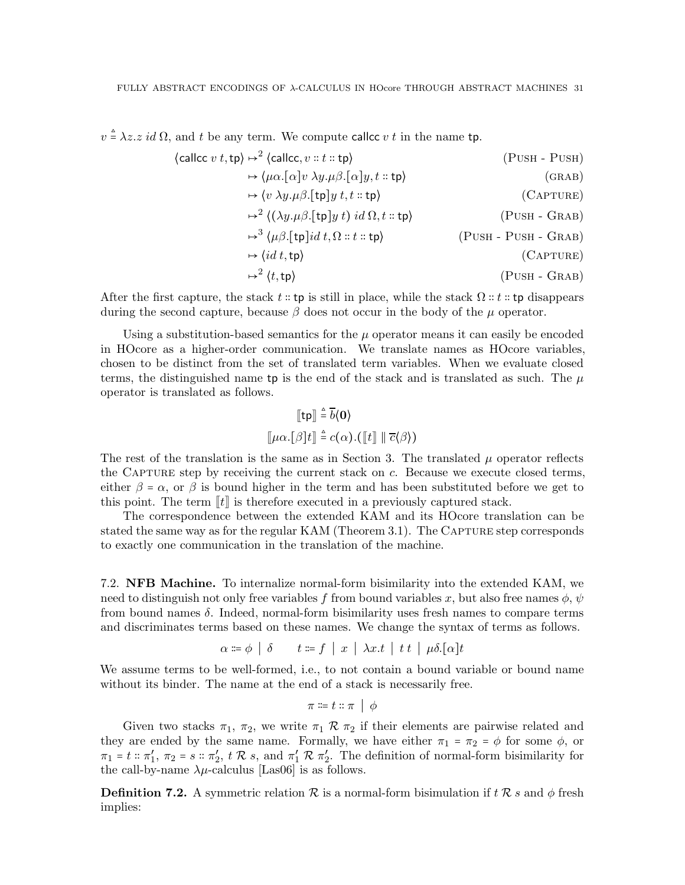$v \triangleq \lambda z \ldotp z \ldotp id \Omega$ , and t be any term. We compute callce v t in the name tp.

$$
\langle \text{calculate } v \ t, \text{tp} \rangle \mapsto^2 \langle \text{calculate}, v :: t :: \text{tp} \rangle \qquad (\text{PUSH - PUSH})
$$
  
\n
$$
\mapsto \langle \mu \alpha. [\alpha] v \lambda y. \mu \beta. [\alpha] y, t :: \text{tp} \rangle \qquad (\text{GRAB})
$$
  
\n
$$
\mapsto \langle v \lambda y. \mu \beta. [\text{tp}] y \ t, t :: \text{tp} \rangle \qquad (\text{CAPTURE})
$$
  
\n
$$
\mapsto^2 \langle (\lambda y. \mu \beta. [\text{tp}] y \ t) \ id \Omega, t :: \text{tp} \rangle \qquad (\text{PUSH - GRAB})
$$
  
\n
$$
\mapsto^3 \langle \mu \beta. [\text{tp}] id \ t, \Omega :: t :: \text{tp} \rangle \qquad (\text{PUSH - PUSH - GRAB})
$$
  
\n
$$
\mapsto \langle id \ t, \text{tp} \rangle \qquad (\text{PUSH - PUSH - GRAB})
$$
  
\n
$$
\mapsto^2 \langle t, \text{tp} \rangle \qquad (\text{PUSH - GRAB})
$$

After the first capture, the stack  $t ::$  tp is still in place, while the stack  $\Omega :: t ::$  tp disappears during the second capture, because  $\beta$  does not occur in the body of the  $\mu$  operator.

Using a substitution-based semantics for the  $\mu$  operator means it can easily be encoded in HOcore as a higher-order communication. We translate names as HOcore variables, chosen to be distinct from the set of translated term variables. When we evaluate closed terms, the distinguished name tp is the end of the stack and is translated as such. The  $\mu$ operator is translated as follows.

$$
\begin{aligned}\n\llbracket \mathbf{tp} \rrbracket \triangleq \overline{b} \langle \mathbf{0} \rangle \\
\llbracket \mu \alpha. [\beta] t \rrbracket \triangleq c(\alpha). (\llbracket t \rrbracket \parallel \overline{c} \langle \beta \rangle)\n\end{aligned}
$$

The rest of the translation is the same as in Section [3.](#page-4-0) The translated  $\mu$  operator reflects the CAPTURE step by receiving the current stack on  $c$ . Because we execute closed terms, either  $\beta = \alpha$ , or  $\beta$  is bound higher in the term and has been substituted before we get to this point. The term  $\llbracket t \rrbracket$  is therefore executed in a previously captured stack.

The correspondence between the extended KAM and its HOcore translation can be stated the same way as for the regular KAM (Theorem [3.1\)](#page-5-1). The CAPTURE step corresponds to exactly one communication in the translation of the machine.

7.2. NFB Machine. To internalize normal-form bisimilarity into the extended KAM, we need to distinguish not only free variables f from bound variables x, but also free names  $\phi$ ,  $\psi$ from bound names  $\delta$ . Indeed, normal-form bisimilarity uses fresh names to compare terms and discriminates terms based on these names. We change the syntax of terms as follows.

$$
\alpha \coloneqq \phi \mid \delta \qquad t \coloneqq f \mid x \mid \lambda x. t \mid t \mid \mu \delta. [\alpha] t
$$

We assume terms to be well-formed, i.e., to not contain a bound variable or bound name without its binder. The name at the end of a stack is necessarily free.

$$
\pi \coloneqq t :: \pi \;\mid\; \phi
$$

Given two stacks  $\pi_1$ ,  $\pi_2$ , we write  $\pi_1 \mathcal{R} \pi_2$  if their elements are pairwise related and they are ended by the same name. Formally, we have either  $\pi_1 = \pi_2 = \phi$  for some  $\phi$ , or  $\pi_1 = t :: \pi'_1, \ \pi_2 = s :: \pi'_2, \ t \mathcal{R} \ s$ , and  $\pi'_1 \mathcal{R} \ \pi'_2$ . The definition of normal-form bisimilarity for the call-by-name  $\lambda \mu$ -calculus [\[Las06\]](#page-37-16) is as follows.

**Definition 7.2.** A symmetric relation  $\mathcal{R}$  is a normal-form bisimulation if  $t \mathcal{R} s$  and  $\phi$  fresh implies: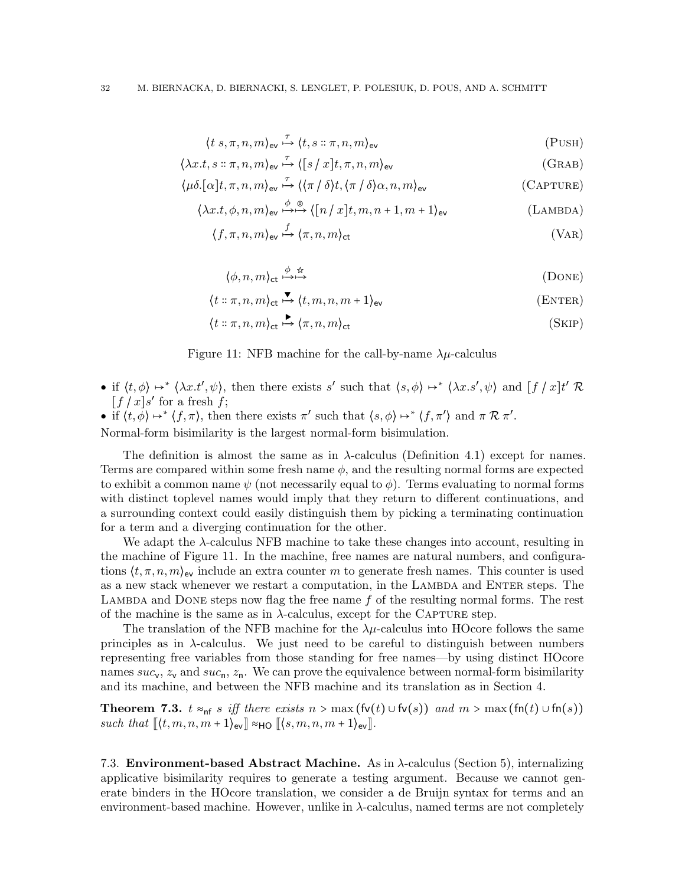$$
\langle t \ s, \pi, n, m \rangle_{\text{ev}} \stackrel{\tau}{\mapsto} \langle t, s \ :: \pi, n, m \rangle_{\text{ev}} \tag{PUSH}
$$

$$
\langle \lambda x. t, s :: \pi, n, m \rangle_{\text{ev}} \stackrel{\tau}{\mapsto} \langle [s / x]t, \pi, n, m \rangle_{\text{ev}} \tag{GRAB}
$$

$$
\langle \mu \delta. [\alpha] t, \pi, n, m \rangle_{\text{ev}} \stackrel{\tau}{\mapsto} \langle \langle \pi / \delta \rangle t, \langle \pi / \delta \rangle \alpha, n, m \rangle_{\text{ev}}
$$
 (CAPTURE)

$$
\langle \lambda x.t, \phi, n, m \rangle_{\text{ev}} \xrightarrow{\phi} \bigoplus \langle [n/x]t, m, n+1, m+1 \rangle_{\text{ev}} \qquad \text{(Lambda)}
$$

$$
\langle f, \pi, n, m \rangle_{\text{ev}} \stackrel{f}{\rightarrow} \langle \pi, n, m \rangle_{\text{ct}} \tag{VAR}
$$

$$
\langle \phi, n, m \rangle_{\text{ct}} \stackrel{\phi \quad \star}{\longrightarrow \longrightarrow} \tag{DONE}
$$

$$
\langle t::\pi, n, m\rangle_{\text{ct}} \stackrel{\blacktriangledown}{\longrightarrow} \langle t, m, n, m+1\rangle_{\text{ev}} \qquad (\text{ENTER})
$$

<span id="page-31-0"></span>
$$
\langle t : \pi, n, m \rangle_{\text{ct}} \stackrel{\blacktriangleright}{\longrightarrow} \langle \pi, n, m \rangle_{\text{ct}} \tag{SkIP}
$$

### Figure 11: NFB machine for the call-by-name  $\lambda \mu$ -calculus

- if  $\langle t, \phi \rangle \mapsto^* \langle \lambda x. t', \psi \rangle$ , then there exists s' such that  $\langle s, \phi \rangle \mapsto^* \langle \lambda x. s', \psi \rangle$  and  $[f / x] t' \mathcal{R}$  $[f/x]s'$  for a fresh  $f$ ;
- if  $\langle t, \phi \rangle \mapsto^* \langle f, \pi \rangle$ , then there exists  $\pi'$  such that  $\langle s, \phi \rangle \mapsto^* \langle f, \pi' \rangle$  and  $\pi \mathcal{R} \pi'$ .

Normal-form bisimilarity is the largest normal-form bisimulation.

The definition is almost the same as in  $\lambda$ -calculus (Definition [4.1\)](#page-6-2) except for names. Terms are compared within some fresh name  $\phi$ , and the resulting normal forms are expected to exhibit a common name  $\psi$  (not necessarily equal to  $\phi$ ). Terms evaluating to normal forms with distinct toplevel names would imply that they return to different continuations, and a surrounding context could easily distinguish them by picking a terminating continuation for a term and a diverging continuation for the other.

We adapt the λ-calculus NFB machine to take these changes into account, resulting in the machine of Figure [11.](#page-31-0) In the machine, free names are natural numbers, and configurations  $\langle t, \pi, n, m \rangle_{\text{ev}}$  include an extra counter m to generate fresh names. This counter is used as a new stack whenever we restart a computation, in the LAMBDA and ENTER steps. The LAMBDA and DONE steps now flag the free name  $f$  of the resulting normal forms. The rest of the machine is the same as in  $\lambda$ -calculus, except for the CAPTURE step.

The translation of the NFB machine for the  $\lambda \mu$ -calculus into HOcore follows the same principles as in λ-calculus. We just need to be careful to distinguish between numbers representing free variables from those standing for free names—by using distinct HOcore names  $suc_v$ ,  $z_v$  and  $suc_n$ ,  $z_n$ . We can prove the equivalence between normal-form bisimilarity and its machine, and between the NFB machine and its translation as in Section [4.](#page-6-1)

Theorem 7.3.  $t \approx_{\text{nf}} s$  iff there exists  $n > \max(\text{fv}(t) \cup \text{fv}(s))$  and  $m > \max(\text{fn}(t) \cup \text{fn}(s))$ such that  $\llbracket \langle t, m, n, m + 1 \rangle_{\text{ev}} \rrbracket \approx_{\text{HO}} \llbracket \langle s, m, n, m + 1 \rangle_{\text{ev}} \rrbracket$ .

7.3. Environment-based Abstract Machine. As in λ-calculus (Section [5\)](#page-14-0), internalizing applicative bisimilarity requires to generate a testing argument. Because we cannot generate binders in the HOcore translation, we consider a de Bruijn syntax for terms and an environment-based machine. However, unlike in  $\lambda$ -calculus, named terms are not completely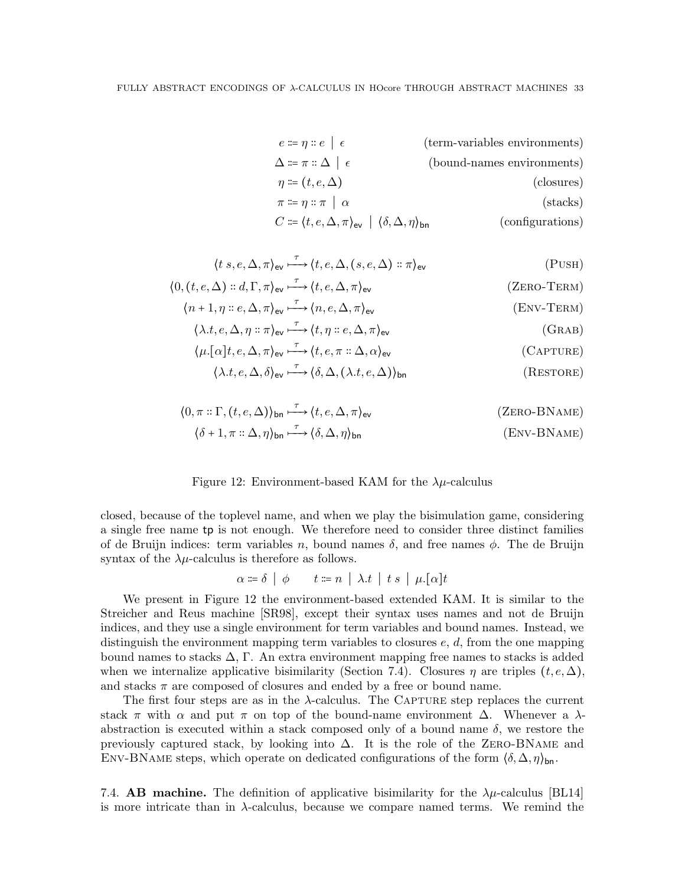| $e \coloneqq \eta :: e \mid \epsilon$                                                                             | (term-variables environments) |
|-------------------------------------------------------------------------------------------------------------------|-------------------------------|
| $\Delta \coloneqq \pi :: \Delta \mid \epsilon$                                                                    | (bound-names environments)    |
| $\eta \coloneqq (t, e, \Delta)$                                                                                   | (closures)                    |
| $\pi \coloneqq \eta :: \pi \mid \alpha$                                                                           | $(\text{stacks})$             |
| $C \coloneqq \langle t, e, \Delta, \pi \rangle_{\text{ev}} \mid \langle \delta, \Delta, \eta \rangle_{\text{bn}}$ | (configurations)              |

$$
\langle t \ s, e, \Delta, \pi \rangle_{\text{ev}} \stackrel{\tau}{\longrightarrow} \langle t, e, \Delta, (s, e, \Delta) :: \pi \rangle_{\text{ev}}
$$
\n
$$
\langle 0, (t, e, \Delta) :: d, \Gamma, \pi \rangle_{\text{ev}} \stackrel{\tau}{\longrightarrow} \langle t, e, \Delta, \pi \rangle_{\text{ev}}
$$
\n
$$
\langle (ZERO-TERM) \ \langle n+1, \eta :: e, \Delta, \pi \rangle_{\text{ev}} \stackrel{\tau}{\longrightarrow} \langle n, e, \Delta, \pi \rangle_{\text{ev}}
$$
\n
$$
(ENV-TERM) \ \langle \text{env}-TERM \rangle
$$

$$
\langle \lambda.t, e, \Delta, \eta : \pi \rangle_{\text{ev}} \xrightarrow{\tau} \langle t, \eta : e, \Delta, \pi \rangle_{\text{ev}} \tag{GRAB}
$$

$$
\langle \mu.[\alpha]t, e, \Delta, \pi \rangle_{\text{ev}} \xrightarrow{\tau} \langle t, e, \pi :: \Delta, \alpha \rangle_{\text{ev}}
$$
\n
$$
\langle \lambda. t, e, \Delta, \delta \rangle_{\text{ev}} \xrightarrow{\tau} \langle \delta, \Delta, (\lambda. t, e, \Delta) \rangle_{\text{bn}}
$$
\n
$$
(RESTORE)
$$

$$
\langle 0, \pi : \Gamma, (t, e, \Delta) \rangle_{\text{bn}} \xrightarrow{\tau} \langle t, e, \Delta, \pi \rangle_{\text{ev}}
$$
 (ZERO-BNAME)  

$$
\langle \delta + 1, \pi : \Delta, \eta \rangle_{\text{bn}} \xrightarrow{\tau} \langle \delta, \Delta, \eta \rangle_{\text{bn}}
$$
 (Env-BNAME)

#### <span id="page-32-0"></span>Figure 12: Environment-based KAM for the  $\lambda \mu$ -calculus

closed, because of the toplevel name, and when we play the bisimulation game, considering a single free name tp is not enough. We therefore need to consider three distinct families of de Bruijn indices: term variables n, bound names  $\delta$ , and free names  $\phi$ . The de Bruijn syntax of the  $\lambda \mu$ -calculus is therefore as follows.

$$
\alpha \coloneqq \delta \mid \phi \qquad t \coloneqq n \mid \lambda.t \mid t s \mid \mu.[\alpha]t
$$

We present in Figure [12](#page-32-0) the environment-based extended KAM. It is similar to the Streicher and Reus machine [\[SR98\]](#page-37-17), except their syntax uses names and not de Bruijn indices, and they use a single environment for term variables and bound names. Instead, we distinguish the environment mapping term variables to closures  $e, d$ , from the one mapping bound names to stacks  $\Delta$ , Γ. An extra environment mapping free names to stacks is added when we internalize applicative bisimilarity (Section [7.4\)](#page-32-1). Closures  $\eta$  are triples  $(t, e, \Delta)$ , and stacks  $\pi$  are composed of closures and ended by a free or bound name.

The first four steps are as in the  $\lambda$ -calculus. The CAPTURE step replaces the current stack  $\pi$  with  $\alpha$  and put  $\pi$  on top of the bound-name environment  $\Delta$ . Whenever a  $\lambda$ abstraction is executed within a stack composed only of a bound name  $\delta$ , we restore the previously captured stack, by looking into  $\Delta$ . It is the role of the ZERO-BNAME and ENV-BNAME steps, which operate on dedicated configurations of the form  $\langle \delta, \Delta, \eta \rangle_{\text{bn}}$ .

<span id="page-32-1"></span>7.4. **AB machine.** The definition of applicative bisimilarity for the  $\lambda \mu$ -calculus [\[BL14\]](#page-36-9) is more intricate than in  $\lambda$ -calculus, because we compare named terms. We remind the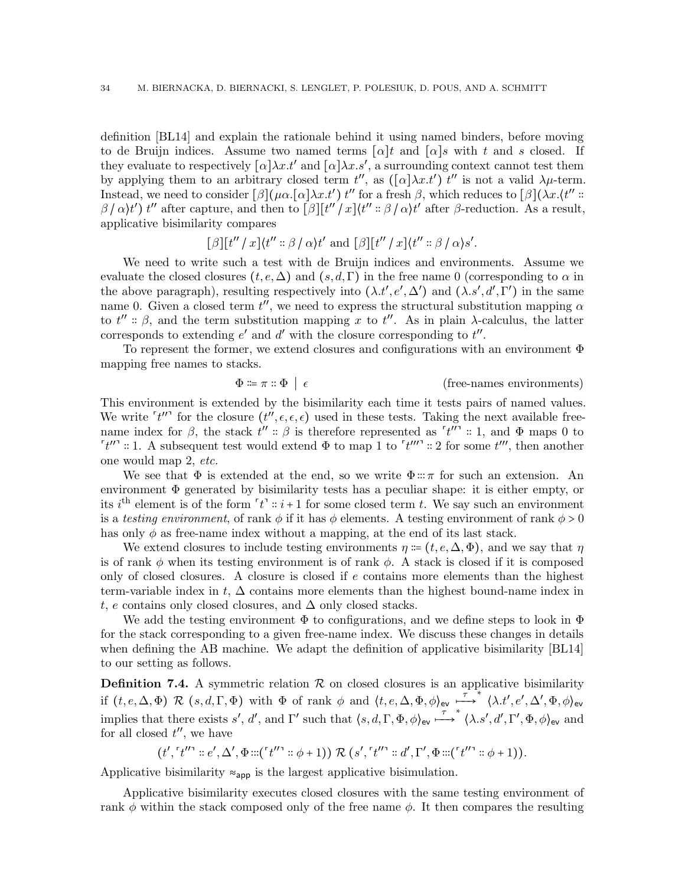definition [\[BL14\]](#page-36-9) and explain the rationale behind it using named binders, before moving to de Bruijn indices. Assume two named terms  $\lceil \alpha \rceil t$  and  $\lceil \alpha \rceil s$  with t and s closed. If they evaluate to respectively  $[\alpha]\lambda x.t'$  and  $[\alpha]\lambda x.s'$ , a surrounding context cannot test them by applying them to an arbitrary closed term  $t''$ , as  $([\alpha]\lambda x.t')$  is not a valid  $\lambda\mu$ -term. Instead, we need to consider  $[\beta](\mu \alpha. [\alpha] \lambda x. t')$  t'' for a fresh  $\beta$ , which reduces to  $[\beta](\lambda x. (t'')$ :  $\beta/\alpha$ /t') t'' after capture, and then to  $[\beta][t''/x]\langle t''\colon\beta/\alpha\rangle t'$  after  $\beta$ -reduction. As a result, applicative bisimilarity compares

$$
[\beta][t''\mathbin{/} x]\langle t''\colon\!\!\!\!\!\!\beta\mathbin{/}\alpha\rangle t'\text{ and }[\beta][t''\mathbin{/} x]\langle t''\colon\!\!\!\!\beta\mathbin{/}\alpha\rangle s'.
$$

We need to write such a test with de Bruijn indices and environments. Assume we evaluate the closed closures  $(t, e, \Delta)$  and  $(s, d, \Gamma)$  in the free name 0 (corresponding to  $\alpha$  in the above paragraph), resulting respectively into  $(\lambda.t', e', \Delta')$  and  $(\lambda.s', d', \Gamma')$  in the same name 0. Given a closed term  $t''$ , we need to express the structural substitution mapping  $\alpha$ to  $t'' \nightharpoonup \beta$ , and the term substitution mapping x to  $t''$ . As in plain  $\lambda$ -calculus, the latter corresponds to extending  $e'$  and  $d'$  with the closure corresponding to  $t''$ .

To represent the former, we extend closures and configurations with an environment  $\Phi$ mapping free names to stacks.

$$
\Phi \coloneqq \pi :: \Phi \mid \epsilon \qquad \qquad \text{(free-names environments)}
$$

This environment is extended by the bisimilarity each time it tests pairs of named values. We write  $'t''$  for the closure  $(t'', \epsilon, \epsilon, \epsilon)$  used in these tests. Taking the next available freename index for  $\beta$ , the stack  $t''$ :  $\beta$  is therefore represented as  $\lceil t'' \rceil$ : 1, and  $\Phi$  maps 0 to  $\lceil t'' \rceil$  :: 1. A subsequent test would extend  $\Phi$  to map 1 to  $\lceil t''' \rceil$  :: 2 for some  $t'''$ , then another one would map 2, etc.

We see that  $\Phi$  is extended at the end, so we write  $\Phi::\pi$  for such an extension. An environment  $\Phi$  generated by bisimilarity tests has a peculiar shape: it is either empty, or its  $i^{\text{th}}$  element is of the form  $'t^{\text{th}}$  :  $i+1$  for some closed term t. We say such an environment is a testing environment, of rank  $\phi$  if it has  $\phi$  elements. A testing environment of rank  $\phi > 0$ has only  $\phi$  as free-name index without a mapping, at the end of its last stack.

We extend closures to include testing environments  $\eta = (t, e, \Delta, \Phi)$ , and we say that  $\eta$ is of rank  $\phi$  when its testing environment is of rank  $\phi$ . A stack is closed if it is composed only of closed closures. A closure is closed if e contains more elements than the highest term-variable index in t,  $\Delta$  contains more elements than the highest bound-name index in t, e contains only closed closures, and  $\Delta$  only closed stacks.

We add the testing environment  $\Phi$  to configurations, and we define steps to look in  $\Phi$ for the stack corresponding to a given free-name index. We discuss these changes in details when defining the AB machine. We adapt the definition of applicative bisimilarity [\[BL14\]](#page-36-9) to our setting as follows.

**Definition 7.4.** A symmetric relation  $\mathcal{R}$  on closed closures is an applicative bisimilarity if  $(t, e, \Delta, \Phi) \mathcal{R}$   $(s, d, \Gamma, \Phi)$  with  $\Phi$  of rank  $\phi$  and  $\langle t, e, \Delta, \Phi, \phi \rangle_{\text{ev}} \stackrel{\tau \rightarrow \ast}{\longrightarrow} \langle \lambda. t', e', \Delta', \Phi, \phi \rangle_{\text{ev}}$ implies that there exists s', d', and  $\Gamma'$  such that  $\langle s, d, \Gamma, \Phi, \phi \rangle_{\text{ev}} \stackrel{\tau}{\longrightarrow}^* \langle \lambda. s', d', \Gamma', \Phi, \phi \rangle_{\text{ev}}$  and for all closed  $t''$ , we have

$$
(t', [t''] : e', \Delta', \Phi :: ([t''] : \phi + 1)) \mathcal{R} (s', [t''] : d', \Gamma', \Phi :: ([t''] : \phi + 1)).
$$

Applicative bisimilarity  $\approx_{\text{app}}$  is the largest applicative bisimulation.

Applicative bisimilarity executes closed closures with the same testing environment of rank  $\phi$  within the stack composed only of the free name  $\phi$ . It then compares the resulting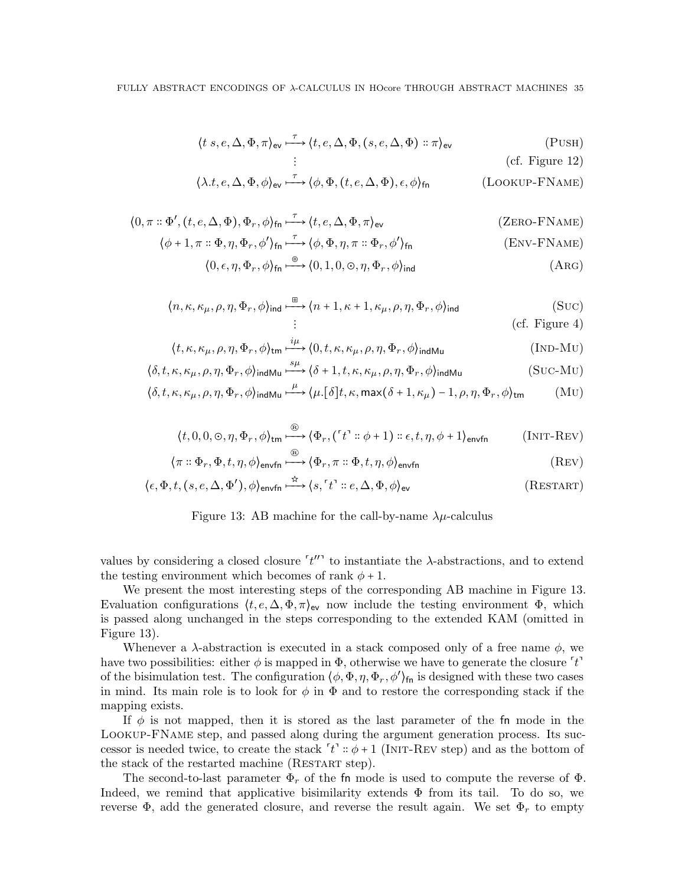$$
\langle t \ s, e, \Delta, \Phi, \pi \rangle_{\text{ev}} \stackrel{\tau}{\longrightarrow} \langle t, e, \Delta, \Phi, (s, e, \Delta, \Phi) :: \pi \rangle_{\text{ev}}
$$
 (PUSH)

$$
\begin{aligned}\n\vdots & \qquad \qquad \text{(cf. Figure 12)} \\
\langle \lambda.t, e, \Delta, \Phi, \phi \rangle_{\text{ev}} \stackrel{\tau}{\longrightarrow} \langle \phi, \Phi, (t, e, \Delta, \Phi), \epsilon, \phi \rangle_{\text{fn}} & \qquad \qquad \text{(Lookup-FName)}\n\end{aligned}
$$

$$
\langle 0, \pi : \Phi', (t, e, \Delta, \Phi), \Phi_r, \phi \rangle_{\text{fn}} \stackrel{\tau}{\longrightarrow} \langle t, e, \Delta, \Phi, \pi \rangle_{\text{ev}}
$$
\n(ZERO-FNAME)

$$
\langle \phi + 1, \pi : \Phi, \eta, \Phi_r, \phi' \rangle_{\text{fn}} \xrightarrow{\tau} \langle \phi, \Phi, \eta, \pi : \Phi_r, \phi' \rangle_{\text{fn}}
$$
\n(Env-FNAME)

$$
\langle 0, \epsilon, \eta, \Phi_r, \phi \rangle_{\text{fn}} \stackrel{\circ}{\longrightarrow} \langle 0, 1, 0, \circlearrowright, \eta, \Phi_r, \phi \rangle_{\text{ind}} \tag{Arg}
$$

$$
\langle n, \kappa, \kappa_{\mu}, \rho, \eta, \Phi_r, \phi \rangle_{\text{ind}} \xrightarrow{\boxplus} \langle n+1, \kappa+1, \kappa_{\mu}, \rho, \eta, \Phi_r, \phi \rangle_{\text{ind}}
$$
(SUC)  
::  
(cf. Figure 4)

$$
\langle t, \kappa, \kappa_{\mu}, \rho, \eta, \Phi_r, \phi \rangle_{\text{tm}} \xrightarrow{\text{i}\mu} \langle 0, t, \kappa, \kappa_{\mu}, \rho, \eta, \Phi_r, \phi \rangle_{\text{indMu}} \tag{IND-MU}
$$

$$
\langle \delta, t, \kappa, \kappa_{\mu}, \rho, \eta, \Phi_r, \phi \rangle_{\text{indMu}} \xrightarrow{\mu} \langle \delta + 1, t, \kappa, \kappa_{\mu}, \rho, \eta, \Phi_r, \phi \rangle_{\text{indMu}} \tag{Suc-Mu}
$$

$$
\langle \delta, t, \kappa, \kappa_{\mu}, \rho, \eta, \Phi_{r}, \phi \rangle_{\text{indMu}} \xrightarrow{\mu} \langle \mu. [\delta]t, \kappa, \max(\delta + 1, \kappa_{\mu}) - 1, \rho, \eta, \Phi_{r}, \phi \rangle_{\text{tm}}
$$
 (MU)

$$
\langle t, 0, 0, \infty, \eta, \Phi_r, \phi \rangle_{\text{tm}} \stackrel{\textcircled{\tiny{\mathbb{R}}}}{\longrightarrow} \langle \Phi_r, (\ulcorner t \urcorner :: \phi + 1) :: \epsilon, t, \eta, \phi + 1 \rangle_{\text{envfn}} \qquad (\text{INIT-REV})
$$

$$
\langle \pi : \Phi_r, \Phi, t, \eta, \phi \rangle_{\text{envfn}} \longrightarrow \langle \Phi_r, \pi : \Phi, t, \eta, \phi \rangle_{\text{envfn}} \tag{REV}
$$

$$
\langle \epsilon, \Phi, t, (s, e, \Delta, \Phi'), \phi \rangle_{\text{envfn}} \xrightarrow{\star} \langle s, \ulcorner t \urcorner :: e, \Delta, \Phi, \phi \rangle_{\text{ev}} \tag{RESTART}
$$

<span id="page-34-0"></span>

values by considering a closed closure  $'t''$  to instantiate the  $\lambda$ -abstractions, and to extend the testing environment which becomes of rank  $\phi + 1$ .

We present the most interesting steps of the corresponding AB machine in Figure [13.](#page-34-0) Evaluation configurations  $(t, e, \Delta, \Phi, \pi)$ <sub>ev</sub> now include the testing environment  $\Phi$ , which is passed along unchanged in the steps corresponding to the extended KAM (omitted in Figure [13\)](#page-34-0).

Whenever a  $\lambda$ -abstraction is executed in a stack composed only of a free name  $\phi$ , we have two possibilities: either  $\phi$  is mapped in  $\Phi$ , otherwise we have to generate the closure  $'t'$ of the bisimulation test. The configuration  $(\phi, \Phi, \eta, \Phi_r, \phi')_{\text{fn}}$  is designed with these two cases in mind. Its main role is to look for  $\phi$  in  $\Phi$  and to restore the corresponding stack if the mapping exists.

If  $\phi$  is not mapped, then it is stored as the last parameter of the fn mode in the Lookup-FName step, and passed along during the argument generation process. Its successor is needed twice, to create the stack  $'t' :: \phi + 1$  (INIT-REV step) and as the bottom of the stack of the restarted machine (RESTART step).

The second-to-last parameter  $\Phi_r$  of the fn mode is used to compute the reverse of  $\Phi$ . Indeed, we remind that applicative bisimilarity extends  $\Phi$  from its tail. To do so, we reverse  $\Phi$ , add the generated closure, and reverse the result again. We set  $\Phi_r$  to empty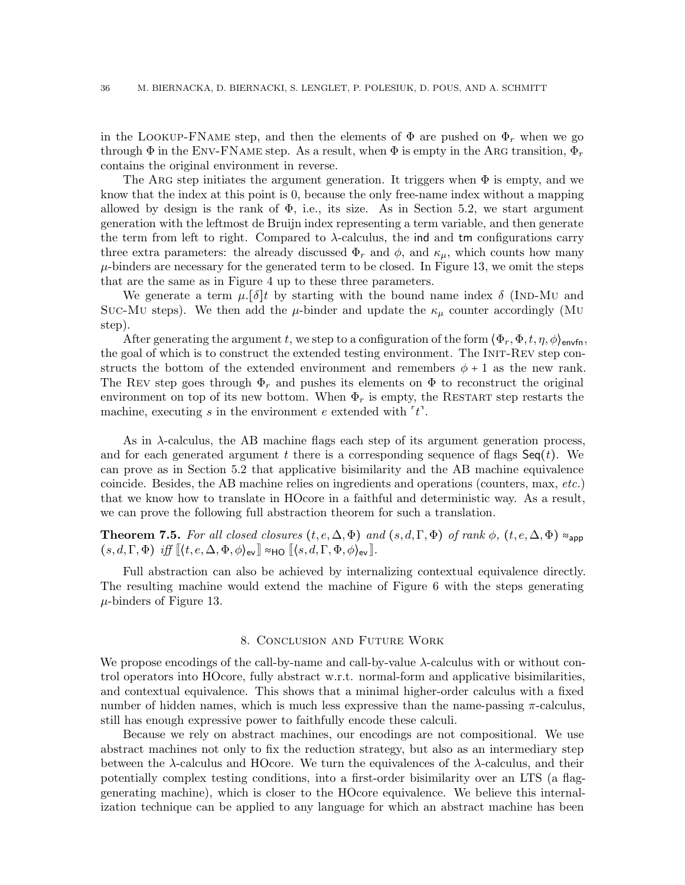in the LOOKUP-FNAME step, and then the elements of  $\Phi$  are pushed on  $\Phi_r$  when we go through  $\Phi$  in the ENV-FNAME step. As a result, when  $\Phi$  is empty in the ARG transition,  $\Phi_r$ contains the original environment in reverse.

The ARG step initiates the argument generation. It triggers when  $\Phi$  is empty, and we know that the index at this point is 0, because the only free-name index without a mapping allowed by design is the rank of  $\Phi$ , i.e., its size. As in Section [5.2,](#page-16-0) we start argument generation with the leftmost de Bruijn index representing a term variable, and then generate the term from left to right. Compared to  $\lambda$ -calculus, the ind and tm configurations carry three extra parameters: the already discussed  $\Phi_r$  and  $\phi$ , and  $\kappa_\mu$ , which counts how many  $\mu$ -binders are necessary for the generated term to be closed. In Figure [13,](#page-34-0) we omit the steps that are the same as in Figure [4](#page-17-0) up to these three parameters.

We generate a term  $\mu$ .[δ]t by starting with the bound name index δ (IND-MU and Suc-Mu steps). We then add the  $\mu$ -binder and update the  $\kappa_{\mu}$  counter accordingly (Mu step).

After generating the argument t, we step to a configuration of the form  $\langle \Phi_r, \Phi, t, \eta, \phi \rangle_{\text{envfn}}$ , the goal of which is to construct the extended testing environment. The Init-Rev step constructs the bottom of the extended environment and remembers  $\phi + 1$  as the new rank. The REV step goes through  $\Phi_r$  and pushes its elements on  $\Phi$  to reconstruct the original environment on top of its new bottom. When  $\Phi_r$  is empty, the RESTART step restarts the machine, executing s in the environment e extended with  $'t'$ .

As in  $\lambda$ -calculus, the AB machine flags each step of its argument generation process, and for each generated argument t there is a corresponding sequence of flags  $Seq(t)$ . We can prove as in Section [5.2](#page-16-0) that applicative bisimilarity and the AB machine equivalence coincide. Besides, the AB machine relies on ingredients and operations (counters, max, etc.) that we know how to translate in HOcore in a faithful and deterministic way. As a result, we can prove the following full abstraction theorem for such a translation.

**Theorem 7.5.** For all closed closures  $(t, e, \Delta, \Phi)$  and  $(s, d, \Gamma, \Phi)$  of rank  $\phi$ ,  $(t, e, \Delta, \Phi) \approx_{\text{app}}$  $(s, d, \Gamma, \Phi)$  iff  $\lbrack (t, e, \Delta, \Phi, \phi)_{\text{ev}} \rbrack$   $\approx$  HO  $\lbrack (s, d, \Gamma, \Phi, \phi)_{\text{ev}} \rbrack$ .

Full abstraction can also be achieved by internalizing contextual equivalence directly. The resulting machine would extend the machine of Figure [6](#page-23-2) with the steps generating  $\mu$ -binders of Figure [13.](#page-34-0)

## 8. Conclusion and Future Work

<span id="page-35-0"></span>We propose encodings of the call-by-name and call-by-value  $\lambda$ -calculus with or without control operators into HOcore, fully abstract w.r.t. normal-form and applicative bisimilarities, and contextual equivalence. This shows that a minimal higher-order calculus with a fixed number of hidden names, which is much less expressive than the name-passing  $\pi$ -calculus, still has enough expressive power to faithfully encode these calculi.

Because we rely on abstract machines, our encodings are not compositional. We use abstract machines not only to fix the reduction strategy, but also as an intermediary step between the  $\lambda$ -calculus and HOcore. We turn the equivalences of the  $\lambda$ -calculus, and their potentially complex testing conditions, into a first-order bisimilarity over an LTS (a flaggenerating machine), which is closer to the HOcore equivalence. We believe this internalization technique can be applied to any language for which an abstract machine has been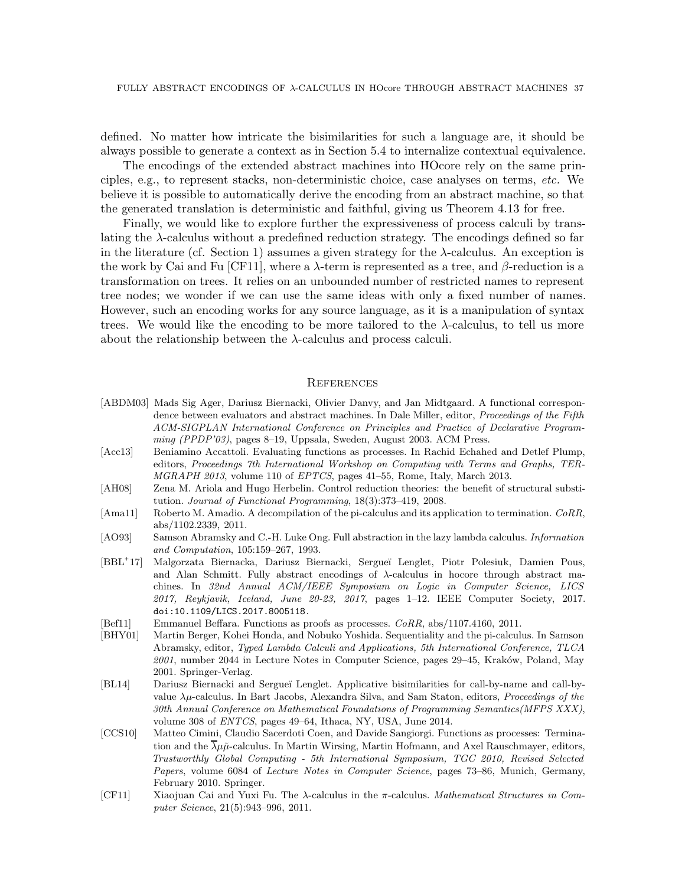defined. No matter how intricate the bisimilarities for such a language are, it should be always possible to generate a context as in Section [5.4](#page-23-0) to internalize contextual equivalence.

The encodings of the extended abstract machines into HOcore rely on the same principles, e.g., to represent stacks, non-deterministic choice, case analyses on terms, etc. We believe it is possible to automatically derive the encoding from an abstract machine, so that the generated translation is deterministic and faithful, giving us Theorem [4.13](#page-14-1) for free.

Finally, we would like to explore further the expressiveness of process calculi by translating the  $\lambda$ -calculus without a predefined reduction strategy. The encodings defined so far in the literature (cf. Section [1\)](#page-0-0) assumes a given strategy for the  $\lambda$ -calculus. An exception is the work by Cai and Fu [\[CF11\]](#page-36-1), where a  $\lambda$ -term is represented as a tree, and  $\beta$ -reduction is a transformation on trees. It relies on an unbounded number of restricted names to represent tree nodes; we wonder if we can use the same ideas with only a fixed number of names. However, such an encoding works for any source language, as it is a manipulation of syntax trees. We would like the encoding to be more tailored to the  $\lambda$ -calculus, to tell us more about the relationship between the  $\lambda$ -calculus and process calculi.

#### **REFERENCES**

- <span id="page-36-7"></span>[ABDM03] Mads Sig Ager, Dariusz Biernacki, Olivier Danvy, and Jan Midtgaard. A functional correspondence between evaluators and abstract machines. In Dale Miller, editor, *Proceedings of the Fifth ACM-SIGPLAN International Conference on Principles and Practice of Declarative Programming (PPDP'03)*, pages 8–19, Uppsala, Sweden, August 2003. ACM Press.
- <span id="page-36-2"></span>[Acc13] Beniamino Accattoli. Evaluating functions as processes. In Rachid Echahed and Detlef Plump, editors, *Proceedings 7th International Workshop on Computing with Terms and Graphs, TER-MGRAPH 2013*, volume 110 of *EPTCS*, pages 41–55, Rome, Italy, March 2013.
- <span id="page-36-8"></span>[AH08] Zena M. Ariola and Hugo Herbelin. Control reduction theories: the benefit of structural substitution. *Journal of Functional Programming*, 18(3):373–419, 2008.
- <span id="page-36-5"></span>[Ama11] Roberto M. Amadio. A decompilation of the pi-calculus and its application to termination. *CoRR*, abs/1102.2339, 2011.
- <span id="page-36-0"></span>[AO93] Samson Abramsky and C.-H. Luke Ong. Full abstraction in the lazy lambda calculus. *Information and Computation*, 105:159–267, 1993.
- $[BBL^+17]$ 17] Malgorzata Biernacka, Dariusz Biernacki, Sergue¨ı Lenglet, Piotr Polesiuk, Damien Pous, and Alan Schmitt. Fully abstract encodings of  $\lambda$ -calculus in hocore through abstract machines. In *32nd Annual ACM/IEEE Symposium on Logic in Computer Science, LICS 2017, Reykjavik, Iceland, June 20-23, 2017*, pages 1–12. IEEE Computer Society, 2017. [doi:10.1109/LICS.2017.8005118](https://doi.org/10.1109/LICS.2017.8005118).
- <span id="page-36-3"></span>[Bef11] Emmanuel Beffara. Functions as proofs as processes. *CoRR*, abs/1107.4160, 2011.
- <span id="page-36-6"></span>[BHY01] Martin Berger, Kohei Honda, and Nobuko Yoshida. Sequentiality and the pi-calculus. In Samson Abramsky, editor, *Typed Lambda Calculi and Applications, 5th International Conference, TLCA 2001*, number 2044 in Lecture Notes in Computer Science, pages 29–45, Krak´ow, Poland, May 2001. Springer-Verlag.
- <span id="page-36-9"></span>[BL14] Dariusz Biernacki and Sergueï Lenglet. Applicative bisimilarities for call-by-name and call-byvalue λµ-calculus. In Bart Jacobs, Alexandra Silva, and Sam Staton, editors, *Proceedings of the 30th Annual Conference on Mathematical Foundations of Programming Semantics(MFPS XXX)*, volume 308 of *ENTCS*, pages 49–64, Ithaca, NY, USA, June 2014.
- <span id="page-36-4"></span>[CCS10] Matteo Cimini, Claudio Sacerdoti Coen, and Davide Sangiorgi. Functions as processes: Termination and the  $\lambda \mu \tilde{\mu}$ -calculus. In Martin Wirsing, Martin Hofmann, and Axel Rauschmayer, editors, *Trustworthly Global Computing - 5th International Symposium, TGC 2010, Revised Selected Papers*, volume 6084 of *Lecture Notes in Computer Science*, pages 73–86, Munich, Germany, February 2010. Springer.
- <span id="page-36-1"></span>[CF11] Xiaojuan Cai and Yuxi Fu. The λ-calculus in the π-calculus. *Mathematical Structures in Computer Science*, 21(5):943–996, 2011.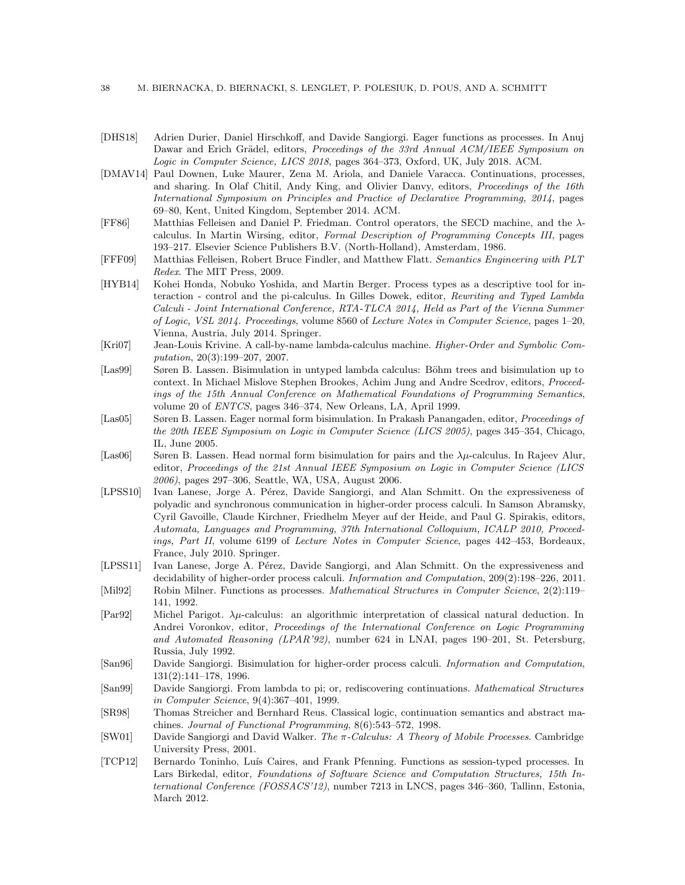- <span id="page-37-9"></span>[DHS18] Adrien Durier, Daniel Hirschkoff, and Davide Sangiorgi. Eager functions as processes. In Anuj Dawar and Erich Grädel, editors, *Proceedings of the 33rd Annual ACM/IEEE Symposium on Logic in Computer Science, LICS 2018*, pages 364–373, Oxford, UK, July 2018. ACM.
- <span id="page-37-13"></span>[DMAV14] Paul Downen, Luke Maurer, Zena M. Ariola, and Daniele Varacca. Continuations, processes, and sharing. In Olaf Chitil, Andy King, and Olivier Danvy, editors, *Proceedings of the 16th International Symposium on Principles and Practice of Declarative Programming, 2014*, pages 69–80, Kent, United Kingdom, September 2014. ACM.
- <span id="page-37-15"></span>[FF86] Matthias Felleisen and Daniel P. Friedman. Control operators, the SECD machine, and the λcalculus. In Martin Wirsing, editor, *Formal Description of Programming Concepts III*, pages 193–217. Elsevier Science Publishers B.V. (North-Holland), Amsterdam, 1986.
- <span id="page-37-5"></span>[FFF09] Matthias Felleisen, Robert Bruce Findler, and Matthew Flatt. *Semantics Engineering with PLT Redex*. The MIT Press, 2009.
- <span id="page-37-11"></span>[HYB14] Kohei Honda, Nobuko Yoshida, and Martin Berger. Process types as a descriptive tool for interaction - control and the pi-calculus. In Gilles Dowek, editor, *Rewriting and Typed Lambda Calculi - Joint International Conference, RTA-TLCA 2014, Held as Part of the Vienna Summer of Logic, VSL 2014. Proceedings*, volume 8560 of *Lecture Notes in Computer Science*, pages 1–20, Vienna, Austria, July 2014. Springer.
- <span id="page-37-4"></span>[Kri07] Jean-Louis Krivine. A call-by-name lambda-calculus machine. *Higher-Order and Symbolic Computation*, 20(3):199–207, 2007.
- <span id="page-37-6"></span>[Las99] Søren B. Lassen. Bisimulation in untyped lambda calculus: Böhm trees and bisimulation up to context. In Michael Mislove Stephen Brookes, Achim Jung and Andre Scedrov, editors, *Proceedings of the 15th Annual Conference on Mathematical Foundations of Programming Semantics*, volume 20 of *ENTCS*, pages 346–374, New Orleans, LA, April 1999.
- <span id="page-37-14"></span>[Las05] Søren B. Lassen. Eager normal form bisimulation. In Prakash Panangaden, editor, *Proceedings of the 20th IEEE Symposium on Logic in Computer Science (LICS 2005)*, pages 345–354, Chicago, IL, June 2005.
- <span id="page-37-16"></span>[Las06] Søren B. Lassen. Head normal form bisimulation for pairs and the  $\lambda \mu$ -calculus. In Rajeev Alur, editor, *Proceedings of the 21st Annual IEEE Symposium on Logic in Computer Science (LICS 2006)*, pages 297–306, Seattle, WA, USA, August 2006.
- <span id="page-37-2"></span>[LPSS10] Ivan Lanese, Jorge A. Pérez, Davide Sangiorgi, and Alan Schmitt. On the expressiveness of polyadic and synchronous communication in higher-order process calculi. In Samson Abramsky, Cyril Gavoille, Claude Kirchner, Friedhelm Meyer auf der Heide, and Paul G. Spirakis, editors, *Automata, Languages and Programming, 37th International Colloquium, ICALP 2010, Proceedings, Part II*, volume 6199 of *Lecture Notes in Computer Science*, pages 442–453, Bordeaux, France, July 2010. Springer.
- <span id="page-37-1"></span>[LPSS11] Ivan Lanese, Jorge A. Pérez, Davide Sangiorgi, and Alan Schmitt. On the expressiveness and decidability of higher-order process calculi. *Information and Computation*, 209(2):198–226, 2011.
- <span id="page-37-8"></span>[Mil92] Robin Milner. Functions as processes. *Mathematical Structures in Computer Science*, 2(2):119– 141, 1992.
- <span id="page-37-7"></span>[Par92] Michel Parigot. λµ-calculus: an algorithmic interpretation of classical natural deduction. In Andrei Voronkov, editor, *Proceedings of the International Conference on Logic Programming and Automated Reasoning (LPAR'92)*, number 624 in LNAI, pages 190–201, St. Petersburg, Russia, July 1992.
- <span id="page-37-0"></span>[San96] Davide Sangiorgi. Bisimulation for higher-order process calculi. *Information and Computation*, 131(2):141–178, 1996.
- <span id="page-37-12"></span>[San99] Davide Sangiorgi. From lambda to pi; or, rediscovering continuations. *Mathematical Structures in Computer Science*, 9(4):367–401, 1999.
- <span id="page-37-17"></span>[SR98] Thomas Streicher and Bernhard Reus. Classical logic, continuation semantics and abstract machines. *Journal of Functional Programming*, 8(6):543–572, 1998.
- <span id="page-37-3"></span>[SW01] Davide Sangiorgi and David Walker. *The* π*-Calculus: A Theory of Mobile Processes*. Cambridge University Press, 2001.
- <span id="page-37-10"></span>[TCP12] Bernardo Toninho, Luís Caires, and Frank Pfenning. Functions as session-typed processes. In Lars Birkedal, editor, *Foundations of Software Science and Computation Structures, 15th International Conference (FOSSACS'12)*, number 7213 in LNCS, pages 346–360, Tallinn, Estonia, March 2012.